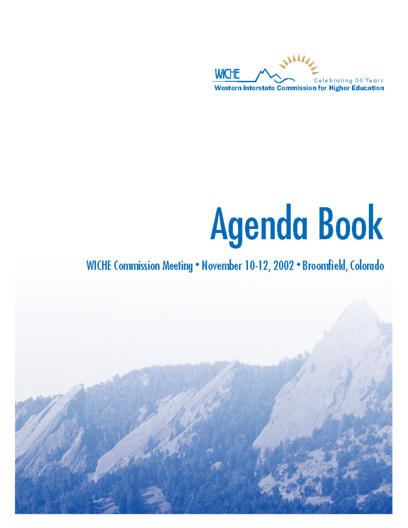

# **Agenda Book**

# WICHE Commission Meeting . November 10-12, 2002 . Broomfield, Colorado

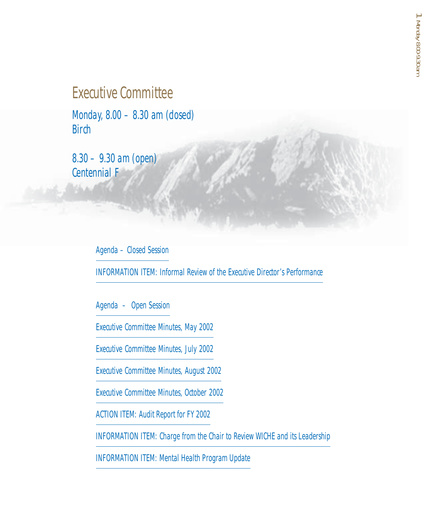# Executive Committee

Monday, 8.00 – 8.30 am (closed) **Birch** 

8.30 – 9.30 am (open) Centennial F

Agenda – Closed Session

INFORMATION ITEM: Informal Review of the Executive Director's Performance

Agenda – Open Session

Executive Committee Minutes, May 2002

Executive Committee Minutes, July 2002

Executive Committee Minutes, August 2002

Executive Committee Minutes, October 2002

ACTION ITEM: Audit Report for FY 2002

INFORMATION ITEM: Charge from the Chair to Review WICHE and its Leadership

INFORMATION ITEM: Mental Health Program Update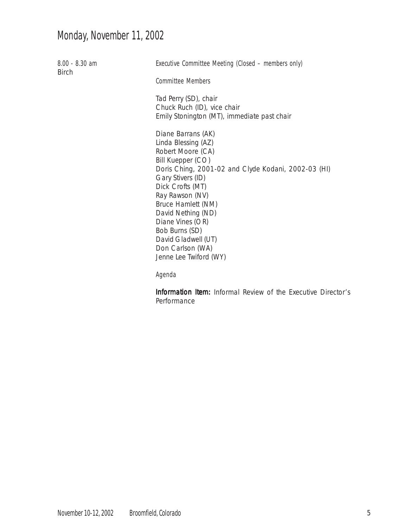# Monday, November 11, 2002

| $8.00 - 8.30$ am<br><b>Birch</b> | Executive Committee Meeting (Closed – members only)<br><b>Committee Members</b>                                                                                                                        |
|----------------------------------|--------------------------------------------------------------------------------------------------------------------------------------------------------------------------------------------------------|
|                                  |                                                                                                                                                                                                        |
|                                  | Tad Perry (SD), chair                                                                                                                                                                                  |
|                                  | Chuck Ruch (ID), vice chair<br>Emily Stonington (MT), immediate past chair                                                                                                                             |
|                                  | Diane Barrans (AK)<br>Linda Blessing (AZ)<br>Robert Moore (CA)<br>Bill Kuepper (CO)<br>Doris Ching, 2001-02 and Clyde Kodani, 2002-03 (HI)<br>Gary Stivers (ID)<br>Dick Crofts (MT)<br>Ray Rawson (NV) |
|                                  | Bruce Hamlett (NM)                                                                                                                                                                                     |
|                                  | David Nething (ND)<br>Diane Vines (OR)                                                                                                                                                                 |
|                                  | Bob Burns (SD)                                                                                                                                                                                         |
|                                  | David Gladwell (UT)                                                                                                                                                                                    |
|                                  | Don Carlson (WA)<br>Jenne Lee Twiford (WY)                                                                                                                                                             |
|                                  | Agenda                                                                                                                                                                                                 |

Information Item: Informal Review of the Executive Director's Performance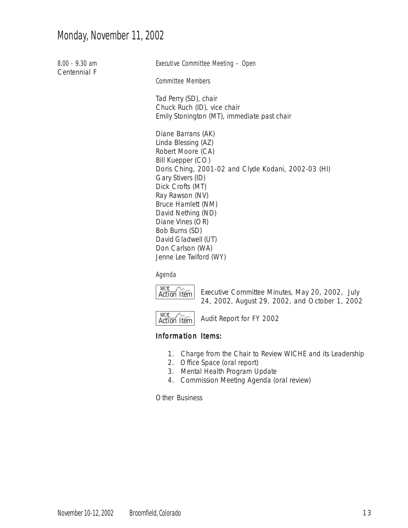# Monday, November 11, 2002

8.00 - 9.30 am Centennial F Executive Committee Meeting – Open Committee Members Tad Perry (SD), chair Chuck Ruch (ID), vice chair Emily Stonington (MT), immediate past chair Diane Barrans (AK) Linda Blessing (AZ) Robert Moore (CA) Bill Kuepper (CO) Doris Ching, 2001-02 and Clyde Kodani, 2002-03 (HI) Gary Stivers (ID) Dick Crofts (MT) Ray Rawson (NV) Bruce Hamlett (NM) David Nething (ND) Diane Vines (OR) Bob Burns (SD) David Gladwell (UT) Don Carlson (WA) Jenne Lee Twiford (WY)

#### Agenda



Executive Committee Minutes, May 20, 2002, July 24, 2002, August 29, 2002, and October 1, 2002



Audit Report for FY 2002

#### Information Items:

- 1. Charge from the Chair to Review WICHE and its Leadership
- 2. Office Space (oral report)
- 3. Mental Health Program Update
- 4. Commission Meeting Agenda (oral review)

Other Business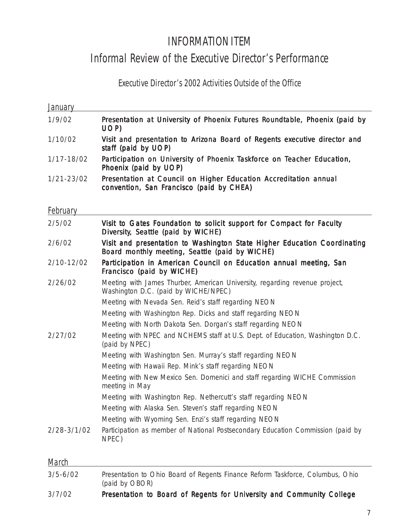# INFORMATION ITEM

# Informal Review of the Executive Director's Performance

# Executive Director's 2002 Activities Outside of the Office

| Presentation at University of Phoenix Futures Roundtable, Phoenix (paid by<br>1/9/02<br>UOP)<br>Visit and presentation to Arizona Board of Regents executive director and<br>1/10/02<br>staff (paid by UOP)<br>Participation on University of Phoenix Taskforce on Teacher Education,<br>1/17-18/02<br>Phoenix (paid by UOP)<br>Presentation at Council on Higher Education Accreditation annual<br>convention, San Francisco (paid by CHEA)<br>Visit to Gates Foundation to solicit support for Compact for Faculty<br>2/5/02<br>Diversity, Seattle (paid by WICHE)<br>Visit and presentation to Washington State Higher Education Coordinating<br>2/6/02<br>Board monthly meeting, Seattle (paid by WICHE)<br>2/10-12/02<br>Participation in American Council on Education annual meeting, San<br>Francisco (paid by WICHE)<br>Meeting with James Thurber, American University, regarding revenue project,<br>2/26/02<br>Washington D.C. (paid by WICHE/NPEC)<br>Meeting with Nevada Sen. Reid's staff regarding NEON<br>Meeting with Washington Rep. Dicks and staff regarding NEON<br>Meeting with North Dakota Sen. Dorgan's staff regarding NEON<br>2/27/02<br>Meeting with NPEC and NCHEMS staff at U.S. Dept. of Education, Washington D.C.<br>(paid by NPEC)<br>Meeting with Washington Sen. Murray's staff regarding NEON<br>Meeting with Hawaii Rep. Mink's staff regarding NEON<br>Meeting with New Mexico Sen. Domenici and staff regarding WICHE Commission<br>meeting in May<br>Meeting with Washington Rep. Nethercutt's staff regarding NEON<br>Meeting with Alaska Sen. Steven's staff regarding NEON<br>Meeting with Wyoming Sen. Enzi's staff regarding NEON<br>2/28-3/1/02<br>Participation as member of National Postsecondary Education Commission (paid by<br>NPEC) | <b>January</b>  |  |
|---------------------------------------------------------------------------------------------------------------------------------------------------------------------------------------------------------------------------------------------------------------------------------------------------------------------------------------------------------------------------------------------------------------------------------------------------------------------------------------------------------------------------------------------------------------------------------------------------------------------------------------------------------------------------------------------------------------------------------------------------------------------------------------------------------------------------------------------------------------------------------------------------------------------------------------------------------------------------------------------------------------------------------------------------------------------------------------------------------------------------------------------------------------------------------------------------------------------------------------------------------------------------------------------------------------------------------------------------------------------------------------------------------------------------------------------------------------------------------------------------------------------------------------------------------------------------------------------------------------------------------------------------------------------------------------------------------------------------------------------------------------------------------------------|-----------------|--|
|                                                                                                                                                                                                                                                                                                                                                                                                                                                                                                                                                                                                                                                                                                                                                                                                                                                                                                                                                                                                                                                                                                                                                                                                                                                                                                                                                                                                                                                                                                                                                                                                                                                                                                                                                                                             |                 |  |
|                                                                                                                                                                                                                                                                                                                                                                                                                                                                                                                                                                                                                                                                                                                                                                                                                                                                                                                                                                                                                                                                                                                                                                                                                                                                                                                                                                                                                                                                                                                                                                                                                                                                                                                                                                                             |                 |  |
|                                                                                                                                                                                                                                                                                                                                                                                                                                                                                                                                                                                                                                                                                                                                                                                                                                                                                                                                                                                                                                                                                                                                                                                                                                                                                                                                                                                                                                                                                                                                                                                                                                                                                                                                                                                             |                 |  |
|                                                                                                                                                                                                                                                                                                                                                                                                                                                                                                                                                                                                                                                                                                                                                                                                                                                                                                                                                                                                                                                                                                                                                                                                                                                                                                                                                                                                                                                                                                                                                                                                                                                                                                                                                                                             | 1/21-23/02      |  |
|                                                                                                                                                                                                                                                                                                                                                                                                                                                                                                                                                                                                                                                                                                                                                                                                                                                                                                                                                                                                                                                                                                                                                                                                                                                                                                                                                                                                                                                                                                                                                                                                                                                                                                                                                                                             | <b>February</b> |  |
|                                                                                                                                                                                                                                                                                                                                                                                                                                                                                                                                                                                                                                                                                                                                                                                                                                                                                                                                                                                                                                                                                                                                                                                                                                                                                                                                                                                                                                                                                                                                                                                                                                                                                                                                                                                             |                 |  |
|                                                                                                                                                                                                                                                                                                                                                                                                                                                                                                                                                                                                                                                                                                                                                                                                                                                                                                                                                                                                                                                                                                                                                                                                                                                                                                                                                                                                                                                                                                                                                                                                                                                                                                                                                                                             |                 |  |
|                                                                                                                                                                                                                                                                                                                                                                                                                                                                                                                                                                                                                                                                                                                                                                                                                                                                                                                                                                                                                                                                                                                                                                                                                                                                                                                                                                                                                                                                                                                                                                                                                                                                                                                                                                                             |                 |  |
|                                                                                                                                                                                                                                                                                                                                                                                                                                                                                                                                                                                                                                                                                                                                                                                                                                                                                                                                                                                                                                                                                                                                                                                                                                                                                                                                                                                                                                                                                                                                                                                                                                                                                                                                                                                             |                 |  |
|                                                                                                                                                                                                                                                                                                                                                                                                                                                                                                                                                                                                                                                                                                                                                                                                                                                                                                                                                                                                                                                                                                                                                                                                                                                                                                                                                                                                                                                                                                                                                                                                                                                                                                                                                                                             |                 |  |
|                                                                                                                                                                                                                                                                                                                                                                                                                                                                                                                                                                                                                                                                                                                                                                                                                                                                                                                                                                                                                                                                                                                                                                                                                                                                                                                                                                                                                                                                                                                                                                                                                                                                                                                                                                                             |                 |  |
|                                                                                                                                                                                                                                                                                                                                                                                                                                                                                                                                                                                                                                                                                                                                                                                                                                                                                                                                                                                                                                                                                                                                                                                                                                                                                                                                                                                                                                                                                                                                                                                                                                                                                                                                                                                             |                 |  |
|                                                                                                                                                                                                                                                                                                                                                                                                                                                                                                                                                                                                                                                                                                                                                                                                                                                                                                                                                                                                                                                                                                                                                                                                                                                                                                                                                                                                                                                                                                                                                                                                                                                                                                                                                                                             |                 |  |
|                                                                                                                                                                                                                                                                                                                                                                                                                                                                                                                                                                                                                                                                                                                                                                                                                                                                                                                                                                                                                                                                                                                                                                                                                                                                                                                                                                                                                                                                                                                                                                                                                                                                                                                                                                                             |                 |  |
|                                                                                                                                                                                                                                                                                                                                                                                                                                                                                                                                                                                                                                                                                                                                                                                                                                                                                                                                                                                                                                                                                                                                                                                                                                                                                                                                                                                                                                                                                                                                                                                                                                                                                                                                                                                             |                 |  |
|                                                                                                                                                                                                                                                                                                                                                                                                                                                                                                                                                                                                                                                                                                                                                                                                                                                                                                                                                                                                                                                                                                                                                                                                                                                                                                                                                                                                                                                                                                                                                                                                                                                                                                                                                                                             |                 |  |
|                                                                                                                                                                                                                                                                                                                                                                                                                                                                                                                                                                                                                                                                                                                                                                                                                                                                                                                                                                                                                                                                                                                                                                                                                                                                                                                                                                                                                                                                                                                                                                                                                                                                                                                                                                                             |                 |  |
|                                                                                                                                                                                                                                                                                                                                                                                                                                                                                                                                                                                                                                                                                                                                                                                                                                                                                                                                                                                                                                                                                                                                                                                                                                                                                                                                                                                                                                                                                                                                                                                                                                                                                                                                                                                             |                 |  |
|                                                                                                                                                                                                                                                                                                                                                                                                                                                                                                                                                                                                                                                                                                                                                                                                                                                                                                                                                                                                                                                                                                                                                                                                                                                                                                                                                                                                                                                                                                                                                                                                                                                                                                                                                                                             |                 |  |
|                                                                                                                                                                                                                                                                                                                                                                                                                                                                                                                                                                                                                                                                                                                                                                                                                                                                                                                                                                                                                                                                                                                                                                                                                                                                                                                                                                                                                                                                                                                                                                                                                                                                                                                                                                                             |                 |  |

# March 3/5-6/02 *Presentation to Ohio Board of Regents Finance Reform Taskforce, Columbus, Ohio (paid by OBOR)* 3/7/02 Presentation to Board of Regents for University and Community College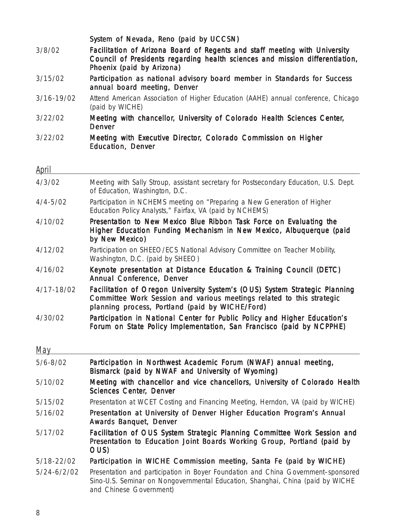| 3/8/02          | System of Nevada, Reno (paid by UCCSN)<br>Facilitation of Arizona Board of Regents and staff meeting with University                                                                                   |
|-----------------|--------------------------------------------------------------------------------------------------------------------------------------------------------------------------------------------------------|
|                 | Council of Presidents regarding health sciences and mission differentiation,<br>Phoenix (paid by Arizona)                                                                                              |
| 3/15/02         | Participation as national advisory board member in Standards for Success<br>annual board meeting, Denver                                                                                               |
| $3/16 - 19/02$  | Attend American Association of Higher Education (AAHE) annual conference, Chicago<br>(paid by WICHE)                                                                                                   |
| 3/22/02         | Meeting with chancellor, University of Colorado Health Sciences Center,<br><b>Denver</b>                                                                                                               |
| 3/22/02         | Meeting with Executive Director, Colorado Commission on Higher<br><b>Education, Denver</b>                                                                                                             |
| <u>April</u>    |                                                                                                                                                                                                        |
| 4/3/02          | Meeting with Sally Stroup, assistant secretary for Postsecondary Education, U.S. Dept.<br>of Education, Washington, D.C.                                                                               |
| $4/4 - 5/02$    | Participation in NCHEMS meeting on "Preparing a New Generation of Higher<br>Education Policy Analysts," Fairfax, VA (paid by NCHEMS)                                                                   |
| 4/10/02         | Presentation to New Mexico Blue Ribbon Task Force on Evaluating the<br>Higher Education Funding Mechanism in New Mexico, Albuquerque (paid<br>by New Mexico)                                           |
| 4/12/02         | Participation on SHEEO/ECS National Advisory Committee on Teacher Mobility,<br>Washington, D.C. (paid by SHEEO)                                                                                        |
| 4/16/02         | Keynote presentation at Distance Education & Training Council (DETC)<br>Annual Conference, Denver                                                                                                      |
| 4/17-18/02      | Facilitation of Oregon University System's (OUS) System Strategic Planning<br>Committee Work Session and various meetings related to this strategic<br>planning process, Portland (paid by WICHE/Ford) |
| 4/30/02         | Participation in National Center for Public Policy and Higher Education's<br>Forum on State Policy Implementation, San Francisco (paid by NCPPHE)                                                      |
| May             |                                                                                                                                                                                                        |
| $5/6 - 8/02$    | Participation in Northwest Academic Forum (NWAF) annual meeting,<br>Bismarck (paid by NWAF and University of Wyoming)                                                                                  |
| 5/10/02         | Meeting with chancellor and vice chancellors, University of Colorado Health<br><b>Sciences Center, Denver</b>                                                                                          |
| 5/15/02         | Presentation at WCET Costing and Financing Meeting, Herndon, VA (paid by WICHE)                                                                                                                        |
| 5/16/02         | Presentation at University of Denver Higher Education Program's Annual<br><b>Awards Banquet, Denver</b>                                                                                                |
| 5/17/02         | Facilitation of OUS System Strategic Planning Committee Work Session and<br>Presentation to Education Joint Boards Working Group, Portland (paid by<br>OUS)                                            |
| 5/18-22/02      | Participation in WICHE Commission meeting, Santa Fe (paid by WICHE)                                                                                                                                    |
| $5/24 - 6/2/02$ | Presentation and participation in Boyer Foundation and China Government-sponsored<br>Sino-U.S. Seminar on Nongovernmental Education, Shanghai, China (paid by WICHE<br>and Chinese Government)         |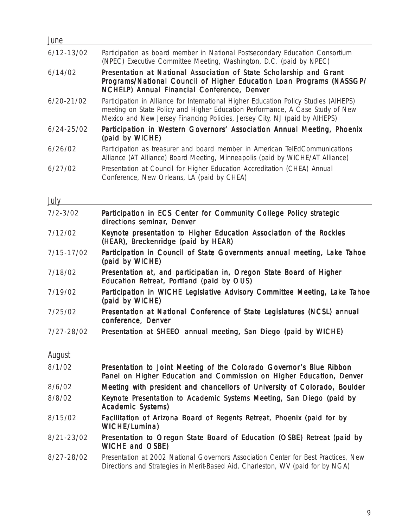| June           |                                                                                                                                                                                                                                                     |
|----------------|-----------------------------------------------------------------------------------------------------------------------------------------------------------------------------------------------------------------------------------------------------|
| $6/12 - 13/02$ | Participation as board member in National Postsecondary Education Consortium<br>(NPEC) Executive Committee Meeting, Washington, D.C. (paid by NPEC)                                                                                                 |
| 6/14/02        | Presentation at National Association of State Scholarship and Grant<br>Programs/National Council of Higher Education Loan Programs (NASSGP/<br>NCHELP) Annual Financial Conference, Denver                                                          |
| $6/20 - 21/02$ | Participation in Alliance for International Higher Education Policy Studies (AIHEPS)<br>meeting on State Policy and Higher Education Performance, A Case Study of New<br>Mexico and New Jersey Financing Policies, Jersey City, NJ (paid by AIHEPS) |
| $6/24 - 25/02$ | Participation in Western Governors' Association Annual Meeting, Phoenix<br>(paid by WICHE)                                                                                                                                                          |
| 6/26/02        | Participation as treasurer and board member in American TelEdCommunications<br>Alliance (AT Alliance) Board Meeting, Minneapolis (paid by WICHE/AT Alliance)                                                                                        |
| 6/27/02        | Presentation at Council for Higher Education Accreditation (CHEA) Annual<br>Conference, New Orleans, LA (paid by CHEA)                                                                                                                              |

# **July**

<u> 1980 - Johann Barnett, fransk politik (</u>

| $7/2 - 3/02$  | Participation in ECS Center for Community College Policy strategic<br>directions seminar, Denver                 |
|---------------|------------------------------------------------------------------------------------------------------------------|
| 7/12/02       | Keynote presentation to Higher Education Association of the Rockies<br>(HEAR), Breckenridge (paid by HEAR)       |
| 7/15-17/02    | Participation in Council of State Governments annual meeting, Lake Tahoe<br>(paid by WICHE)                      |
| 7/18/02       | Presentation at, and participatian in, Oregon State Board of Higher<br>Education Retreat, Portland (paid by OUS) |
| 7/19/02       | Participation in WICHE Legislative Advisory Committee Meeting, Lake Tahoe<br>(paid by WICHE)                     |
| 7/25/02       | Presentation at National Conference of State Legislatures (NCSL) annual<br>conference, Denver                    |
| 7/27-28/02    | Presentation at SHEEO annual meeting, San Diego (paid by WICHE)                                                  |
| <b>August</b> |                                                                                                                  |
| $Q/1/02$      | Presentation to Joint Meeting of the Colorado Governor's Rlue Pihhon                                             |

| 8/1/02         | Presentation to Joint Meeting of the Colorado Governor's Blue Ribbon<br>Panel on Higher Education and Commission on Higher Education, Denver                         |
|----------------|----------------------------------------------------------------------------------------------------------------------------------------------------------------------|
| 8/6/02         | Meeting with president and chancellors of University of Colorado, Boulder                                                                                            |
| 8/8/02         | Keynote Presentation to Academic Systems Meeting, San Diego (paid by<br><b>Academic Systems)</b>                                                                     |
| 8/15/02        | Facilitation of Arizona Board of Regents Retreat, Phoenix (paid for by<br>WICHE/Lumina)                                                                              |
| $8/21 - 23/02$ | Presentation to Oregon State Board of Education (OSBE) Retreat (paid by<br><b>WICHE and OSBE)</b>                                                                    |
| $8/27 - 28/02$ | Presentation at 2002 National Governors Association Center for Best Practices, New<br>Directions and Strategies in Merit-Based Aid, Charleston, WV (paid for by NGA) |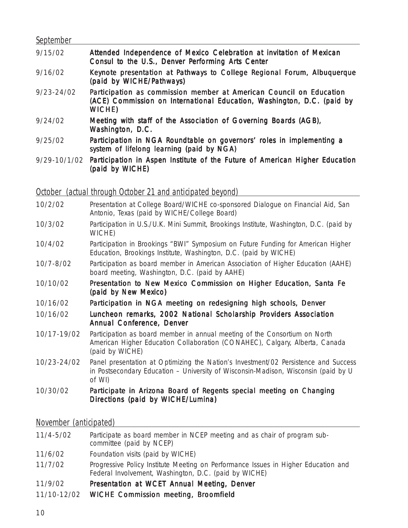| September      |                                                                                                                                                         |
|----------------|---------------------------------------------------------------------------------------------------------------------------------------------------------|
| 9/15/02        | Attended Independence of Mexico Celebration at invitation of Mexican<br>Consul to the U.S., Denver Performing Arts Center                               |
| 9/16/02        | Keynote presentation at Pathways to College Regional Forum, Albuquerque<br>(paid by WICHE/Pathways)                                                     |
| $9/23 - 24/02$ | Participation as commission member at American Council on Education<br>(ACE) Commission on International Education, Washington, D.C. (paid by<br>WICHE) |
| 9/24/02        | Meeting with staff of the Association of Governing Boards (AGB),<br>Washington, D.C.                                                                    |
| 9/25/02        | Participation in NGA Roundtable on governors' roles in implementing a<br>system of lifelong learning (paid by NGA)                                      |
| 9/29-10/1/02   | Participation in Aspen Institute of the Future of American Higher Education<br>(paid by WICHE)                                                          |

October (actual through October 21 and anticipated beyond)

- 10/2/02 *Presentation at College Board/WICHE co-sponsored Dialogue on Financial Aid, San Antonio, Texas (paid by WICHE/College Board)*
- 10/3/02 *Participation in U.S./U.K. Mini Summit, Brookings Institute, Washington, D.C. (paid by WICHE)*
- 10/4/02 *Participation in Brookings "BWI" Symposium on Future Funding for American Higher Education, Brookings Institute, Washington, D.C. (paid by WICHE)*
- 10/7-8/02 *Participation as board member in American Association of Higher Education (AAHE) board meeting, Washington, D.C. (paid by AAHE)*
- 10/10/02 Presentation to New Mexico Commission on Higher Education, Santa Fe (paid by New Mexico)
- 10/16/02 Participation in NGA meeting on redesigning high schools, Denver
- 10/16/02 Luncheon remarks, 2002 National Scholarship Providers Association Annual Conference, Denver
- 10/17-19/02 *Participation as board member in annual meeting of the Consortium on North American Higher Education Collaboration (CONAHEC), Calgary, Alberta, Canada (paid by WICHE)*
- 10/23-24/02 *Panel presentation at Optimizing the Nation's Investment/02 Persistence and Success in Postsecondary Education – University of Wisconsin-Madison, Wisconsin (paid by U of WI)*

#### 10/30/02 Participate in Arizona Board of Regents special meeting on *Changing Directions* (paid by WICHE/Lumina)

#### November (anticipated)

| 11/4-5/02   | Participate as board member in NCEP meeting and as chair of program sub-<br>committee (paid by NCEP)                                        |
|-------------|---------------------------------------------------------------------------------------------------------------------------------------------|
| 11/6/02     | Foundation visits (paid by WICHE)                                                                                                           |
| 11/7/02     | Progressive Policy Institute Meeting on Performance Issues in Higher Education and<br>Federal Involvement, Washington, D.C. (paid by WICHE) |
| 11/9/02     | Presentation at WCET Annual Meeting, Denver                                                                                                 |
| 11/10-12/02 | <b>WICHE Commission meeting, Broomfield</b>                                                                                                 |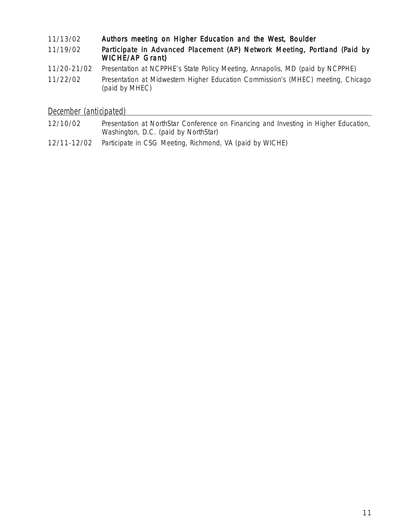#### 11/13/02 Authors meeting on Higher Education and the West, Boulder 11/19/02 Participate in Advanced Placement (AP) Network Meeting, Portland (Paid by WICHE/AP Grant) 11/20-21/02 *Presentation at NCPPHE's State Policy Meeting, Annapolis, MD (paid by NCPPHE)* 11/22/02 *Presentation at Midwestern Higher Education Commission's (MHEC) meeting, Chicago (paid by MHEC)*

#### December (anticipated)

| 12/10/02    | Presentation at NorthStar Conference on Financing and Investing in Higher Education,<br>Washington, D.C. (paid by NorthStar) |
|-------------|------------------------------------------------------------------------------------------------------------------------------|
| 12/11-12/02 | Participate in CSG Meeting, Richmond, VA (paid by WICHE)                                                                     |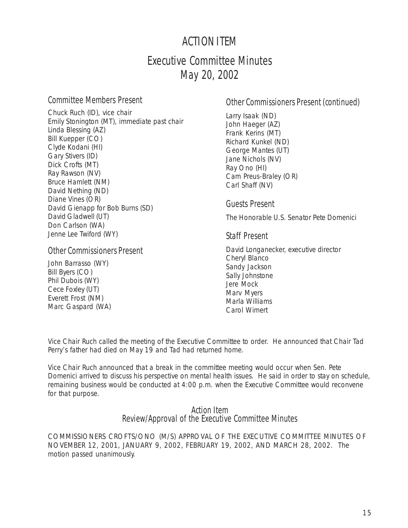# ACTION ITEM

# Executive Committee Minutes May 20, 2002

#### Committee Members Present

Chuck Ruch (ID), vice chair Emily Stonington (MT), immediate past chair Linda Blessing (AZ) Bill Kuepper (CO) Clyde Kodani (HI) Gary Stivers (ID) Dick Crofts (MT) Ray Rawson (NV) Bruce Hamlett (NM) David Nething (ND) Diane Vines (OR) David Gienapp for Bob Burns (SD) David Gladwell (UT) Don Carlson (WA) Jenne Lee Twiford (WY)

#### Other Commissioners Present

John Barrasso (WY) Bill Byers (CO) Phil Dubois (WY) Cece Foxley (UT) Everett Frost (NM) Marc Gaspard (WA)

# Other Commissioners Present (continued)

Larry Isaak (ND) John Haeger (AZ) Frank Kerins (MT) Richard Kunkel (ND) George Mantes (UT) Jane Nichols (NV) Ray Ono (HI) Cam Preus-Braley (OR) Carl Shaff (NV)

Guests Present

The Honorable U.S. Senator Pete Domenici

#### Staff Present

David Longanecker, executive director Cheryl Blanco Sandy Jackson Sally Johnstone Jere Mock Marv Myers Marla Williams Carol Wimert

Vice Chair Ruch called the meeting of the Executive Committee to order. He announced that Chair Tad Perry's father had died on May 19 and Tad had returned home.

Vice Chair Ruch announced that a break in the committee meeting would occur when Sen. Pete Domenici arrived to discuss his perspective on mental health issues. He said in order to stay on schedule, remaining business would be conducted at 4:00 p.m. when the Executive Committee would reconvene for that purpose.

#### Action Item Review/Approval of the Executive Committee Minutes

COMMISSIONERS CROFTS/ONO (M/S) APPROVAL OF THE EXECUTIVE COMMITTEE MINUTES OF NOVEMBER 12, 2001, JANUARY 9, 2002, FEBRUARY 19, 2002, AND MARCH 28, 2002. The motion passed unanimously.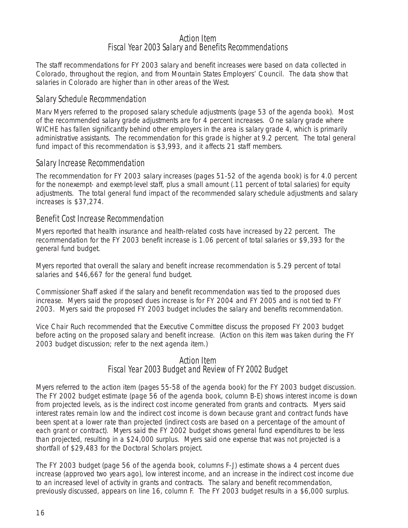#### Action Item Fiscal Year 2003 Salary and Benefits Recommendations

The staff recommendations for FY 2003 salary and benefit increases were based on data collected in Colorado, throughout the region, and from Mountain States Employers' Council. The data show that salaries in Colorado are higher than in other areas of the West.

#### Salary Schedule Recommendation

Marv Myers referred to the proposed salary schedule adjustments (page 53 of the agenda book). Most of the recommended salary grade adjustments are for 4 percent increases. One salary grade where WICHE has fallen significantly behind other employers in the area is salary grade 4, which is primarily administrative assistants. The recommendation for this grade is higher at 9.2 percent. The total general fund impact of this recommendation is \$3,993, and it affects 21 staff members.

#### Salary Increase Recommendation

The recommendation for FY 2003 salary increases (pages 51-52 of the agenda book) is for 4.0 percent for the nonexempt- and exempt-level staff, plus a small amount (.11 percent of total salaries) for equity adjustments. The total general fund impact of the recommended salary schedule adjustments and salary increases is \$37,274.

#### Benefit Cost Increase Recommendation

Myers reported that health insurance and health-related costs have increased by 22 percent. The recommendation for the FY 2003 benefit increase is 1.06 percent of total salaries or \$9,393 for the general fund budget.

Myers reported that overall the salary and benefit increase recommendation is 5.29 percent of total salaries and \$46,667 for the general fund budget.

Commissioner Shaff asked if the salary and benefit recommendation was tied to the proposed dues increase. Myers said the proposed dues increase is for FY 2004 and FY 2005 and is not tied to FY 2003. Myers said the proposed FY 2003 budget includes the salary and benefits recommendation.

Vice Chair Ruch recommended that the Executive Committee discuss the proposed FY 2003 budget before acting on the proposed salary and benefit increase. (Action on this item was taken during the FY 2003 budget discussion; refer to the next agenda item.)

#### Action Item Fiscal Year 2003 Budget and Review of FY 2002 Budget

Myers referred to the action item (pages 55-58 of the agenda book) for the FY 2003 budget discussion. The FY 2002 budget estimate (page 56 of the agenda book, column B-E) shows interest income is down from projected levels, as is the indirect cost income generated from grants and contracts. Myers said interest rates remain low and the indirect cost income is down because grant and contract funds have been spent at a lower rate than projected (indirect costs are based on a percentage of the amount of each grant or contract). Myers said the FY 2002 budget shows general fund expenditures to be less than projected, resulting in a \$24,000 surplus. Myers said one expense that was not projected is a shortfall of \$29,483 for the Doctoral Scholars project.

The FY 2003 budget (page 56 of the agenda book, columns F-J) estimate shows a 4 percent dues increase (approved two years ago), low interest income, and an increase in the indirect cost income due to an increased level of activity in grants and contracts. The salary and benefit recommendation, previously discussed, appears on line 16, column F. The FY 2003 budget results in a \$6,000 surplus.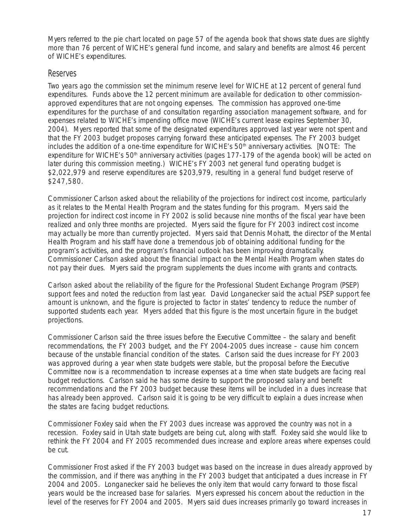Myers referred to the pie chart located on page 57 of the agenda book that shows state dues are slightly more than 76 percent of WICHE's general fund income, and salary and benefits are almost 46 percent of WICHE's expenditures.

#### Reserves

Two years ago the commission set the minimum reserve level for WICHE at 12 percent of general fund expenditures. Funds above the 12 percent minimum are available for dedication to other commissionapproved expenditures that are not ongoing expenses. The commission has approved one-time expenditures for the purchase of and consultation regarding association management software, and for expenses related to WICHE's impending office move (WICHE's current lease expires September 30, 2004). Myers reported that some of the designated expenditures approved last year were not spent and that the FY 2003 budget proposes carrying forward these anticipated expenses. The FY 2003 budget includes the addition of a one-time expenditure for WICHE's 50<sup>th</sup> anniversary activities. [NOTE: The expenditure for WICHE's 50<sup>th</sup> anniversary activities (pages 177-179 of the agenda book) will be acted on later during this commission meeting.) WICHE's FY 2003 net general fund operating budget is \$2,022,979 and reserve expenditures are \$203,979, resulting in a general fund budget reserve of \$247,580.

Commissioner Carlson asked about the reliability of the projections for indirect cost income, particularly as it relates to the Mental Health Program and the states funding for this program. Myers said the projection for indirect cost income in FY 2002 is solid because nine months of the fiscal year have been realized and only three months are projected. Myers said the figure for FY 2003 indirect cost income may actually be more than currently projected. Myers said that Dennis Mohatt, the director of the Mental Health Program and his staff have done a tremendous job of obtaining additional funding for the program's activities, and the program's financial outlook has been improving dramatically. Commissioner Carlson asked about the financial impact on the Mental Health Program when states do not pay their dues. Myers said the program supplements the dues income with grants and contracts.

Carlson asked about the reliability of the figure for the Professional Student Exchange Program (PSEP) support fees and noted the reduction from last year. David Longanecker said the actual PSEP support fee amount is unknown, and the figure is projected to factor in states' tendency to reduce the number of supported students each year. Myers added that this figure is the most uncertain figure in the budget projections.

Commissioner Carlson said the three issues before the Executive Committee – the salary and benefit recommendations, the FY 2003 budget, and the FY 2004-2005 dues increase – cause him concern because of the unstable financial condition of the states. Carlson said the dues increase for FY 2003 was approved during a year when state budgets were stable, but the proposal before the Executive Committee now is a recommendation to increase expenses at a time when state budgets are facing real budget reductions. Carlson said he has some desire to support the proposed salary and benefit recommendations and the FY 2003 budget because these items will be included in a dues increase that has already been approved. Carlson said it is going to be very difficult to explain a dues increase when the states are facing budget reductions.

Commissioner Foxley said when the FY 2003 dues increase was approved the country was not in a recession. Foxley said in Utah state budgets are being cut, along with staff. Foxley said she would like to rethink the FY 2004 and FY 2005 recommended dues increase and explore areas where expenses could be cut.

Commissioner Frost asked if the FY 2003 budget was based on the increase in dues already approved by the commission, and if there was anything in the FY 2003 budget that anticipated a dues increase in FY 2004 and 2005. Longanecker said he believes the only item that would carry forward to those fiscal years would be the increased base for salaries. Myers expressed his concern about the reduction in the level of the reserves for FY 2004 and 2005. Myers said dues increases primarily go toward increases in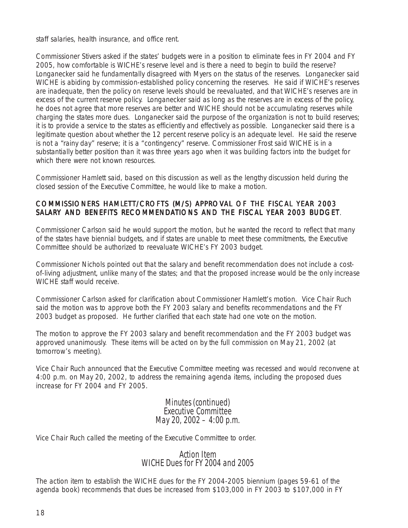staff salaries, health insurance, and office rent.

Commissioner Stivers asked if the states' budgets were in a position to eliminate fees in FY 2004 and FY 2005, how comfortable is WICHE's reserve level and is there a need to begin to build the reserve? Longanecker said he fundamentally disagreed with Myers on the status of the reserves. Longanecker said WICHE is abiding by commission-established policy concerning the reserves. He said if WICHE's reserves are inadequate, then the policy on reserve levels should be reevaluated, and that WICHE's reserves are in excess of the current reserve policy. Longanecker said as long as the reserves are in excess of the policy, he does not agree that more reserves are better and WICHE should not be accumulating reserves while charging the states more dues. Longanecker said the purpose of the organization is not to build reserves; it is to provide a service to the states as efficiently and effectively as possible. Longanecker said there is a legitimate question about whether the 12 percent reserve policy is an adequate level. He said the reserve is not a "rainy day" reserve; it is a "contingency" reserve. Commissioner Frost said WICHE is in a substantially better position than it was three years ago when it was building factors into the budget for which there were not known resources.

Commissioner Hamlett said, based on this discussion as well as the lengthy discussion held during the closed session of the Executive Committee, he would like to make a motion.

#### COMMISSIONERS HAMLETT/CROFTS (M/S) APPROVAL OF THE FISCAL YEAR 2003 SALARY AND BENEFITS RECOMMENDATIONS AND THE FISCAL YEAR 2003 BUDGET.

Commissioner Carlson said he would support the motion, but he wanted the record to reflect that many of the states have biennial budgets, and if states are unable to meet these commitments, the Executive Committee should be authorized to reevaluate WICHE's FY 2003 budget.

Commissioner Nichols pointed out that the salary and benefit recommendation does not include a costof-living adjustment, unlike many of the states; and that the proposed increase would be the only increase WICHE staff would receive.

Commissioner Carlson asked for clarification about Commissioner Hamlett's motion. Vice Chair Ruch said the motion was to approve both the FY 2003 salary and benefits recommendations and the FY 2003 budget as proposed. He further clarified that each state had one vote on the motion.

The motion to approve the FY 2003 salary and benefit recommendation and the FY 2003 budget was approved unanimously. These items will be acted on by the full commission on May 21, 2002 (at tomorrow's meeting).

Vice Chair Ruch announced that the Executive Committee meeting was recessed and would reconvene at 4:00 p.m. on May 20, 2002, to address the remaining agenda items, including the proposed dues increase for FY 2004 and FY 2005.

> Minutes (continued) Executive Committee May 20, 2002  $-$  4:00 p.m.

Vice Chair Ruch called the meeting of the Executive Committee to order.

#### Action Item WICHE Dues for FY 2004 and 2005

The action item to establish the WICHE dues for the FY 2004-2005 biennium (pages 59-61 of the agenda book) recommends that dues be increased from \$103,000 in FY 2003 to \$107,000 in FY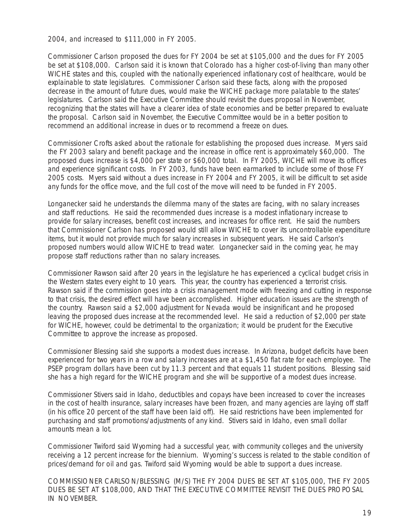2004, and increased to \$111,000 in FY 2005.

Commissioner Carlson proposed the dues for FY 2004 be set at \$105,000 and the dues for FY 2005 be set at \$108,000. Carlson said it is known that Colorado has a higher cost-of-living than many other WICHE states and this, coupled with the nationally experienced inflationary cost of healthcare, would be explainable to state legislatures. Commissioner Carlson said these facts, along with the proposed decrease in the amount of future dues, would make the WICHE package more palatable to the states' legislatures. Carlson said the Executive Committee should revisit the dues proposal in November, recognizing that the states will have a clearer idea of state economies and be better prepared to evaluate the proposal. Carlson said in November, the Executive Committee would be in a better position to recommend an additional increase in dues or to recommend a freeze on dues.

Commissioner Crofts asked about the rationale for establishing the proposed dues increase. Myers said the FY 2003 salary and benefit package and the increase in office rent is approximately \$60,000. The proposed dues increase is \$4,000 per state or \$60,000 total. In FY 2005, WICHE will move its offices and experience significant costs. In FY 2003, funds have been earmarked to include some of those FY 2005 costs. Myers said without a dues increase in FY 2004 and FY 2005, it will be difficult to set aside any funds for the office move, and the full cost of the move will need to be funded in FY 2005.

Longanecker said he understands the dilemma many of the states are facing, with no salary increases and staff reductions. He said the recommended dues increase is a modest inflationary increase to provide for salary increases, benefit cost increases, and increases for office rent. He said the numbers that Commissioner Carlson has proposed would still allow WICHE to cover its uncontrollable expenditure items, but it would not provide much for salary increases in subsequent years. He said Carlson's proposed numbers would allow WICHE to tread water. Longanecker said in the coming year, he may propose staff reductions rather than no salary increases.

Commissioner Rawson said after 20 years in the legislature he has experienced a cyclical budget crisis in the Western states every eight to 10 years. This year, the country has experienced a terrorist crisis. Rawson said if the commission goes into a crisis management mode with freezing and cutting in response to that crisis, the desired effect will have been accomplished. Higher education issues are the strength of the country. Rawson said a \$2,000 adjustment for Nevada would be insignificant and he proposed leaving the proposed dues increase at the recommended level. He said a reduction of \$2,000 per state for WICHE, however, could be detrimental to the organization; it would be prudent for the Executive Committee to approve the increase as proposed.

Commissioner Blessing said she supports a modest dues increase. In Arizona, budget deficits have been experienced for two years in a row and salary increases are at a \$1,450 flat rate for each employee. The PSEP program dollars have been cut by 11.3 percent and that equals 11 student positions. Blessing said she has a high regard for the WICHE program and she will be supportive of a modest dues increase.

Commissioner Stivers said in Idaho, deductibles and copays have been increased to cover the increases in the cost of health insurance, salary increases have been frozen, and many agencies are laying off staff (in his office 20 percent of the staff have been laid off). He said restrictions have been implemented for purchasing and staff promotions/adjustments of any kind. Stivers said in Idaho, even small dollar amounts mean a lot.

Commissioner Twiford said Wyoming had a successful year, with community colleges and the university receiving a 12 percent increase for the biennium. Wyoming's success is related to the stable condition of prices/demand for oil and gas. Twiford said Wyoming would be able to support a dues increase.

COMMISSIONER CARLSON/BLESSING (M/S) THE FY 2004 DUES BE SET AT \$105,000, THE FY 2005 DUES BE SET AT \$108,000, AND THAT THE EXECUTIVE COMMITTEE REVISIT THE DUES PROPOSAL IN NOVEMBER.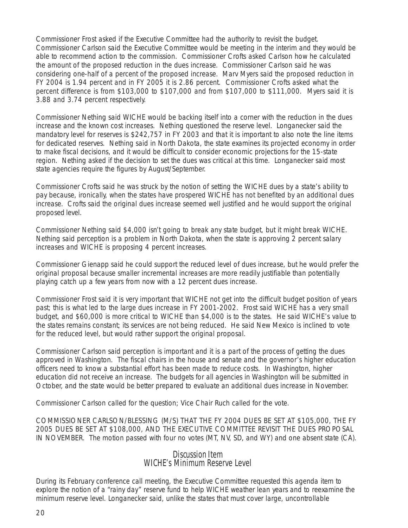Commissioner Frost asked if the Executive Committee had the authority to revisit the budget. Commissioner Carlson said the Executive Committee would be meeting in the interim and they would be able to recommend action to the commission. Commissioner Crofts asked Carlson how he calculated the amount of the proposed reduction in the dues increase. Commissioner Carlson said he was considering one-half of a percent of the proposed increase. Marv Myers said the proposed reduction in FY 2004 is 1.94 percent and in FY 2005 it is 2.86 percent. Commissioner Crofts asked what the percent difference is from \$103,000 to \$107,000 and from \$107,000 to \$111,000. Myers said it is 3.88 and 3.74 percent respectively.

Commissioner Nething said WICHE would be backing itself into a corner with the reduction in the dues increase and the known cost increases. Nething questioned the reserve level. Longanecker said the mandatory level for reserves is \$242,757 in FY 2003 and that it is important to also note the line items for dedicated reserves. Nething said in North Dakota, the state examines its projected economy in order to make fiscal decisions, and it would be difficult to consider economic projections for the 15-state region. Nething asked if the decision to set the dues was critical at this time. Longanecker said most state agencies require the figures by August/September.

Commissioner Crofts said he was struck by the notion of setting the WICHE dues by a state's ability to pay because, ironically, when the states have prospered WICHE has not benefited by an additional dues increase. Crofts said the original dues increase seemed well justified and he would support the original proposed level.

Commissioner Nething said \$4,000 isn't going to break any state budget, but it might break WICHE. Nething said perception is a problem in North Dakota, when the state is approving 2 percent salary increases and WICHE is proposing 4 percent increases.

Commissioner Gienapp said he could support the reduced level of dues increase, but he would prefer the original proposal because smaller incremental increases are more readily justifiable than potentially playing catch up a few years from now with a 12 percent dues increase.

Commissioner Frost said it is very important that WICHE not get into the difficult budget position of years past; this is what led to the large dues increase in FY 2001-2002. Frost said WICHE has a very small budget, and \$60,000 is more critical to WICHE than \$4,000 is to the states. He said WICHE's value to the states remains constant; its services are not being reduced. He said New Mexico is inclined to vote for the reduced level, but would rather support the original proposal.

Commissioner Carlson said perception is important and it is a part of the process of getting the dues approved in Washington. The fiscal chairs in the house and senate and the governor's higher education officers need to know a substantial effort has been made to reduce costs. In Washington, higher education did not receive an increase. The budgets for all agencies in Washington will be submitted in October, and the state would be better prepared to evaluate an additional dues increase in November.

Commissioner Carlson called for the question; Vice Chair Ruch called for the vote.

COMMISSIONER CARLSON/BLESSING (M/S) THAT THE FY 2004 DUES BE SET AT \$105,000, THE FY 2005 DUES BE SET AT \$108,000, AND THE EXECUTIVE COMMITTEE REVISIT THE DUES PROPOSAL IN NOVEMBER. The motion passed with four no votes (MT, NV, SD, and WY) and one absent state (CA).

#### Discussion Item WICHE's Minimum Reserve Level

During its February conference call meeting, the Executive Committee requested this agenda item to explore the notion of a "rainy day" reserve fund to help WICHE weather lean years and to reexamine the minimum reserve level. Longanecker said, unlike the states that must cover large, uncontrollable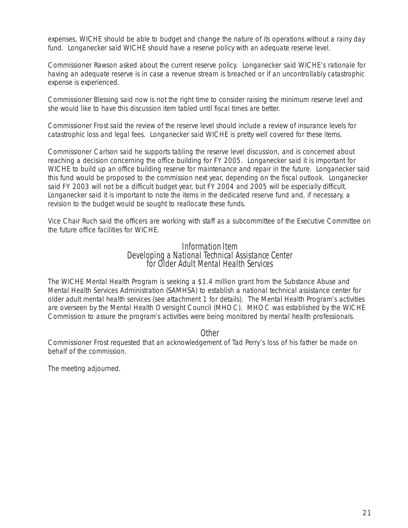expenses, WICHE should be able to budget and change the nature of its operations without a rainy day fund. Longanecker said WICHE should have a reserve policy with an adequate reserve level.

Commissioner Rawson asked about the current reserve policy. Longanecker said WICHE's rationale for having an adequate reserve is in case a revenue stream is breached or if an uncontrollably catastrophic expense is experienced.

Commissioner Blessing said now is not the right time to consider raising the minimum reserve level and she would like to have this discussion item tabled until fiscal times are better.

Commissioner Frost said the review of the reserve level should include a review of insurance levels for catastrophic loss and legal fees. Longanecker said WICHE is pretty well covered for these items.

Commissioner Carlson said he supports tabling the reserve level discussion, and is concerned about reaching a decision concerning the office building for FY 2005. Longanecker said it is important for WICHE to build up an office building reserve for maintenance and repair in the future. Longanecker said this fund would be proposed to the commission next year, depending on the fiscal outlook. Longanecker said FY 2003 will not be a difficult budget year, but FY 2004 and 2005 will be especially difficult. Longanecker said it is important to note the items in the dedicated reserve fund and, if necessary, a revision to the budget would be sought to reallocate these funds.

Vice Chair Ruch said the officers are working with staff as a subcommittee of the Executive Committee on the future office facilities for WICHE.

# Information Item Developing a National Technical Assistance Center for Older Adult Mental Health Services

The WICHE Mental Health Program is seeking a \$1.4 million grant from the Substance Abuse and Mental Health Services Administration (SAMHSA) to establish a national technical assistance center for older adult mental health services (see attachment 1 for details). The Mental Health Program's activities are overseen by the Mental Health Oversight Council (MHOC). MHOC was established by the WICHE Commission to assure the program's activities were being monitored by mental health professionals.

**Other** 

Commissioner Frost requested that an acknowledgement of Tad Perry's loss of his father be made on behalf of the commission.

The meeting adjourned.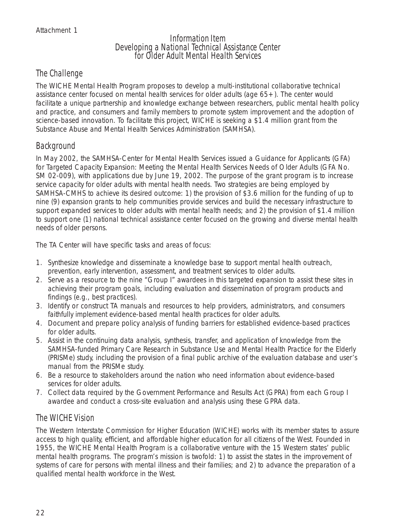# Information Item Developing a National Technical Assistance Center for Older Adult Mental Health Services

# The Challenge

The WICHE Mental Health Program proposes to develop a multi-institutional collaborative technical assistance center focused on mental health services for older adults (age 65+). The center would facilitate a unique partnership and knowledge exchange between researchers, public mental health policy and practice, and consumers and family members to promote system improvement and the adoption of science-based innovation. To facilitate this project, WICHE is seeking a \$1.4 million grant from the Substance Abuse and Mental Health Services Administration (SAMHSA).

# Background

In May 2002, the SAMHSA-Center for Mental Health Services issued a Guidance for Applicants (GFA) for Targeted Capacity Expansion: Meeting the Mental Health Services Needs of Older Adults (GFA No. SM 02-009), with applications due by June 19, 2002. The purpose of the grant program is to increase service capacity for older adults with mental health needs. Two strategies are being employed by SAMHSA-CMHS to achieve its desired outcome: 1) the provision of \$3.6 million for the funding of up to nine (9) expansion grants to help communities provide services and build the necessary infrastructure to support expanded services to older adults with mental health needs; and 2) the provision of \$1.4 million to support one (1) national technical assistance center focused on the growing and diverse mental health needs of older persons.

The TA Center will have specific tasks and areas of focus:

- 1. Synthesize knowledge and disseminate a knowledge base to support mental health outreach, prevention, early intervention, assessment, and treatment services to older adults.
- 2. Serve as a resource to the nine "Group I" awardees in this targeted expansion to assist these sites in achieving their program goals, including evaluation and dissemination of program products and findings (e.g., best practices).
- 3. Identify or construct TA manuals and resources to help providers, administrators, and consumers faithfully implement evidence-based mental health practices for older adults.
- 4. Document and prepare policy analysis of funding barriers for established evidence-based practices for older adults.
- 5. Assist in the continuing data analysis, synthesis, transfer, and application of knowledge from the SAMHSA-funded Primary Care Research in Substance Use and Mental Health Practice for the Elderly (PRISMe) study, including the provision of a final public archive of the evaluation database and user's manual from the PRISMe study.
- 6. Be a resource to stakeholders around the nation who need information about evidence-based services for older adults.
- 7. Collect data required by the Government Performance and Results Act (GPRA) from each Group I awardee and conduct a cross-site evaluation and analysis using these GPRA data.

# The WICHE Vision

The Western Interstate Commission for Higher Education (WICHE) works with its member states to assure access to high quality, efficient, and affordable higher education for all citizens of the West. Founded in 1955, the WICHE Mental Health Program is a collaborative venture with the 15 Western states' public mental health programs. The program's mission is twofold: 1) to assist the states in the improvement of systems of care for persons with mental illness and their families; and 2) to advance the preparation of a qualified mental health workforce in the West.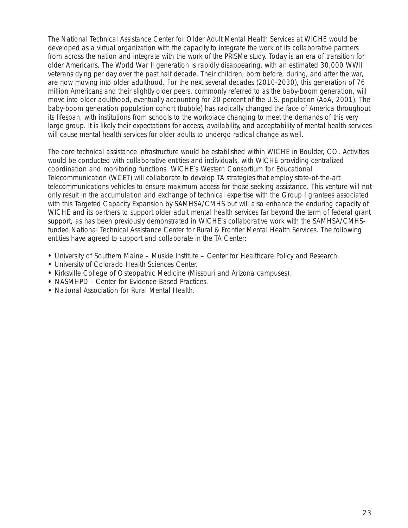The National Technical Assistance Center for Older Adult Mental Health Services at WICHE would be developed as a virtual organization with the capacity to integrate the work of its collaborative partners from across the nation and integrate with the work of the PRISMe study. Today is an era of transition for older Americans. The World War II generation is rapidly disappearing, with an estimated 30,000 WWII veterans dying per day over the past half decade. Their children, born before, during, and after the war, are now moving into older adulthood. For the next several decades (2010-2030), this generation of 76 million Americans and their slightly older peers, commonly referred to as the baby-boom generation, will move into older adulthood, eventually accounting for 20 percent of the U.S. population (AoA, 2001). The baby-boom generation population cohort (bubble) has radically changed the face of America throughout its lifespan, with institutions from schools to the workplace changing to meet the demands of this very large group. It is likely their expectations for access, availability, and acceptability of mental health services will cause mental health services for older adults to undergo radical change as well.

The core technical assistance infrastructure would be established within WICHE in Boulder, CO. Activities would be conducted with collaborative entities and individuals, with WICHE providing centralized coordination and monitoring functions. WICHE's Western Consortium for Educational Telecommunication (WCET) will collaborate to develop TA strategies that employ state-of-the-art telecommunications vehicles to ensure maximum access for those seeking assistance. This venture will not only result in the accumulation and exchange of technical expertise with the Group I grantees associated with this Targeted Capacity Expansion by SAMHSA/CMHS but will also enhance the enduring capacity of WICHE and its partners to support older adult mental health services far beyond the term of federal grant support, as has been previously demonstrated in WICHE's collaborative work with the SAMHSA/CMHSfunded National Technical Assistance Center for Rural & Frontier Mental Health Services. The following entities have agreed to support and collaborate in the TA Center:

- University of Southern Maine Muskie Institute Center for Healthcare Policy and Research.
- University of Colorado Health Sciences Center.
- Kirksville College of Osteopathic Medicine (Missouri and Arizona campuses).
- NASMHPD Center for Evidence-Based Practices.
- National Association for Rural Mental Health.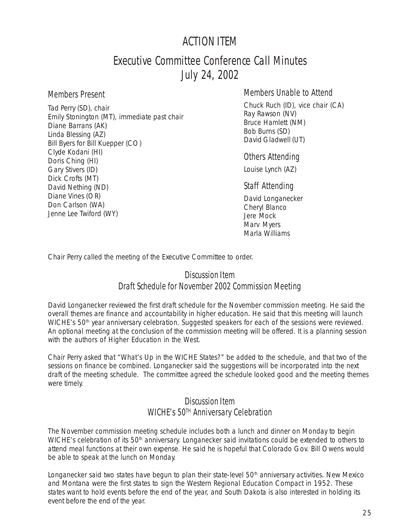# ACTION ITEM

# Executive Committee Conference Call Minutes July 24, 2002

#### Members Present

Tad Perry (SD), chair Emily Stonington (MT), immediate past chair Diane Barrans (AK) Linda Blessing (AZ) Bill Byers for Bill Kuepper (CO) Clyde Kodani (HI) Doris Ching (HI) Gary Stivers (ID) Dick Crofts (MT) David Nething (ND) Diane Vines (OR) Don Carlson (WA) Jenne Lee Twiford (WY)

# Members Unable to Attend

Chuck Ruch (ID), vice chair (CA) Ray Rawson (NV) Bruce Hamlett (NM) Bob Burns (SD) David Gladwell (UT)

#### Others Attending

Louise Lynch (AZ)

#### Staff Attending

David Longanecker Cheryl Blanco Jere Mock Marv Myers Marla Williams

Chair Perry called the meeting of the Executive Committee to order.

## Discussion Item Draft Schedule for November 2002 Commission Meeting

David Longanecker reviewed the first draft schedule for the November commission meeting. He said the overall themes are finance and accountability in higher education. He said that this meeting will launch WICHE's 50<sup>th</sup> year anniversary celebration. Suggested speakers for each of the sessions were reviewed. An optional meeting at the conclusion of the commission meeting will be offered. It is a planning session with the authors of *Higher Education in the West*.

Chair Perry asked that "What's Up in the WICHE States?" be added to the schedule, and that two of the sessions on finance be combined. Longanecker said the suggestions will be incorporated into the next draft of the meeting schedule. The committee agreed the schedule looked good and the meeting themes were timely.

# Discussion Item WICHE's 50<sup>TH</sup> Anniversary Celebration

The November commission meeting schedule includes both a lunch and dinner on Monday to begin WICHE's celebration of its 50<sup>th</sup> anniversary. Longanecker said invitations could be extended to others to attend meal functions at their own expense. He said he is hopeful that Colorado Gov. Bill Owens would be able to speak at the lunch on Monday.

Longanecker said two states have begun to plan their state-level  $50<sup>th</sup>$  anniversary activities. New Mexico and Montana were the first states to sign the Western Regional Education Compact in 1952. These states want to hold events before the end of the year, and South Dakota is also interested in holding its event before the end of the year.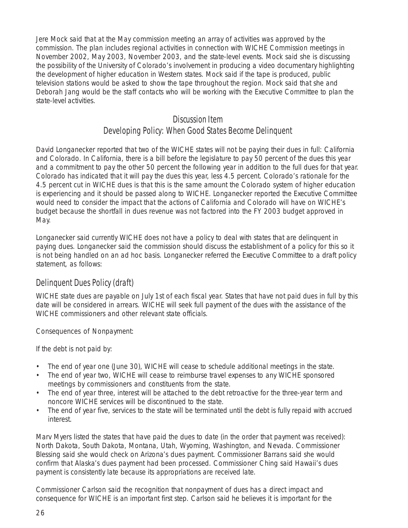Jere Mock said that at the May commission meeting an array of activities was approved by the commission. The plan includes regional activities in connection with WICHE Commission meetings in November 2002, May 2003, November 2003, and the state-level events. Mock said she is discussing the possibility of the University of Colorado's involvement in producing a video documentary highlighting the development of higher education in Western states. Mock said if the tape is produced, public television stations would be asked to show the tape throughout the region. Mock said that she and Deborah Jang would be the staff contacts who will be working with the Executive Committee to plan the state-level activities.

#### Discussion Item

# Developing Policy: When Good States Become Delinquent

David Longanecker reported that two of the WICHE states will not be paying their dues in full: California and Colorado. In California, there is a bill before the legislature to pay 50 percent of the dues this year and a commitment to pay the other 50 percent the following year in addition to the full dues for that year. Colorado has indicated that it will pay the dues this year, less 4.5 percent. Colorado's rationale for the 4.5 percent cut in WICHE dues is that this is the same amount the Colorado system of higher education is experiencing and it should be passed along to WICHE. Longanecker reported the Executive Committee would need to consider the impact that the actions of California and Colorado will have on WICHE's budget because the shortfall in dues revenue was not factored into the FY 2003 budget approved in May.

Longanecker said currently WICHE does not have a policy to deal with states that are delinquent in paying dues. Longanecker said the commission should discuss the establishment of a policy for this so it is not being handled on an ad hoc basis. Longanecker referred the Executive Committee to a draft policy statement, as follows:

## Delinquent Dues Policy (draft)

WICHE state dues are payable on July 1st of each fiscal year. States that have not paid dues in full by this date will be considered in arrears. WICHE will seek full payment of the dues with the assistance of the WICHE commissioners and other relevant state officials.

Consequences of Nonpayment:

If the debt is not paid by:

- The end of year one (June 30), WICHE will cease to schedule additional meetings in the state.
- The end of year two, WICHE will cease to reimburse travel expenses to any WICHE sponsored meetings by commissioners and constituents from the state.
- The end of year three, interest will be attached to the debt retroactive for the three-year term and noncore WICHE services will be discontinued to the state.
- The end of year five, services to the state will be terminated until the debt is fully repaid with accrued interest.

Marv Myers listed the states that have paid the dues to date (in the order that payment was received): North Dakota, South Dakota, Montana, Utah, Wyoming, Washington, and Nevada. Commissioner Blessing said she would check on Arizona's dues payment. Commissioner Barrans said she would confirm that Alaska's dues payment had been processed. Commissioner Ching said Hawaii's dues payment is consistently late because its appropriations are received late.

Commissioner Carlson said the recognition that nonpayment of dues has a direct impact and consequence for WICHE is an important first step. Carlson said he believes it is important for the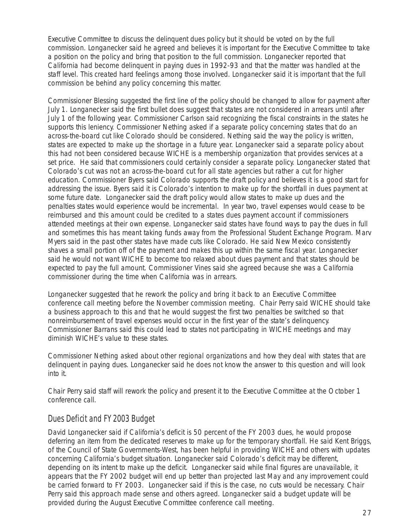Executive Committee to discuss the delinquent dues policy but it should be voted on by the full commission. Longanecker said he agreed and believes it is important for the Executive Committee to take a position on the policy and bring that position to the full commission. Longanecker reported that California had become delinquent in paying dues in 1992-93 and that the matter was handled at the staff level. This created hard feelings among those involved. Longanecker said it is important that the full commission be behind any policy concerning this matter.

Commissioner Blessing suggested the first line of the policy should be changed to allow for payment after July 1. Longanecker said the first bullet does suggest that states are not considered in arrears until after July 1 of the following year. Commissioner Carlson said recognizing the fiscal constraints in the states he supports this leniency. Commissioner Nething asked if a separate policy concerning states that do an across-the-board cut like Colorado should be considered. Nething said the way the policy is written, states are expected to make up the shortage in a future year. Longanecker said a separate policy about this had not been considered because WICHE is a membership organization that provides services at a set price. He said that commissioners could certainly consider a separate policy. Longanecker stated that Colorado's cut was not an across-the-board cut for all state agencies but rather a cut for higher education. Commissioner Byers said Colorado supports the draft policy and believes it is a good start for addressing the issue. Byers said it is Colorado's intention to make up for the shortfall in dues payment at some future date. Longanecker said the draft policy would allow states to make up dues and the penalties states would experience would be incremental. In year two, travel expenses would cease to be reimbursed and this amount could be credited to a states dues payment account if commissioners attended meetings at their own expense. Longanecker said states have found ways to pay the dues in full and sometimes this has meant taking funds away from the Professional Student Exchange Program. Marv Myers said in the past other states have made cuts like Colorado. He said New Mexico consistently shaves a small portion off of the payment and makes this up within the same fiscal year. Longanecker said he would not want WICHE to become too relaxed about dues payment and that states should be expected to pay the full amount. Commissioner Vines said she agreed because she was a California commissioner during the time when California was in arrears.

Longanecker suggested that he rework the policy and bring it back to an Executive Committee conference call meeting before the November commission meeting. Chair Perry said WICHE should take a business approach to this and that he would suggest the first two penalties be switched so that nonreimbursement of travel expenses would occur in the first year of the state's delinquency. Commissioner Barrans said this could lead to states not participating in WICHE meetings and may diminish WICHE's value to these states.

Commissioner Nething asked about other regional organizations and how they deal with states that are delinquent in paying dues. Longanecker said he does not know the answer to this question and will look into it.

Chair Perry said staff will rework the policy and present it to the Executive Committee at the October 1 conference call.

# Dues Deficit and FY 2003 Budget

David Longanecker said if California's deficit is 50 percent of the FY 2003 dues, he would propose deferring an item from the dedicated reserves to make up for the temporary shortfall. He said Kent Briggs, of the Council of State Governments-West, has been helpful in providing WICHE and others with updates concerning California's budget situation. Longanecker said Colorado's deficit may be different, depending on its intent to make up the deficit. Longanecker said while final figures are unavailable, it appears that the FY 2002 budget will end up better than projected last May and any improvement could be carried forward to FY 2003. Longanecker said if this is the case, no cuts would be necessary. Chair Perry said this approach made sense and others agreed. Longanecker said a budget update will be provided during the August Executive Committee conference call meeting.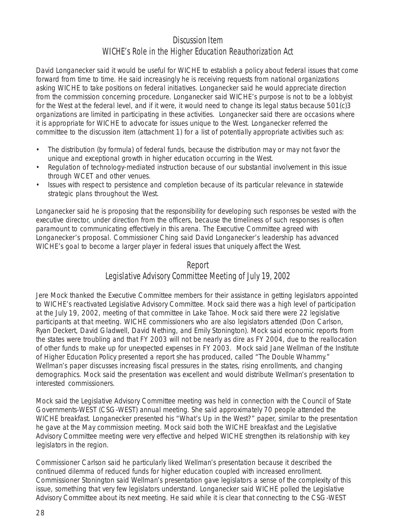# Discussion Item WICHE's Role in the Higher Education Reauthorization Act

David Longanecker said it would be useful for WICHE to establish a policy about federal issues that come forward from time to time. He said increasingly he is receiving requests from national organizations asking WICHE to take positions on federal initiatives. Longanecker said he would appreciate direction from the commission concerning procedure. Longanecker said WICHE's purpose is not to be a lobbyist for the West at the federal level, and if it were, it would need to change its legal status because 501(c)3 organizations are limited in participating in these activities. Longanecker said there are occasions where it is appropriate for WICHE to advocate for issues unique to the West. Longanecker referred the committee to the discussion item (attachment 1) for a list of potentially appropriate activities such as:

- The distribution (by formula) of federal funds, because the distribution may or may not favor the unique and exceptional growth in higher education occurring in the West.
- Regulation of technology-mediated instruction because of our substantial involvement in this issue through WCET and other venues.
- Issues with respect to persistence and completion because of its particular relevance in statewide strategic plans throughout the West.

Longanecker said he is proposing that the responsibility for developing such responses be vested with the executive director, under direction from the officers, because the timeliness of such responses is often paramount to communicating effectively in this arena. The Executive Committee agreed with Longanecker's proposal. Commissioner Ching said David Longanecker's leadership has advanced WICHE's goal to become a larger player in federal issues that uniquely affect the West.

#### Report

# Legislative Advisory Committee Meeting of July 19, 2002

Jere Mock thanked the Executive Committee members for their assistance in getting legislators appointed to WICHE's reactivated Legislative Advisory Committee. Mock said there was a high level of participation at the July 19, 2002, meeting of that committee in Lake Tahoe. Mock said there were 22 legislative participants at that meeting. WICHE commissioners who are also legislators attended (Don Carlson, Ryan Deckert, David Gladwell, David Nething, and Emily Stonington). Mock said economic reports from the states were troubling and that FY 2003 will not be nearly as dire as FY 2004, due to the reallocation of other funds to make up for unexpected expenses in FY 2003. Mock said Jane Wellman of the Institute of Higher Education Policy presented a report she has produced, called "The Double Whammy." Wellman's paper discusses increasing fiscal pressures in the states, rising enrollments, and changing demographics. Mock said the presentation was excellent and would distribute Wellman's presentation to interested commissioners.

Mock said the Legislative Advisory Committee meeting was held in connection with the Council of State Governments-WEST (CSG-WEST) annual meeting. She said approximately 70 people attended the WICHE breakfast. Longanecker presented his "What's Up in the West?" paper, similar to the presentation he gave at the May commission meeting. Mock said both the WICHE breakfast and the Legislative Advisory Committee meeting were very effective and helped WICHE strengthen its relationship with key legislators in the region.

Commissioner Carlson said he particularly liked Wellman's presentation because it described the continued dilemma of reduced funds for higher education coupled with increased enrollment. Commissioner Stonington said Wellman's presentation gave legislators a sense of the complexity of this issue, something that very few legislators understand. Longanecker said WICHE polled the Legislative Advisory Committee about its next meeting. He said while it is clear that connecting to the CSG-WEST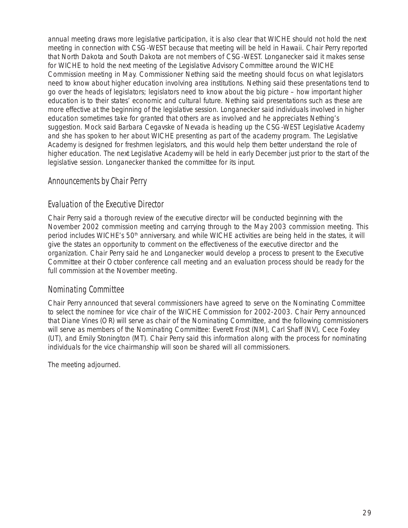annual meeting draws more legislative participation, it is also clear that WICHE should not hold the next meeting in connection with CSG-WEST because that meeting will be held in Hawaii. Chair Perry reported that North Dakota and South Dakota are not members of CSG-WEST. Longanecker said it makes sense for WICHE to hold the next meeting of the Legislative Advisory Committee around the WICHE Commission meeting in May. Commissioner Nething said the meeting should focus on what legislators need to know about higher education involving area institutions. Nething said these presentations tend to go over the heads of legislators; legislators need to know about the big picture – how important higher education is to their states' economic and cultural future. Nething said presentations such as these are more effective at the beginning of the legislative session. Longanecker said individuals involved in higher education sometimes take for granted that others are as involved and he appreciates Nething's suggestion. Mock said Barbara Cegavske of Nevada is heading up the CSG-WEST Legislative Academy and she has spoken to her about WICHE presenting as part of the academy program. The Legislative Academy is designed for freshmen legislators, and this would help them better understand the role of higher education. The next Legislative Academy will be held in early December just prior to the start of the legislative session. Longanecker thanked the committee for its input.

# Announcements by Chair Perry

## Evaluation of the Executive Director

Chair Perry said a thorough review of the executive director will be conducted beginning with the November 2002 commission meeting and carrying through to the May 2003 commission meeting. This period includes WICHE's 50<sup>th</sup> anniversary, and while WICHE activities are being held in the states, it will give the states an opportunity to comment on the effectiveness of the executive director and the organization. Chair Perry said he and Longanecker would develop a process to present to the Executive Committee at their October conference call meeting and an evaluation process should be ready for the full commission at the November meeting.

## Nominating Committee

Chair Perry announced that several commissioners have agreed to serve on the Nominating Committee to select the nominee for vice chair of the WICHE Commission for 2002-2003. Chair Perry announced that Diane Vines (OR) will serve as chair of the Nominating Committee, and the following commissioners will serve as members of the Nominating Committee: Everett Frost (NM), Carl Shaff (NV), Cece Foxley (UT), and Emily Stonington (MT). Chair Perry said this information along with the process for nominating individuals for the vice chairmanship will soon be shared will all commissioners.

The meeting adjourned.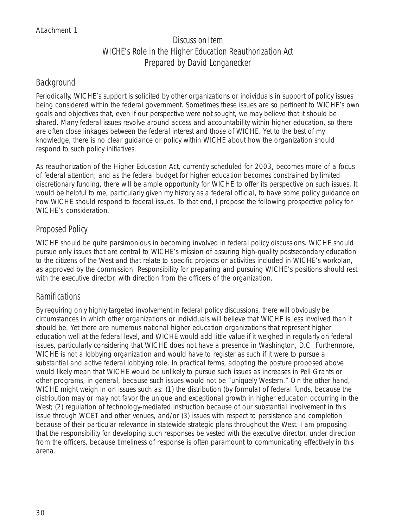# Discussion Item WICHE's Role in the Higher Education Reauthorization Act Prepared by David Longanecker

## Background

Periodically, WICHE's support is solicited by other organizations or individuals in support of policy issues being considered within the federal government. Sometimes these issues are so pertinent to WICHE's own goals and objectives that, even if our perspective were not sought, we may believe that it should be shared. Many federal issues revolve around access and accountability within higher education, so there are often close linkages between the federal interest and those of WICHE. Yet to the best of my knowledge, there is no clear guidance or policy within WICHE about how the organization should respond to such policy initiatives.

As reauthorization of the Higher Education Act, currently scheduled for 2003, becomes more of a focus of federal attention; and as the federal budget for higher education becomes constrained by limited discretionary funding, there will be ample opportunity for WICHE to offer its perspective on such issues. It would be helpful to me, particularly given my history as a federal official, to have some policy guidance on how WICHE should respond to federal issues. To that end, I propose the following prospective policy for WICHE's consideration.

# Proposed Policy

WICHE should be quite parsimonious in becoming involved in federal policy discussions. WICHE should pursue only issues that are central to WICHE's mission of assuring high-quality postsecondary education to the citizens of the West and that relate to specific projects or activities included in WICHE's workplan, as approved by the commission. Responsibility for preparing and pursuing WICHE's positions should rest with the executive director, with direction from the officers of the organization.

# Ramifications

By requiring only highly targeted involvement in federal policy discussions, there will obviously be circumstances in which other organizations or individuals will believe that WICHE is less involved than it should be. Yet there are numerous national higher education organizations that represent higher education well at the federal level, and WICHE would add little value if it weighed in regularly on federal issues, particularly considering that WICHE does not have a presence in Washington, D.C. Furthermore, WICHE is not a lobbying organization and would have to register as such if it were to pursue a substantial and active federal lobbying role. In practical terms, adopting the posture proposed above would likely mean that WICHE would be unlikely to pursue such issues as increases in Pell Grants or other programs, in general, because such issues would not be "uniquely Western." On the other hand, WICHE might weigh in on issues such as: (1) the distribution (by formula) of federal funds, because the distribution may or may not favor the unique and exceptional growth in higher education occurring in the West; (2) regulation of technology-mediated instruction because of our substantial involvement in this issue through WCET and other venues, and/or (3) issues with respect to persistence and completion because of their particular relevance in statewide strategic plans throughout the West. I am proposing that the responsibility for developing such responses be vested with the executive director, under direction from the officers, because timeliness of response is often paramount to communicating effectively in this arena.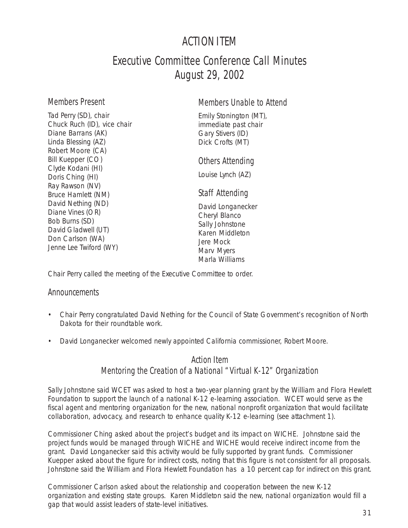# ACTION ITEM

# Executive Committee Conference Call Minutes August 29, 2002

#### Members Present

Members Unable to Attend

Tad Perry (SD), chair Chuck Ruch (ID), vice chair Diane Barrans (AK) Linda Blessing (AZ) Robert Moore (CA) Bill Kuepper (CO) Clyde Kodani (HI) Doris Ching (HI) Ray Rawson (NV) Bruce Hamlett (NM) David Nething (ND) Diane Vines (OR) Bob Burns (SD) David Gladwell (UT) Don Carlson (WA) Jenne Lee Twiford (WY)

Emily Stonington (MT), immediate past chair Gary Stivers (ID) Dick Crofts (MT)

## Others Attending

Louise Lynch (AZ)

## Staff Attending

David Longanecker Cheryl Blanco Sally Johnstone Karen Middleton Jere Mock Marv Myers Marla Williams

Chair Perry called the meeting of the Executive Committee to order.

## **Announcements**

- Chair Perry congratulated David Nething for the Council of State Government's recognition of North Dakota for their roundtable work.
- David Longanecker welcomed newly appointed California commissioner, Robert Moore.

# Action Item Mentoring the Creation of a National "Virtual K-12" Organization

Sally Johnstone said WCET was asked to host a two-year planning grant by the William and Flora Hewlett Foundation to support the launch of a national K-12 e-learning association. WCET would serve as the fiscal agent and mentoring organization for the new, national nonprofit organization that would facilitate collaboration, advocacy, and research to enhance quality K-12 e-learning (see attachment 1).

Commissioner Ching asked about the project's budget and its impact on WICHE. Johnstone said the project funds would be managed through WICHE and WICHE would receive indirect income from the grant. David Longanecker said this activity would be fully supported by grant funds. Commissioner Kuepper asked about the figure for indirect costs, noting that this figure is not consistent for all proposals. Johnstone said the William and Flora Hewlett Foundation has a 10 percent cap for indirect on this grant.

Commissioner Carlson asked about the relationship and cooperation between the new K-12 organization and existing state groups. Karen Middleton said the new, national organization would fill a gap that would assist leaders of state-level initiatives.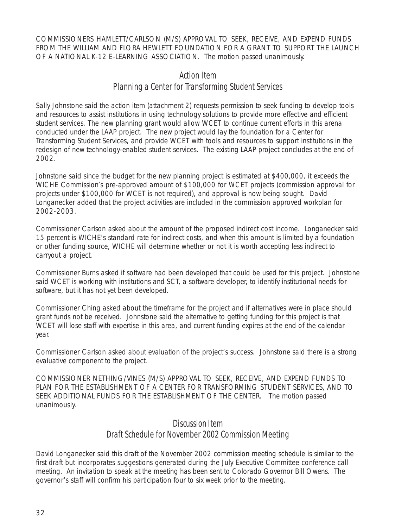COMMISSIONERS HAMLETT/CARLSON (M/S) APPROVAL TO SEEK, RECEIVE, AND EXPEND FUNDS FROM THE WILLIAM AND FLORA HEWLETT FOUNDATION FOR A GRANT TO SUPPORT THE LAUNCH OF A NATIONAL K-12 E-LEARNING ASSOCIATION. The motion passed unanimously.

## Action Item Planning a Center for Transforming Student Services

Sally Johnstone said the action item (attachment 2) requests permission to seek funding to develop tools and resources to assist institutions in using technology solutions to provide more effective and efficient student services. The new planning grant would allow WCET to continue current efforts in this arena conducted under the LAAP project. The new project would lay the foundation for a Center for Transforming Student Services, and provide WCET with tools and resources to support institutions in the redesign of new technology-enabled student services. The existing LAAP project concludes at the end of 2002.

Johnstone said since the budget for the new planning project is estimated at \$400,000, it exceeds the WICHE Commission's pre-approved amount of \$100,000 for WCET projects (commission approval for projects under \$100,000 for WCET is not required), and approval is now being sought. David Longanecker added that the project activities are included in the commission approved workplan for 2002-2003.

Commissioner Carlson asked about the amount of the proposed indirect cost income. Longanecker said 15 percent is WICHE's standard rate for indirect costs, and when this amount is limited by a foundation or other funding source, WICHE will determine whether or not it is worth accepting less indirect to carryout a project.

Commissioner Burns asked if software had been developed that could be used for this project. Johnstone said WCET is working with institutions and SCT, a software developer, to identify institutional needs for software, but it has not yet been developed.

Commissioner Ching asked about the timeframe for the project and if alternatives were in place should grant funds not be received. Johnstone said the alternative to getting funding for this project is that WCET will lose staff with expertise in this area, and current funding expires at the end of the calendar year.

Commissioner Carlson asked about evaluation of the project's success. Johnstone said there is a strong evaluative component to the project.

COMMISSIONER NETHING/VINES (M/S) APPROVAL TO SEEK, RECEIVE, AND EXPEND FUNDS TO PLAN FOR THE ESTABLISHMENT OF A CENTER FOR TRANSFORMING STUDENT SERVICES, AND TO SEEK ADDITIONAL FUNDS FOR THE ESTABLISHMENT OF THE CENTER. The motion passed unanimously.

#### Discussion Item

## Draft Schedule for November 2002 Commission Meeting

David Longanecker said this draft of the November 2002 commission meeting schedule is similar to the first draft but incorporates suggestions generated during the July Executive Committee conference call meeting. An invitation to speak at the meeting has been sent to Colorado Governor Bill Owens. The governor's staff will confirm his participation four to six week prior to the meeting.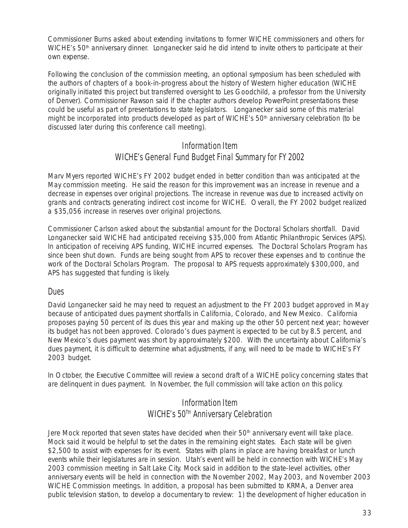Commissioner Burns asked about extending invitations to former WICHE commissioners and others for WICHE's 50<sup>th</sup> anniversary dinner. Longanecker said he did intend to invite others to participate at their own expense.

Following the conclusion of the commission meeting, an optional symposium has been scheduled with the authors of chapters of a book-in-progress about the history of Western higher education (WICHE originally initiated this project but transferred oversight to Les Goodchild, a professor from the University of Denver). Commissioner Rawson said if the chapter authors develop PowerPoint presentations these could be useful as part of presentations to state legislators. Longanecker said some of this material might be incorporated into products developed as part of WICHE's 50<sup>th</sup> anniversary celebration (to be discussed later during this conference call meeting).

## Information Item WICHE's General Fund Budget Final Summary for FY 2002

Marv Myers reported WICHE's FY 2002 budget ended in better condition than was anticipated at the May commission meeting. He said the reason for this improvement was an increase in revenue and a decrease in expenses over original projections. The increase in revenue was due to increased activity on grants and contracts generating indirect cost income for WICHE. Overall, the FY 2002 budget realized a \$35,056 increase in reserves over original projections.

Commissioner Carlson asked about the substantial amount for the Doctoral Scholars shortfall. David Longanecker said WICHE had anticipated receiving \$35,000 from Atlantic Philanthropic Services (APS). In anticipation of receiving APS funding, WICHE incurred expenses. The Doctoral Scholars Program has since been shut down. Funds are being sought from APS to recover these expenses and to continue the work of the Doctoral Scholars Program. The proposal to APS requests approximately \$300,000, and APS has suggested that funding is likely.

#### **Dues**

David Longanecker said he may need to request an adjustment to the FY 2003 budget approved in May because of anticipated dues payment shortfalls in California, Colorado, and New Mexico. California proposes paying 50 percent of its dues this year and making up the other 50 percent next year; however its budget has not been approved. Colorado's dues payment is expected to be cut by 8.5 percent, and New Mexico's dues payment was short by approximately \$200. With the uncertainty about California's dues payment, it is difficult to determine what adjustments, if any, will need to be made to WICHE's FY 2003 budget.

In October, the Executive Committee will review a second draft of a WICHE policy concerning states that are delinquent in dues payment. In November, the full commission will take action on this policy.

# Information Item WICHE's 50<sup>TH</sup> Anniversary Celebration

Jere Mock reported that seven states have decided when their 50<sup>th</sup> anniversary event will take place. Mock said it would be helpful to set the dates in the remaining eight states. Each state will be given \$2,500 to assist with expenses for its event. States with plans in place are having breakfast or lunch events while their legislatures are in session. Utah's event will be held in connection with WICHE's May 2003 commission meeting in Salt Lake City. Mock said in addition to the state-level activities, other anniversary events will be held in connection with the November 2002, May 2003, and November 2003 WICHE Commission meetings. In addition, a proposal has been submitted to KRMA, a Denver area public television station, to develop a documentary to review: 1) the development of higher education in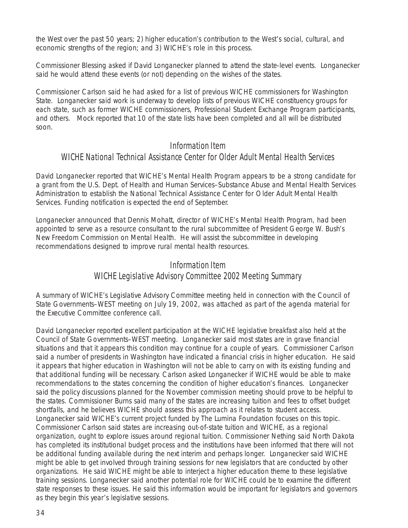the West over the past 50 years; 2) higher education's contribution to the West's social, cultural, and economic strengths of the region; and 3) WICHE's role in this process.

Commissioner Blessing asked if David Longanecker planned to attend the state-level events. Longanecker said he would attend these events (or not) depending on the wishes of the states.

Commissioner Carlson said he had asked for a list of previous WICHE commissioners for Washington State. Longanecker said work is underway to develop lists of previous WICHE constituency groups for each state, such as former WICHE commissioners, Professional Student Exchange Program participants, and others. Mock reported that 10 of the state lists have been completed and all will be distributed soon.

#### Information Item

#### WICHE National Technical Assistance Center for Older Adult Mental Health Services

David Longanecker reported that WICHE's Mental Health Program appears to be a strong candidate for a grant from the U.S. Dept. of Health and Human Services–Substance Abuse and Mental Health Services Administration to establish the National Technical Assistance Center for Older Adult Mental Health Services. Funding notification is expected the end of September.

Longanecker announced that Dennis Mohatt, director of WICHE's Mental Health Program, had been appointed to serve as a resource consultant to the rural subcommittee of President George W. Bush's New Freedom Commission on Mental Health. He will assist the subcommittee in developing recommendations designed to improve rural mental health resources.

# Information Item WICHE Legislative Advisory Committee 2002 Meeting Summary

A summary of WICHE's Legislative Advisory Committee meeting held in connection with the Council of State Governments–WEST meeting on July 19, 2002, was attached as part of the agenda material for the Executive Committee conference call.

David Longanecker reported excellent participation at the WICHE legislative breakfast also held at the Council of State Governments–WEST meeting. Longanecker said most states are in grave financial situations and that it appears this condition may continue for a couple of years. Commissioner Carlson said a number of presidents in Washington have indicated a financial crisis in higher education. He said it appears that higher education in Washington will not be able to carry on with its existing funding and that additional funding will be necessary. Carlson asked Longanecker if WICHE would be able to make recommendations to the states concerning the condition of higher education's finances. Longanecker said the policy discussions planned for the November commission meeting should prove to be helpful to the states. Commissioner Burns said many of the states are increasing tuition and fees to offset budget shortfalls, and he believes WICHE should assess this approach as it relates to student access. Longanecker said WICHE's current project funded by The Lumina Foundation focuses on this topic. Commissioner Carlson said states are increasing out-of-state tuition and WICHE, as a regional organization, ought to explore issues around regional tuition. Commissioner Nething said North Dakota has completed its institutional budget process and the institutions have been informed that there will not be additional funding available during the next interim and perhaps longer. Longanecker said WICHE might be able to get involved through training sessions for new legislators that are conducted by other organizations. He said WICHE might be able to interject a higher education theme to these legislative training sessions. Longanecker said another potential role for WICHE could be to examine the different state responses to these issues. He said this information would be important for legislators and governors as they begin this year's legislative sessions.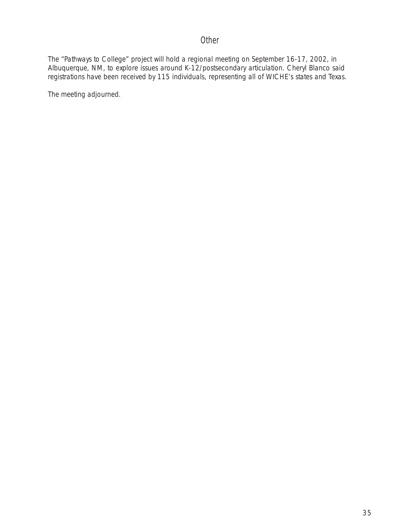# **Other**

The "Pathways to College" project will hold a regional meeting on September 16-17, 2002, in Albuquerque, NM, to explore issues around K-12/postsecondary articulation. Cheryl Blanco said registrations have been received by 115 individuals, representing all of WICHE's states and Texas.

The meeting adjourned.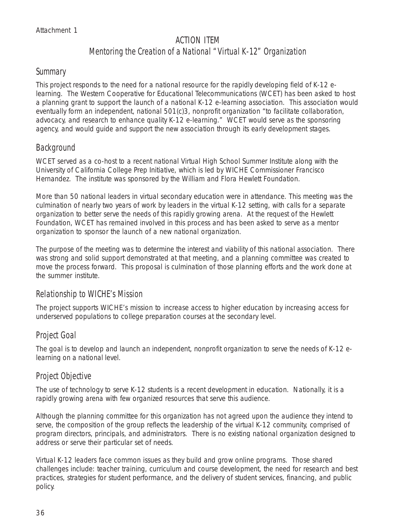# ACTION ITEM Mentoring the Creation of a National "Virtual K-12" Organization

#### **Summary**

This project responds to the need for a national resource for the rapidly developing field of K-12 elearning. The Western Cooperative for Educational Telecommunications (WCET) has been asked to host a planning grant to support the launch of a national K-12 e-learning association. This association would eventually form an independent, national 501(c)3, nonprofit organization "to facilitate collaboration, advocacy, and research to enhance quality K-12 e-learning." WCET would serve as the sponsoring agency, and would guide and support the new association through its early development stages.

## Background

WCET served as a co-host to a recent national Virtual High School Summer Institute along with the University of California College Prep Initiative, which is led by WICHE Commissioner Francisco Hernandez. The institute was sponsored by the William and Flora Hewlett Foundation.

More than 50 national leaders in virtual secondary education were in attendance. This meeting was the culmination of nearly two years of work by leaders in the virtual K-12 setting, with calls for a separate organization to better serve the needs of this rapidly growing arena. At the request of the Hewlett Foundation, WCET has remained involved in this process and has been asked to serve as a mentor organization to sponsor the launch of a new national organization.

The purpose of the meeting was to determine the interest and viability of this national association. There was strong and solid support demonstrated at that meeting, and a planning committee was created to move the process forward. This proposal is culmination of those planning efforts and the work done at the summer institute.

#### Relationship to WICHE's Mission

The project supports WICHE's mission to increase access to higher education by increasing access for underserved populations to college preparation courses at the secondary level.

# Project Goal

The goal is to develop and launch an independent, nonprofit organization to serve the needs of K-12 elearning on a national level.

## Project Objective

The use of technology to serve K-12 students is a recent development in education. Nationally, it is a rapidly growing arena with few organized resources that serve this audience.

Although the planning committee for this organization has not agreed upon the audience they intend to serve, the composition of the group reflects the leadership of the virtual K-12 community, comprised of program directors, principals, and administrators. There is no existing national organization designed to address or serve their particular set of needs.

Virtual K-12 leaders face common issues as they build and grow online programs. Those shared challenges include: teacher training, curriculum and course development, the need for research and best practices, strategies for student performance, and the delivery of student services, financing, and public policy.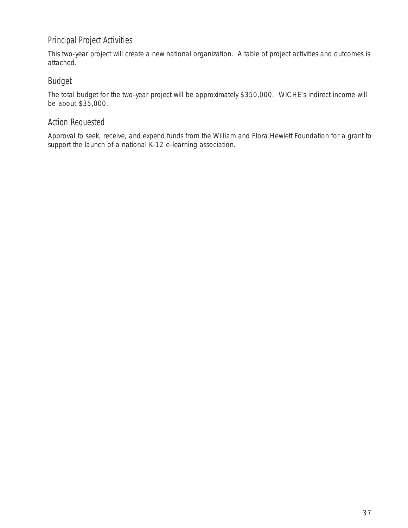# Principal Project Activities

This two-year project will create a new national organization. A table of project activities and outcomes is attached.

#### Budget

The total budget for the two-year project will be approximately \$350,000. WICHE's indirect income will be about \$35,000.

#### Action Requested

Approval to seek, receive, and expend funds from the William and Flora Hewlett Foundation for a grant to support the launch of a national K-12 e-learning association.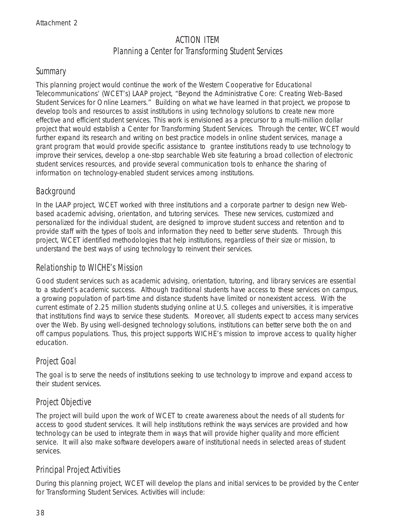# ACTION ITEM Planning a Center for Transforming Student Services

#### **Summary**

This planning project would continue the work of the Western Cooperative for Educational Telecommunications' (WCET's) LAAP project, "Beyond the Administrative Core: Creating Web-Based Student Services for Online Learners." Building on what we have learned in that project, we propose to develop tools and resources to assist institutions in using technology solutions to create new more effective and efficient student services. This work is envisioned as a precursor to a multi-million dollar project that would establish a Center for Transforming Student Services. Through the center, WCET would further expand its research and writing on best practice models in online student services, manage a grant program that would provide specific assistance to grantee institutions ready to use technology to improve their services, develop a one-stop searchable Web site featuring a broad collection of electronic student services resources, and provide several communication tools to enhance the sharing of information on technology-enabled student services among institutions.

## Background

In the LAAP project, WCET worked with three institutions and a corporate partner to design new Webbased academic advising, orientation, and tutoring services. These new services, customized and personalized for the individual student, are designed to improve student success and retention and to provide staff with the types of tools and information they need to better serve students. Through this project, WCET identified methodologies that help institutions, regardless of their size or mission, to understand the best ways of using technology to reinvent their services.

## Relationship to WICHE's Mission

Good student services such as academic advising, orientation, tutoring, and library services are essential to a student's academic success. Although traditional students have access to these services on campus, a growing population of part-time and distance students have limited or nonexistent access. With the current estimate of 2.25 million students studying online at U.S. colleges and universities, it is imperative that institutions find ways to service these students. Moreover, all students expect to access many services over the Web. By using well-designed technology solutions, institutions can better serve both the on and off campus populations. Thus, this project supports WICHE's mission to improve access to quality higher education.

## Project Goal

The goal is to serve the needs of institutions seeking to use technology to improve and expand access to their student services.

# Project Objective

The project will build upon the work of WCET to create awareness about the needs of all students for access to good student services. It will help institutions rethink the ways services are provided and how technology can be used to integrate them in ways that will provide higher quality and more efficient service. It will also make software developers aware of institutional needs in selected areas of student services.

# Principal Project Activities

During this planning project, WCET will develop the plans and initial services to be provided by the Center for Transforming Student Services. Activities will include: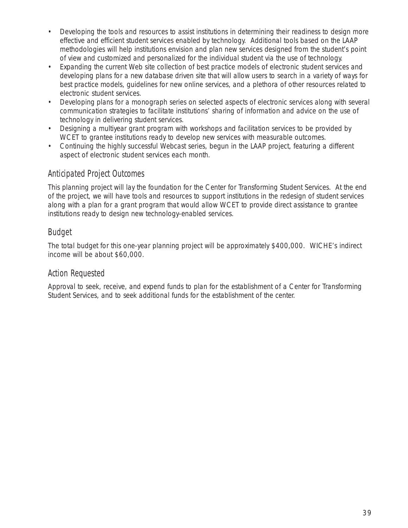- Developing the tools and resources to assist institutions in determining their readiness to design more effective and efficient student services enabled by technology. Additional tools based on the LAAP methodologies will help institutions envision and plan new services designed from the student's point of view and customized and personalized for the individual student via the use of technology.
- Expanding the current Web site collection of best practice models of electronic student services and developing plans for a new database driven site that will allow users to search in a variety of ways for best practice models, guidelines for new online services, and a plethora of other resources related to electronic student services.
- Developing plans for a monograph series on selected aspects of electronic services along with several communication strategies to facilitate institutions' sharing of information and advice on the use of technology in delivering student services.
- Designing a multiyear grant program with workshops and facilitation services to be provided by WCET to grantee institutions ready to develop new services with measurable outcomes.
- Continuing the highly successful Webcast series, begun in the LAAP project, featuring a different aspect of electronic student services each month.

## Anticipated Project Outcomes

This planning project will lay the foundation for the Center for Transforming Student Services. At the end of the project, we will have tools and resources to support institutions in the redesign of student services along with a plan for a grant program that would allow WCET to provide direct assistance to grantee institutions ready to design new technology-enabled services.

# Budget

The total budget for this one-year planning project will be approximately \$400,000. WICHE's indirect income will be about \$60,000.

## Action Requested

Approval to seek, receive, and expend funds to plan for the establishment of a Center for Transforming Student Services, and to seek additional funds for the establishment of the center.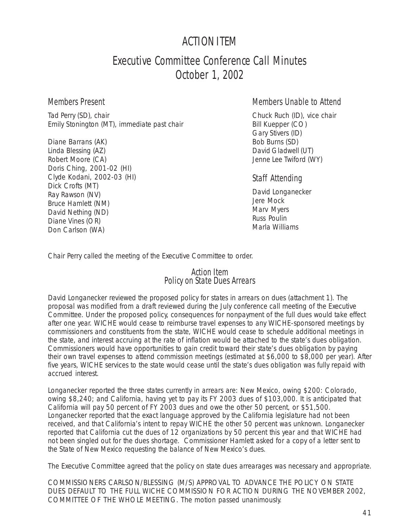# ACTION ITEM

# Executive Committee Conference Call Minutes October 1, 2002

#### Members Present

Tad Perry (SD), chair Emily Stonington (MT), immediate past chair

Diane Barrans (AK) Linda Blessing (AZ) Robert Moore (CA) Doris Ching, 2001-02 (HI) Clyde Kodani, 2002-03 (HI) Dick Crofts (MT) Ray Rawson (NV) Bruce Hamlett (NM) David Nething (ND) Diane Vines (OR) Don Carlson (WA)

#### Members Unable to Attend

Chuck Ruch (ID), vice chair Bill Kuepper (CO) Gary Stivers (ID) Bob Burns (SD) David Gladwell (UT) Jenne Lee Twiford (WY)

#### Staff Attending

David Longanecker Jere Mock Marv Myers Russ Poulin Marla Williams

Chair Perry called the meeting of the Executive Committee to order.

#### Action Item Policy on State Dues Arrears

David Longanecker reviewed the proposed policy for states in arrears on dues (attachment 1). The proposal was modified from a draft reviewed during the July conference call meeting of the Executive Committee. Under the proposed policy, consequences for nonpayment of the full dues would take effect after one year. WICHE would cease to reimburse travel expenses to any WICHE-sponsored meetings by commissioners and constituents from the state, WICHE would cease to schedule additional meetings in the state, and interest accruing at the rate of inflation would be attached to the state's dues obligation. Commissioners would have opportunities to gain credit toward their state's dues obligation by paying their own travel expenses to attend commission meetings (estimated at \$6,000 to \$8,000 per year). After five years, WICHE services to the state would cease until the state's dues obligation was fully repaid with accrued interest.

Longanecker reported the three states currently in arrears are: New Mexico, owing \$200: Colorado, owing \$8,240; and California, having yet to pay its FY 2003 dues of \$103,000. It is anticipated that California will pay 50 percent of FY 2003 dues and owe the other 50 percent, or \$51,500. Longanecker reported that the exact language approved by the California legislature had not been received, and that California's intent to repay WICHE the other 50 percent was unknown. Longanecker reported that California cut the dues of 12 organizations by 50 percent this year and that WICHE had not been singled out for the dues shortage. Commissioner Hamlett asked for a copy of a letter sent to the State of New Mexico requesting the balance of New Mexico's dues.

The Executive Committee agreed that the policy on state dues arrearages was necessary and appropriate.

COMMISSIONERS CARLSON/BLESSING (M/S) APPROVAL TO ADVANCE THE POLICY ON STATE DUES DEFAULT TO THE FULL WICHE COMMISSION FOR ACTION DURING THE NOVEMBER 2002, COMMITTEE OF THE WHOLE MEETING. The motion passed unanimously.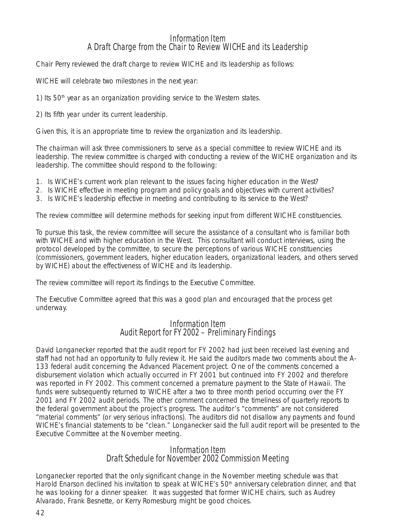#### Information Item A Draft Charge from the Chair to Review WICHE and its Leadership

Chair Perry reviewed the draft charge to review WICHE and its leadership as follows:

WICHE will celebrate two milestones in the next year:

1) Its  $50<sup>th</sup>$  year as an organization providing service to the Western states.

2) Its fifth year under its current leadership.

Given this, it is an appropriate time to review the organization and its leadership.

The chairman will ask three commissioners to serve as a special committee to review WICHE and its leadership. The review committee is charged with conducting a review of the WICHE organization and its leadership. The committee should respond to the following:

- 1. Is WICHE's current work plan relevant to the issues facing higher education in the West?
- 2. Is WICHE effective in meeting program and policy goals and objectives with current activities?
- 3. Is WICHE's leadership effective in meeting and contributing to its service to the West?

The review committee will determine methods for seeking input from different WICHE constituencies.

To pursue this task, the review committee will secure the assistance of a consultant who is familiar both with WICHE and with higher education in the West. This consultant will conduct interviews, using the protocol developed by the committee, to secure the perceptions of various WICHE constituencies (commissioners, government leaders, higher education leaders, organizational leaders, and others served by WICHE) about the effectiveness of WICHE and its leadership.

The review committee will report its findings to the Executive Committee.

The Executive Committee agreed that this was a good plan and encouraged that the process get underway.

#### Information Item Audit Report for FY 2002 – Preliminary Findings

David Longanecker reported that the audit report for FY 2002 had just been received last evening and staff had not had an opportunity to fully review it. He said the auditors made two comments about the A-133 federal audit concerning the Advanced Placement project. One of the comments concerned a disbursement violation which actually occurred in FY 2001 but continued into FY 2002 and therefore was reported in FY 2002. This comment concerned a premature payment to the State of Hawaii. The funds were subsequently returned to WICHE after a two to three month period occurring over the FY 2001 and FY 2002 audit periods. The other comment concerned the timeliness of quarterly reports to the federal government about the project's progress. The auditor's "comments" are not considered "material comments" (or very serious infractions). The auditors did not disallow any payments and found WICHE's financial statements to be "clean." Longanecker said the full audit report will be presented to the Executive Committee at the November meeting.

#### Information Item Draft Schedule for November 2002 Commission Meeting

Longanecker reported that the only significant change in the November meeting schedule was that Harold Enarson declined his invitation to speak at WICHE's 50<sup>th</sup> anniversary celebration dinner, and that he was looking for a dinner speaker. It was suggested that former WICHE chairs, such as Audrey Alvarado, Frank Besnette, or Kerry Romesburg might be good choices.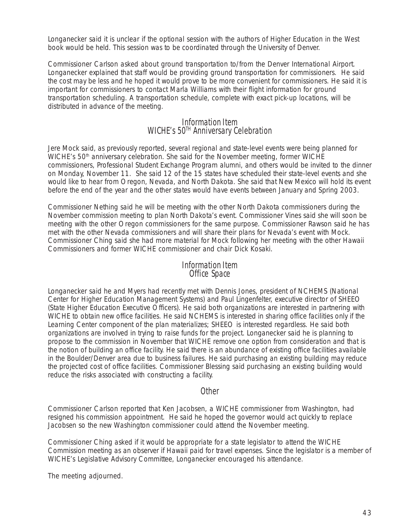Longanecker said it is unclear if the optional session with the authors of *Higher Education in the West* book would be held. This session was to be coordinated through the University of Denver.

Commissioner Carlson asked about ground transportation to/from the Denver International Airport. Longanecker explained that staff would be providing ground transportation for commissioners. He said the cost may be less and he hoped it would prove to be more convenient for commissioners. He said it is important for commissioners to contact Marla Williams with their flight information for ground transportation scheduling. A transportation schedule, complete with exact pick-up locations, will be distributed in advance of the meeting.

#### Information Item WICHE's 50<sup>TH</sup> Anniversary Celebration

Jere Mock said, as previously reported, several regional and state-level events were being planned for WICHE's 50<sup>th</sup> anniversary celebration. She said for the November meeting, former WICHE commissioners, Professional Student Exchange Program alumni, and others would be invited to the dinner on Monday, November 11. She said 12 of the 15 states have scheduled their state-level events and she would like to hear from Oregon, Nevada, and North Dakota. She said that New Mexico will hold its event before the end of the year and the other states would have events between January and Spring 2003.

Commissioner Nething said he will be meeting with the other North Dakota commissioners during the November commission meeting to plan North Dakota's event. Commissioner Vines said she will soon be meeting with the other Oregon commissioners for the same purpose. Commissioner Rawson said he has met with the other Nevada commissioners and will share their plans for Nevada's event with Mock. Commissioner Ching said she had more material for Mock following her meeting with the other Hawaii Commissioners and former WICHE commissioner and chair Dick Kosaki.

#### Information Item Office Space

Longanecker said he and Myers had recently met with Dennis Jones, president of NCHEMS (National Center for Higher Education Management Systems) and Paul Lingenfelter, executive director of SHEEO (State Higher Education Executive Officers). He said both organizations are interested in partnering with WICHE to obtain new office facilities. He said NCHEMS is interested in sharing office facilities only if the Learning Center component of the plan materializes; SHEEO is interested regardless. He said both organizations are involved in trying to raise funds for the project. Longanecker said he is planning to propose to the commission in November that WICHE remove one option from consideration and that is the notion of building an office facility. He said there is an abundance of existing office facilities available in the Boulder/Denver area due to business failures. He said purchasing an existing building may reduce the projected cost of office facilities. Commissioner Blessing said purchasing an existing building would reduce the risks associated with constructing a facility.

#### Other

Commissioner Carlson reported that Ken Jacobsen, a WICHE commissioner from Washington, had resigned his commission appointment. He said he hoped the governor would act quickly to replace Jacobsen so the new Washington commissioner could attend the November meeting.

Commissioner Ching asked if it would be appropriate for a state legislator to attend the WICHE Commission meeting as an observer if Hawaii paid for travel expenses. Since the legislator is a member of WICHE's Legislative Advisory Committee, Longanecker encouraged his attendance.

The meeting adjourned.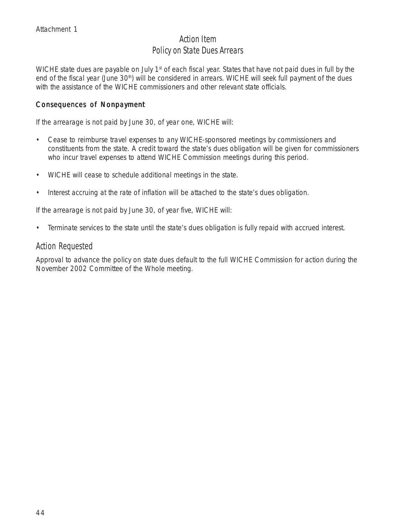## Action Item Policy on State Dues Arrears

WICHE state dues are payable on July 1<sup>st</sup> of each fiscal year. States that have not paid dues in full by the end of the fiscal year (June 30<sup>th</sup>) will be considered in arrears. WICHE will seek full payment of the dues with the assistance of the WICHE commissioners and other relevant state officials.

#### Consequences of Nonpayment

If the arrearage is not paid by June 30, of year one, WICHE will:

- Cease to reimburse travel expenses to any WICHE-sponsored meetings by commissioners and constituents from the state. A credit toward the state's dues obligation will be given for commissioners who incur travel expenses to attend WICHE Commission meetings during this period.
- WICHE will cease to schedule additional meetings in the state.
- Interest accruing at the rate of inflation will be attached to the state's dues obligation.

If the arrearage is not paid by June 30, of year five, WICHE will:

• Terminate services to the state until the state's dues obligation is fully repaid with accrued interest.

#### Action Requested

Approval to advance the policy on state dues default to the full WICHE Commission for action during the November 2002 Committee of the Whole meeting.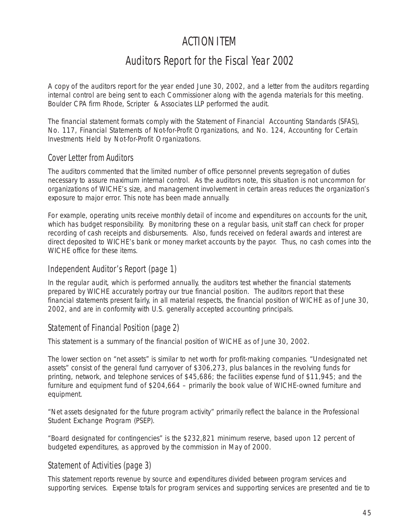## ACTION ITEM

## Auditors Report for the Fiscal Year 2002

A copy of the auditors report for the year ended June 30, 2002, and a letter from the auditors regarding internal control are being sent to each Commissioner along with the agenda materials for this meeting. Boulder CPA firm Rhode, Scripter & Associates LLP performed the audit.

The financial statement formats comply with the Statement of Financial Accounting Standards (SFAS), No. 117, *Financial Statements of Not-for-Profit Organization*s, and No. 124, *Accounting for Certain Investments Held by Not-for-Profit Organizations.*

### Cover Letter from Auditors

The auditors commented that the limited number of office personnel prevents segregation of duties necessary to assure maximum internal control. As the auditors note, this situation is not uncommon for organizations of WICHE's size, and management involvement in certain areas reduces the organization's exposure to major error. This note has been made annually.

For example, operating units receive monthly detail of income and expenditures on accounts for the unit, which has budget responsibility. By monitoring these on a regular basis, unit staff can check for proper recording of cash receipts and disbursements. Also, funds received on federal awards and interest are direct deposited to WICHE's bank or money market accounts by the payor. Thus, no cash comes into the WICHE office for these items.

#### Independent Auditor's Report (page 1)

In the regular audit, which is performed annually, the auditors test whether the financial statements prepared by WICHE accurately portray our true financial position. The auditors report that these financial statements present fairly, in all material respects, the financial position of WICHE as of June 30, 2002, and are in conformity with U.S. generally accepted accounting principals.

### Statement of Financial Position (page 2)

This statement is a summary of the financial position of WICHE as of June 30, 2002.

The lower section on "net assets" is similar to net worth for profit-making companies. "Undesignated net assets" consist of the general fund carryover of \$306,273, plus balances in the revolving funds for printing, network, and telephone services of \$45,686; the facilities expense fund of \$11,945; and the furniture and equipment fund of \$204,664 – primarily the book value of WICHE-owned furniture and equipment.

"Net assets designated for the future program activity" primarily reflect the balance in the Professional Student Exchange Program (PSEP).

"Board designated for contingencies" is the \$232,821 minimum reserve, based upon 12 percent of budgeted expenditures, as approved by the commission in May of 2000.

#### Statement of Activities (page 3)

This statement reports revenue by source and expenditures divided between program services and supporting services. Expense totals for program services and supporting services are presented and tie to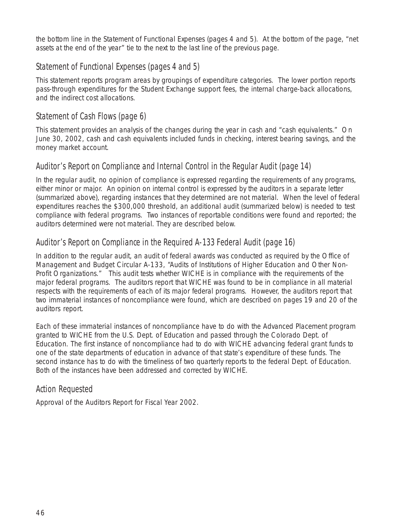the bottom line in the Statement of Functional Expenses (pages 4 and 5). At the bottom of the page, "net assets at the end of the year" tie to the next to the last line of the previous page.

## Statement of Functional Expenses (pages 4 and 5)

This statement reports program areas by groupings of expenditure categories. The lower portion reports pass-through expenditures for the Student Exchange support fees, the internal charge-back allocations, and the indirect cost allocations.

### Statement of Cash Flows (page 6)

This statement provides an analysis of the changes during the year in cash and "cash equivalents." On June 30, 2002, cash and cash equivalents included funds in checking, interest bearing savings, and the money market account.

## Auditor's Report on Compliance and Internal Control in the Regular Audit (page 14)

In the regular audit, no opinion of compliance is expressed regarding the requirements of any programs, either minor or major. An opinion on internal control is expressed by the auditors in a separate letter (summarized above), regarding instances that they determined are not material. When the level of federal expenditures reaches the \$300,000 threshold, an additional audit (summarized below) is needed to test compliance with federal programs. Two instances of reportable conditions were found and reported; the auditors determined were not material. They are described below.

### Auditor's Report on Compliance in the Required A-133 Federal Audit (page 16)

In addition to the regular audit, an audit of federal awards was conducted as required by the Office of Management and Budget Circular A-133, "Audits of Institutions of Higher Education and Other Non-Profit Organizations." This audit tests whether WICHE is in compliance with the requirements of the major federal programs. The auditors report that WICHE was found to be in compliance in all material respects with the requirements of each of its major federal programs. However, the auditors report that two immaterial instances of noncompliance were found, which are described on pages 19 and 20 of the auditors report.

Each of these immaterial instances of noncompliance have to do with the Advanced Placement program granted to WICHE from the U.S. Dept. of Education and passed through the Colorado Dept. of Education. The first instance of noncompliance had to do with WICHE advancing federal grant funds to one of the state departments of education in advance of that state's expenditure of these funds. The second instance has to do with the timeliness of two quarterly reports to the federal Dept. of Education. Both of the instances have been addressed and corrected by WICHE.

### Action Requested

Approval of the Auditors Report for Fiscal Year 2002.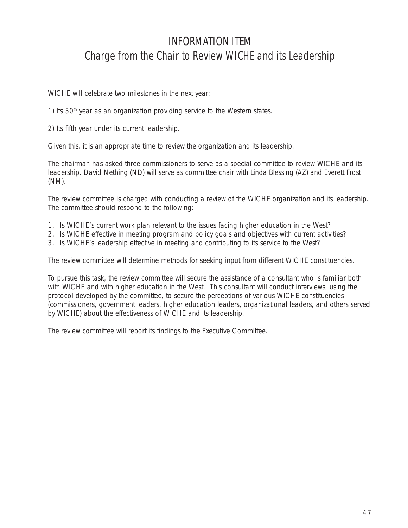## INFORMATION ITEM Charge from the Chair to Review WICHE and its Leadership

WICHE will celebrate two milestones in the next year:

1) Its  $50<sup>th</sup>$  year as an organization providing service to the Western states.

2) Its fifth year under its current leadership.

Given this, it is an appropriate time to review the organization and its leadership.

The chairman has asked three commissioners to serve as a special committee to review WICHE and its leadership. David Nething (ND) will serve as committee chair with Linda Blessing (AZ) and Everett Frost (NM).

The review committee is charged with conducting a review of the WICHE organization and its leadership. The committee should respond to the following:

- 1. Is WICHE's current work plan relevant to the issues facing higher education in the West?
- 2. Is WICHE effective in meeting program and policy goals and objectives with current activities?
- 3. Is WICHE's leadership effective in meeting and contributing to its service to the West?

The review committee will determine methods for seeking input from different WICHE constituencies.

To pursue this task, the review committee will secure the assistance of a consultant who is familiar both with WICHE and with higher education in the West. This consultant will conduct interviews, using the protocol developed by the committee, to secure the perceptions of various WICHE constituencies (commissioners, government leaders, higher education leaders, organizational leaders, and others served by WICHE) about the effectiveness of WICHE and its leadership.

The review committee will report its findings to the Executive Committee.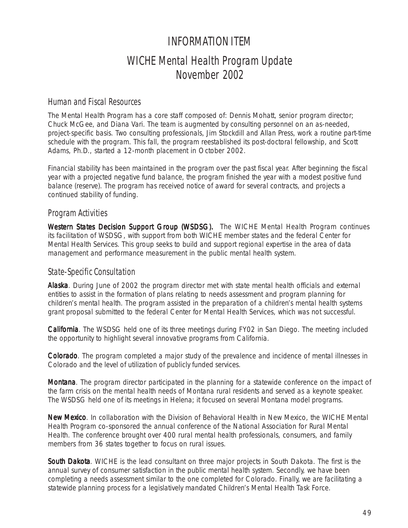## INFORMATION ITEM WICHE Mental Health Program Update November 2002

#### Human and Fiscal Resources

The Mental Health Program has a core staff composed of: Dennis Mohatt, senior program director; Chuck McGee, and Diana Vari. The team is augmented by consulting personnel on an as-needed, project-specific basis. Two consulting professionals, Jim Stockdill and Allan Press, work a routine part-time schedule with the program. This fall, the program reestablished its post-doctoral fellowship, and Scott Adams, Ph.D., started a 12-month placement in October 2002.

Financial stability has been maintained in the program over the past fiscal year. After beginning the fiscal year with a projected negative fund balance, the program finished the year with a modest positive fund balance (reserve). The program has received notice of award for several contracts, and projects a continued stability of funding.

### Program Activities

Western States Decision Support Group (WSDSG). The WICHE Mental Health Program continues its facilitation of WSDSG, with support from both WICHE member states and the federal Center for Mental Health Services. This group seeks to build and support regional expertise in the area of data management and performance measurement in the public mental health system.

#### State-Specific Consultation

Alaska. During June of 2002 the program director met with state mental health officials and external entities to assist in the formation of plans relating to needs assessment and program planning for children's mental health. The program assisted in the preparation of a children's mental health systems grant proposal submitted to the federal Center for Mental Health Services, which was not successful.

California. The WSDSG held one of its three meetings during FY02 in San Diego. The meeting included the opportunity to highlight several innovative programs from California.

Colorado. The program completed a major study of the prevalence and incidence of mental illnesses in Colorado and the level of utilization of publicly funded services.

**Montana**. The program director participated in the planning for a statewide conference on the impact of the farm crisis on the mental health needs of Montana rural residents and served as a keynote speaker. The WSDSG held one of its meetings in Helena; it focused on several Montana model programs.

New Mexico. In collaboration with the Division of Behavioral Health in New Mexico, the WICHE Mental Health Program co-sponsored the annual conference of the National Association for Rural Mental Health. The conference brought over 400 rural mental health professionals, consumers, and family members from 36 states together to focus on rural issues.

South Dakota. WICHE is the lead consultant on three major projects in South Dakota. The first is the annual survey of consumer satisfaction in the public mental health system. Secondly, we have been completing a needs assessment similar to the one completed for Colorado. Finally, we are facilitating a statewide planning process for a legislatively mandated Children's Mental Health Task Force.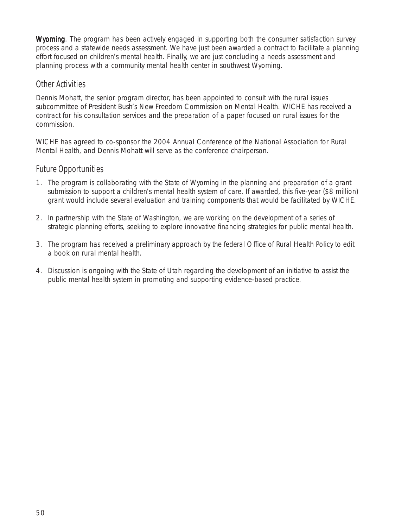Wyoming. The program has been actively engaged in supporting both the consumer satisfaction survey process and a statewide needs assessment. We have just been awarded a contract to facilitate a planning effort focused on children's mental health. Finally, we are just concluding a needs assessment and planning process with a community mental health center in southwest Wyoming.

#### Other Activities

Dennis Mohatt, the senior program director, has been appointed to consult with the rural issues subcommittee of President Bush's New Freedom Commission on Mental Health. WICHE has received a contract for his consultation services and the preparation of a paper focused on rural issues for the commission.

WICHE has agreed to co-sponsor the 2004 Annual Conference of the National Association for Rural Mental Health, and Dennis Mohatt will serve as the conference chairperson.

### Future Opportunities

- 1. The program is collaborating with the State of Wyoming in the planning and preparation of a grant submission to support a children's mental health system of care. If awarded, this five-year (\$8 million) grant would include several evaluation and training components that would be facilitated by WICHE.
- 2. In partnership with the State of Washington, we are working on the development of a series of strategic planning efforts, seeking to explore innovative financing strategies for public mental health.
- 3. The program has received a preliminary approach by the federal Office of Rural Health Policy to edit a book on rural mental health.
- 4. Discussion is ongoing with the State of Utah regarding the development of an initiative to assist the public mental health system in promoting and supporting evidence-based practice.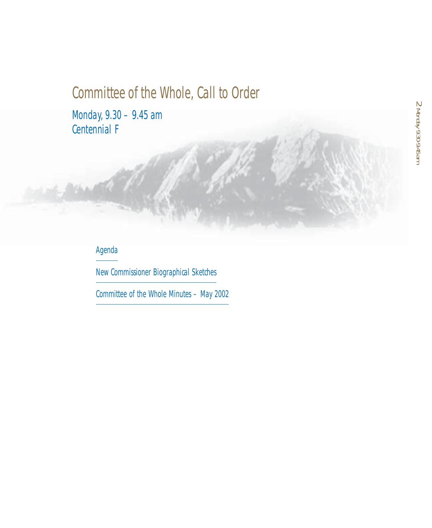# Committee of the Whole, Call to Order

Monday, 9.30 – 9.45 am Centennial F

## **Agenda**

New Commissioner Biographical Sketches

Committee of the Whole Minutes – May 2002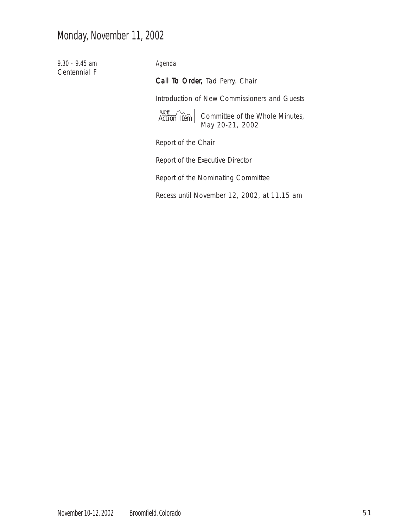## Monday, November 11, 2002

9.30 - 9.45 am Centennial F Agenda

Call To Order, Tad Perry, Chair

Introduction of New Commissioners and Guests



Committee of the Whole Minutes, May 20-21, 2002

Report of the Chair

Report of the Executive Director

Report of the Nominating Committee

Recess until November 12, 2002, at 11.15 am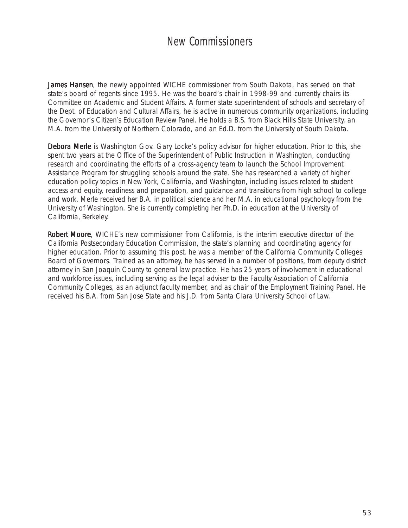## New Commissioners

James Hansen, the newly appointed WICHE commissioner from South Dakota, has served on that state's board of regents since 1995. He was the board's chair in 1998-99 and currently chairs its Committee on Academic and Student Affairs. A former state superintendent of schools and secretary of the Dept. of Education and Cultural Affairs, he is active in numerous community organizations, including the Governor's Citizen's Education Review Panel. He holds a B.S. from Black Hills State University, an M.A. from the University of Northern Colorado, and an Ed.D. from the University of South Dakota.

Debora Merle is Washington Gov. Gary Locke's policy advisor for higher education. Prior to this, she spent two years at the Office of the Superintendent of Public Instruction in Washington, conducting research and coordinating the efforts of a cross-agency team to launch the School Improvement Assistance Program for struggling schools around the state. She has researched a variety of higher education policy topics in New York, California, and Washington, including issues related to student access and equity, readiness and preparation, and guidance and transitions from high school to college and work. Merle received her B.A. in political science and her M.A. in educational psychology from the University of Washington. She is currently completing her Ph.D. in education at the University of California, Berkeley.

Robert Moore, WICHE's new commissioner from California, is the interim executive director of the California Postsecondary Education Commission, the state's planning and coordinating agency for higher education. Prior to assuming this post, he was a member of the California Community Colleges Board of Governors. Trained as an attorney, he has served in a number of positions, from deputy district attorney in San Joaquin County to general law practice. He has 25 years of involvement in educational and workforce issues, including serving as the legal adviser to the Faculty Association of California Community Colleges, as an adjunct faculty member, and as chair of the Employment Training Panel. He received his B.A. from San Jose State and his J.D. from Santa Clara University School of Law.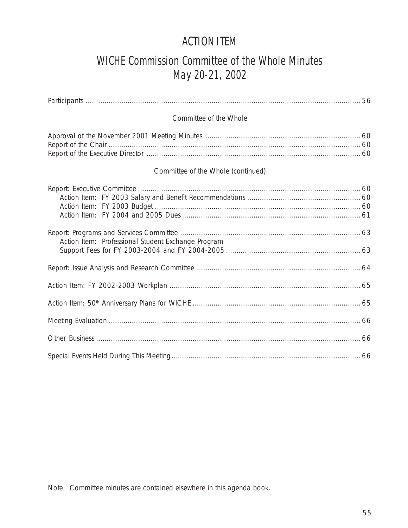## ACTION ITEM

## WICHE Commission Committee of the Whole Minutes May 20-21, 2002

| Committee of the Whole                             |  |
|----------------------------------------------------|--|
|                                                    |  |
| Committee of the Whole (continued)                 |  |
|                                                    |  |
| Action Item: Professional Student Exchange Program |  |
|                                                    |  |
|                                                    |  |
|                                                    |  |
|                                                    |  |
|                                                    |  |
|                                                    |  |

Note: Committee minutes are contained elsewhere in this agenda book.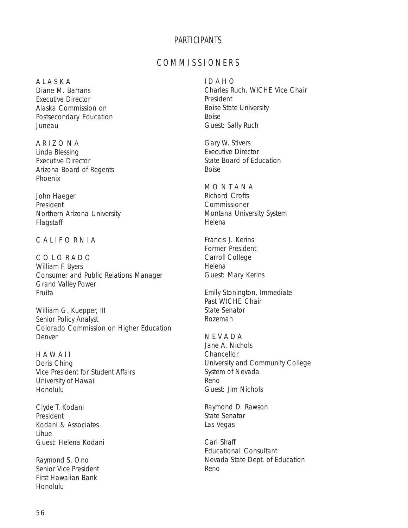#### PARTICIPANTS

### C O M M I S S I O N E R S

#### A L A S K A

Diane M. Barrans Executive Director Alaska Commission on Postsecondary Education Juneau

A R I Z O N A Linda Blessing Executive Director Arizona Board of Regents Phoenix

John Haeger President Northern Arizona University Flagstaff

#### C A L I F O R N I A

C O L O R A D O William F. Byers Consumer and Public Relations Manager Grand Valley Power Fruita

William G. Kuepper, III Senior Policy Analyst Colorado Commission on Higher Education Denver

H A W A I I Doris Ching Vice President for Student Affairs University of Hawaii Honolulu

Clyde T. Kodani President Kodani & Associates Lihue Guest: Helena Kodani

Raymond S. Ono Senior Vice President First Hawaiian Bank Honolulu

I D A H O Charles Ruch, WICHE Vice Chair President Boise State University Boise Guest: Sally Ruch

Gary W. Stivers Executive Director State Board of Education Boise

M O N T A N A Richard Crofts **Commissioner** Montana University System Helena

Francis J. Kerins Former President Carroll College Helena Guest: Mary Kerins

Emily Stonington, Immediate Past WICHE Chair State Senator Bozeman

N E V A D A Jane A. Nichols Chancellor University and Community College System of Nevada Reno Guest: Jim Nichols

Raymond D. Rawson State Senator Las Vegas

Carl Shaff Educational Consultant Nevada State Dept. of Education Reno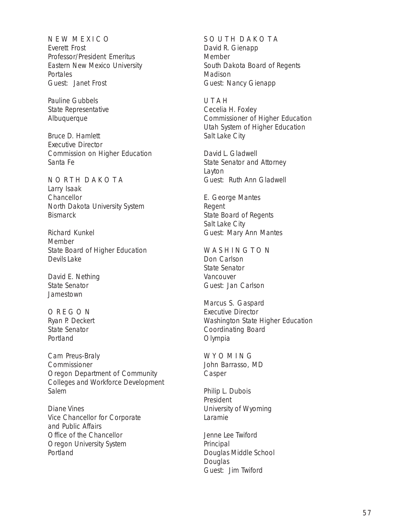N E W M E X I C O Everett Frost Professor/President Emeritus Eastern New Mexico University **Portales** Guest: Janet Frost

Pauline Gubbels State Representative Albuquerque

Bruce D. Hamlett Executive Director Commission on Higher Education Santa Fe

N O R T H D A K O T A Larry Isaak **Chancellor** North Dakota University System **Bismarck** 

Richard Kunkel Member State Board of Higher Education Devils Lake

David E. Nething State Senator Jamestown

O R E G O N Ryan P. Deckert State Senator Portland

Cam Preus-Braly Commissioner Oregon Department of Community Colleges and Workforce Development Salem

Diane Vines Vice Chancellor for Corporate and Public Affairs Office of the Chancellor Oregon University System Portland

#### SOUTH DAKOTA

David R. Gienapp Member South Dakota Board of Regents Madison Guest: Nancy Gienapp

U T A H Cecelia H. Foxley Commissioner of Higher Education Utah System of Higher Education Salt Lake City

David L. Gladwell State Senator and Attorney Layton Guest: Ruth Ann Gladwell

E. George Mantes Regent State Board of Regents Salt Lake City Guest: Mary Ann Mantes

W A S H I N G T O N Don Carlson State Senator Vancouver Guest: Jan Carlson

Marcus S. Gaspard Executive Director Washington State Higher Education Coordinating Board Olympia

W Y O M I N G John Barrasso, MD Casper

Philip L. Dubois President University of Wyoming Laramie

Jenne Lee Twiford Principal Douglas Middle School **Douglas** Guest: Jim Twiford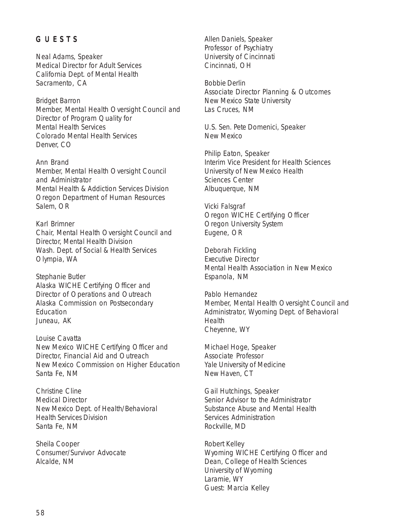#### G U E S T S

Neal Adams, Speaker Medical Director for Adult Services California Dept. of Mental Health Sacramento, CA

Bridget Barron Member, Mental Health Oversight Council and Director of Program Quality for Mental Health Services Colorado Mental Health Services Denver, CO

Ann Brand Member, Mental Health Oversight Council and Administrator Mental Health & Addiction Services Division Oregon Department of Human Resources Salem, OR

Karl Brimner Chair, Mental Health Oversight Council and Director, Mental Health Division Wash. Dept. of Social & Health Services Olympia, WA

Stephanie Butler Alaska WICHE Certifying Officer and Director of Operations and Outreach Alaska Commission on Postsecondary Education Juneau, AK

Louise Cavatta New Mexico WICHE Certifying Officer and Director, Financial Aid and Outreach New Mexico Commission on Higher Education Santa Fe, NM

Christine Cline Medical Director New Mexico Dept. of Health/Behavioral Health Services Division Santa Fe, NM

Sheila Cooper Consumer/Survivor Advocate Alcalde, NM

Allen Daniels, Speaker Professor of Psychiatry University of Cincinnati Cincinnati, OH

Bobbie Derlin Associate Director Planning & Outcomes New Mexico State University Las Cruces, NM

U.S. Sen. Pete Domenici, Speaker New Mexico

Philip Eaton, Speaker Interim Vice President for Health Sciences University of New Mexico Health Sciences Center Albuquerque, NM

Vicki Falsgraf Oregon WICHE Certifying Officer Oregon University System Eugene, OR

Deborah Fickling Executive Director Mental Health Association in New Mexico Espanola, NM

Pablo Hernandez Member, Mental Health Oversight Council and Administrator, Wyoming Dept. of Behavioral Health Cheyenne, WY

Michael Hoge, Speaker Associate Professor Yale University of Medicine New Haven, CT

Gail Hutchings, Speaker Senior Advisor to the Administrator Substance Abuse and Mental Health Services Administration Rockville, MD

Robert Kelley Wyoming WICHE Certifying Officer and Dean, College of Health Sciences University of Wyoming Laramie, WY Guest: Marcia Kelley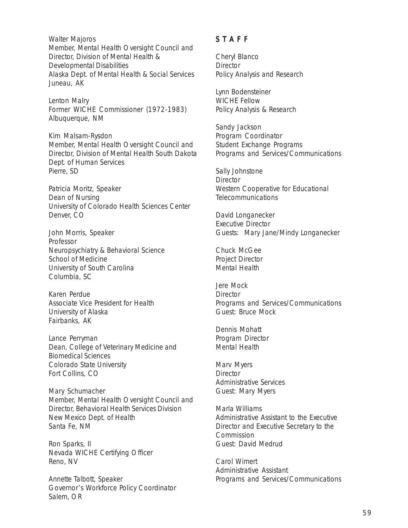Walter Majoros Member, Mental Health Oversight Council and Director, Division of Mental Health & Developmental Disabilities Alaska Dept. of Mental Health & Social Services Juneau, AK

Lenton Malry Former WICHE Commissioner (1972-1983) Albuquerque, NM

Kim Malsam-Rysdon Member, Mental Health Oversight Council and Director, Division of Mental Health South Dakota Dept. of Human Services Pierre, SD

Patricia Moritz, Speaker Dean of Nursing University of Colorado Health Sciences Center Denver, CO

John Morris, Speaker Professor Neuropsychiatry & Behavioral Science School of Medicine University of South Carolina Columbia, SC

Karen Perdue Associate Vice President for Health University of Alaska Fairbanks, AK

Lance Perryman Dean, College of Veterinary Medicine and Biomedical Sciences Colorado State University Fort Collins, CO

Mary Schumacher Member, Mental Health Oversight Council and Director, Behavioral Health Services Division New Mexico Dept. of Health Santa Fe, NM

Ron Sparks, II Nevada WICHE Certifying Officer Reno, NV

Annette Talbott, Speaker Governor's Workforce Policy Coordinator Salem, OR

#### S T A F F

Cheryl Blanco **Director** Policy Analysis and Research

Lynn Bodensteiner WICHE Fellow Policy Analysis & Research

Sandy Jackson Program Coordinator Student Exchange Programs Programs and Services/Communications

Sally Johnstone **Director** Western Cooperative for Educational **Telecommunications** 

David Longanecker Executive Director Guests: Mary Jane/Mindy Longanecker

Chuck McGee Project Director Mental Health

Jere Mock **Director** Programs and Services/Communications Guest: Bruce Mock

Dennis Mohatt Program Director Mental Health

Marv Myers **Director** Administrative Services Guest: Mary Myers

Marla Williams Administrative Assistant to the Executive Director and Executive Secretary to the Commission Guest: David Medrud

Carol Wimert Administrative Assistant Programs and Services/Communications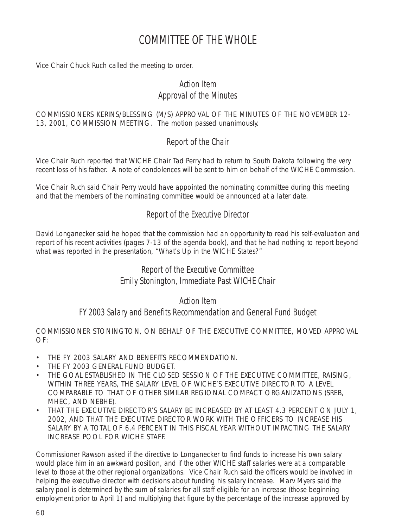## COMMITTEE OF THE WHOLE

Vice Chair Chuck Ruch called the meeting to order.

## Action Item Approval of the Minutes

COMMISSIONERS KERINS/BLESSING (M/S) APPROVAL OF THE MINUTES OF THE NOVEMBER 12- 13, 2001, COMMISSION MEETING. The motion passed unanimously.

## Report of the Chair

Vice Chair Ruch reported that WICHE Chair Tad Perry had to return to South Dakota following the very recent loss of his father. A note of condolences will be sent to him on behalf of the WICHE Commission.

Vice Chair Ruch said Chair Perry would have appointed the nominating committee during this meeting and that the members of the nominating committee would be announced at a later date.

## Report of the Executive Director

David Longanecker said he hoped that the commission had an opportunity to read his self-evaluation and report of his recent activities (pages 7-13 of the agenda book), and that he had nothing to report beyond what was reported in the presentation, "What's Up in the WICHE States?"

## Report of the Executive Committee Emily Stonington, Immediate Past WICHE Chair

#### Action Item

### FY 2003 Salary and Benefits Recommendation and General Fund Budget

COMMISSIONER STONINGTON, ON BEHALF OF THE EXECUTIVE COMMITTEE, MOVED APPROVAL  $OF<sup>+</sup>$ 

- THE FY 2003 SALARY AND BENEFITS RECOMMENDATION
- THE FY 2003 GENERAL FUND BUDGET.
- THE GOAL ESTABLISHED IN THE CLOSED SESSION OF THE EXECUTIVE COMMITTEE, RAISING, WITHIN THREE YEARS, THE SALARY LEVEL OF WICHE'S EXECUTIVE DIRECTOR TO A LEVEL COMPARABLE TO THAT OF OTHER SIMILAR REGIONAL COMPACT ORGANIZATIONS (SREB, MHEC, AND NEBHE).
- THAT THE EXECUTIVE DIRECTOR'S SALARY BE INCREASED BY AT LEAST 4.3 PERCENT ON JULY 1, 2002, AND THAT THE EXECUTIVE DIRECTOR WORK WITH THE OFFICERS TO INCREASE HIS SALARY BY A TOTAL OF 6.4 PERCENT IN THIS FISCAL YEAR WITHOUT IMPACTING THE SALARY INCREASE POOL FOR WICHE STAFF.

Commissioner Rawson asked if the directive to Longanecker to find funds to increase his own salary would place him in an awkward position, and if the other WICHE staff salaries were at a comparable level to those at the other regional organizations. Vice Chair Ruch said the officers would be involved in helping the executive director with decisions about funding his salary increase. Marv Myers said the salary pool is determined by the sum of salaries for all staff eligible for an increase (those beginning employment prior to April 1) and multiplying that figure by the percentage of the increase approved by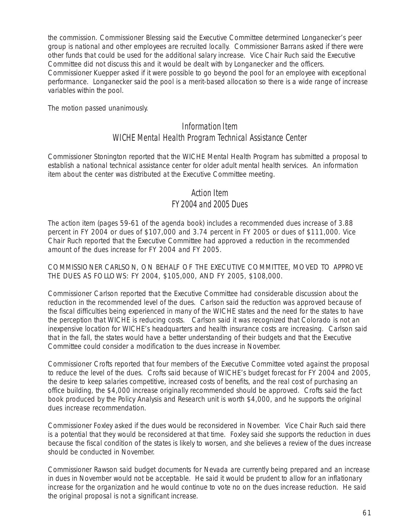the commission. Commissioner Blessing said the Executive Committee determined Longanecker's peer group is national and other employees are recruited locally. Commissioner Barrans asked if there were other funds that could be used for the additional salary increase. Vice Chair Ruch said the Executive Committee did not discuss this and it would be dealt with by Longanecker and the officers. Commissioner Kuepper asked if it were possible to go beyond the pool for an employee with exceptional performance. Longanecker said the pool is a merit-based allocation so there is a wide range of increase variables within the pool.

The motion passed unanimously.

### Information Item WICHE Mental Health Program Technical Assistance Center

Commissioner Stonington reported that the WICHE Mental Health Program has submitted a proposal to establish a national technical assistance center for older adult mental health services. An information item about the center was distributed at the Executive Committee meeting.

#### Action Item

#### FY 2004 and 2005 Dues

The action item (pages 59-61 of the agenda book) includes a recommended dues increase of 3.88 percent in FY 2004 or dues of \$107,000 and 3.74 percent in FY 2005 or dues of \$111,000. Vice Chair Ruch reported that the Executive Committee had approved a reduction in the recommended amount of the dues increase for FY 2004 and FY 2005.

COMMISSIONER CARLSON, ON BEHALF OF THE EXECUTIVE COMMITTEE, MOVED TO APPROVE THE DUES AS FOLLOWS: FY 2004, \$105,000, AND FY 2005, \$108,000.

Commissioner Carlson reported that the Executive Committee had considerable discussion about the reduction in the recommended level of the dues. Carlson said the reduction was approved because of the fiscal difficulties being experienced in many of the WICHE states and the need for the states to have the perception that WICHE is reducing costs. Carlson said it was recognized that Colorado is not an inexpensive location for WICHE's headquarters and health insurance costs are increasing. Carlson said that in the fall, the states would have a better understanding of their budgets and that the Executive Committee could consider a modification to the dues increase in November.

Commissioner Crofts reported that four members of the Executive Committee voted against the proposal to reduce the level of the dues. Crofts said because of WICHE's budget forecast for FY 2004 and 2005, the desire to keep salaries competitive, increased costs of benefits, and the real cost of purchasing an office building, the \$4,000 increase originally recommended should be approved. Crofts said the fact book produced by the Policy Analysis and Research unit is worth \$4,000, and he supports the original dues increase recommendation.

Commissioner Foxley asked if the dues would be reconsidered in November. Vice Chair Ruch said there is a potential that they would be reconsidered at that time. Foxley said she supports the reduction in dues because the fiscal condition of the states is likely to worsen, and she believes a review of the dues increase should be conducted in November.

Commissioner Rawson said budget documents for Nevada are currently being prepared and an increase in dues in November would not be acceptable. He said it would be prudent to allow for an inflationary increase for the organization and he would continue to vote no on the dues increase reduction. He said the original proposal is not a significant increase.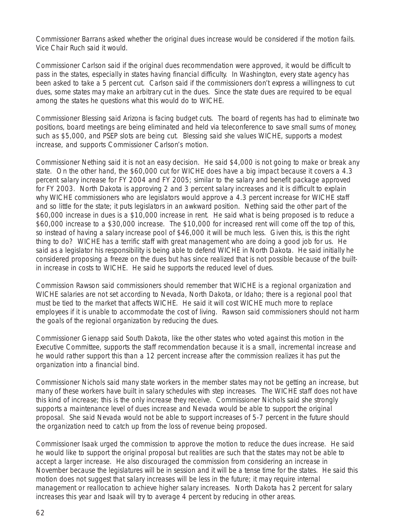Commissioner Barrans asked whether the original dues increase would be considered if the motion fails. Vice Chair Ruch said it would.

Commissioner Carlson said if the original dues recommendation were approved, it would be difficult to pass in the states, especially in states having financial difficulty. In Washington, every state agency has been asked to take a 5 percent cut. Carlson said if the commissioners don't express a willingness to cut dues, some states may make an arbitrary cut in the dues. Since the state dues are required to be equal among the states he questions what this would do to WICHE.

Commissioner Blessing said Arizona is facing budget cuts. The board of regents has had to eliminate two positions, board meetings are being eliminated and held via teleconference to save small sums of money, such as \$5,000, and PSEP slots are being cut. Blessing said she values WICHE, supports a modest increase, and supports Commissioner Carlson's motion.

Commissioner Nething said it is not an easy decision. He said \$4,000 is not going to make or break any state. On the other hand, the \$60,000 cut for WICHE does have a big impact because it covers a 4.3 percent salary increase for FY 2004 and FY 2005; similar to the salary and benefit package approved for FY 2003. North Dakota is approving 2 and 3 percent salary increases and it is difficult to explain why WICHE commissioners who are legislators would approve a 4.3 percent increase for WICHE staff and so little for the state; it puts legislators in an awkward position. Nething said the other part of the \$60,000 increase in dues is a \$10,000 increase in rent. He said what is being proposed is to reduce a \$60,000 increase to a \$30,000 increase. The \$10,000 for increased rent will come off the top of this, so instead of having a salary increase pool of \$46,000 it will be much less. Given this, is this the right thing to do? WICHE has a terrific staff with great management who are doing a good job for us. He said as a legislator his responsibility is being able to defend WICHE in North Dakota. He said initially he considered proposing a freeze on the dues but has since realized that is not possible because of the builtin increase in costs to WICHE. He said he supports the reduced level of dues.

Commission Rawson said commissioners should remember that WICHE is a regional organization and WICHE salaries are not set according to Nevada, North Dakota, or Idaho; there is a regional pool that must be tied to the market that affects WICHE. He said it will cost WICHE much more to replace employees if it is unable to accommodate the cost of living. Rawson said commissioners should not harm the goals of the regional organization by reducing the dues.

Commissioner Gienapp said South Dakota, like the other states who voted against this motion in the Executive Committee, supports the staff recommendation because it is a small, incremental increase and he would rather support this than a 12 percent increase after the commission realizes it has put the organization into a financial bind.

Commissioner Nichols said many state workers in the member states may not be getting an increase, but many of these workers have built in salary schedules with step increases. The WICHE staff does not have this kind of increase; this is the only increase they receive. Commissioner Nichols said she strongly supports a maintenance level of dues increase and Nevada would be able to support the original proposal. She said Nevada would not be able to support increases of 5-7 percent in the future should the organization need to catch up from the loss of revenue being proposed.

Commissioner Isaak urged the commission to approve the motion to reduce the dues increase. He said he would like to support the original proposal but realities are such that the states may not be able to accept a larger increase. He also discouraged the commission from considering an increase in November because the legislatures will be in session and it will be a tense time for the states. He said this motion does not suggest that salary increases will be less in the future; it may require internal management or reallocation to achieve higher salary increases. North Dakota has 2 percent for salary increases this year and Isaak will try to average 4 percent by reducing in other areas.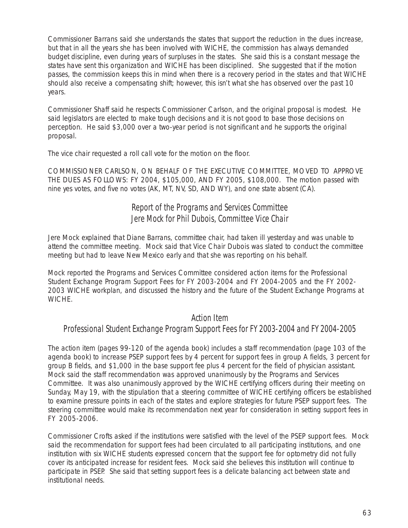Commissioner Barrans said she understands the states that support the reduction in the dues increase, but that in all the years she has been involved with WICHE, the commission has always demanded budget discipline, even during years of surpluses in the states. She said this is a constant message the states have sent this organization and WICHE has been disciplined. She suggested that if the motion passes, the commission keeps this in mind when there is a recovery period in the states and that WICHE should also receive a compensating shift; however, this isn't what she has observed over the past 10 years.

Commissioner Shaff said he respects Commissioner Carlson, and the original proposal is modest. He said legislators are elected to make tough decisions and it is not good to base those decisions on perception. He said \$3,000 over a two-year period is not significant and he supports the original proposal.

The vice chair requested a roll call vote for the motion on the floor.

COMMISSIONER CARLSON, ON BEHALF OF THE EXECUTIVE COMMITTEE, MOVED TO APPROVE THE DUES AS FOLLOWS: FY 2004, \$105,000, AND FY 2005, \$108,000. The motion passed with nine yes votes, and five no votes (AK, MT, NV, SD, AND WY), and one state absent (CA).

## Report of the Programs and Services Committee Jere Mock for Phil Dubois, Committee Vice Chair

Jere Mock explained that Diane Barrans, committee chair, had taken ill yesterday and was unable to attend the committee meeting. Mock said that Vice Chair Dubois was slated to conduct the committee meeting but had to leave New Mexico early and that she was reporting on his behalf.

Mock reported the Programs and Services Committee considered action items for the Professional Student Exchange Program Support Fees for FY 2003-2004 and FY 2004-2005 and the FY 2002- 2003 WICHE workplan, and discussed the history and the future of the Student Exchange Programs at WICHE.

#### Action Item

### Professional Student Exchange Program Support Fees for FY 2003-2004 and FY 2004-2005

The action item (pages 99-120 of the agenda book) includes a staff recommendation (page 103 of the agenda book) to increase PSEP support fees by 4 percent for support fees in group A fields, 3 percent for group B fields, and \$1,000 in the base support fee plus 4 percent for the field of physician assistant. Mock said the staff recommendation was approved unanimously by the Programs and Services Committee. It was also unanimously approved by the WICHE certifying officers during their meeting on Sunday, May 19, with the stipulation that a steering committee of WICHE certifying officers be established to examine pressure points in each of the states and explore strategies for future PSEP support fees. The steering committee would make its recommendation next year for consideration in setting support fees in FY 2005-2006.

Commissioner Crofts asked if the institutions were satisfied with the level of the PSEP support fees. Mock said the recommendation for support fees had been circulated to all participating institutions, and one institution with six WICHE students expressed concern that the support fee for optometry did not fully cover its anticipated increase for resident fees. Mock said she believes this institution will continue to participate in PSEP. She said that setting support fees is a delicate balancing act between state and institutional needs.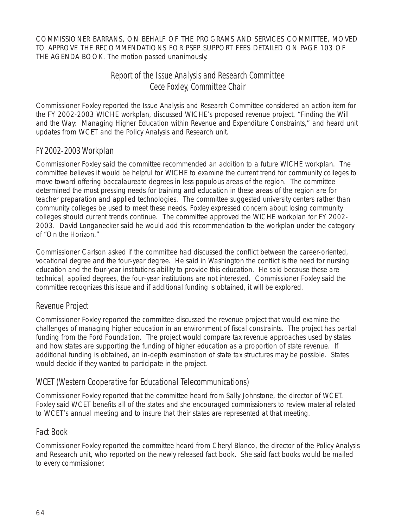COMMISSIONER BARRANS, ON BEHALF OF THE PROGRAMS AND SERVICES COMMITTEE, MOVED TO APPROVE THE RECOMMENDATIONS FOR PSEP SUPPORT FEES DETAILED ON PAGE 103 OF THE AGENDA BOOK. The motion passed unanimously.

## Report of the Issue Analysis and Research Committee Cece Foxley, Committee Chair

Commissioner Foxley reported the Issue Analysis and Research Committee considered an action item for the FY 2002-2003 WICHE workplan, discussed WICHE's proposed revenue project, "Finding the Will and the Way: Managing Higher Education within Revenue and Expenditure Constraints," and heard unit updates from WCET and the Policy Analysis and Research unit.

## FY 2002-2003 Workplan

Commissioner Foxley said the committee recommended an addition to a future WICHE workplan. The committee believes it would be helpful for WICHE to examine the current trend for community colleges to move toward offering baccalaureate degrees in less populous areas of the region. The committee determined the most pressing needs for training and education in these areas of the region are for teacher preparation and applied technologies. The committee suggested university centers rather than community colleges be used to meet these needs. Foxley expressed concern about losing community colleges should current trends continue. The committee approved the WICHE workplan for FY 2002- 2003. David Longanecker said he would add this recommendation to the workplan under the category of "On the Horizon."

Commissioner Carlson asked if the committee had discussed the conflict between the career-oriented, vocational degree and the four-year degree. He said in Washington the conflict is the need for nursing education and the four-year institutions ability to provide this education. He said because these are technical, applied degrees, the four-year institutions are not interested. Commissioner Foxley said the committee recognizes this issue and if additional funding is obtained, it will be explored.

### Revenue Project

Commissioner Foxley reported the committee discussed the revenue project that would examine the challenges of managing higher education in an environment of fiscal constraints. The project has partial funding from the Ford Foundation. The project would compare tax revenue approaches used by states and how states are supporting the funding of higher education as a proportion of state revenue. If additional funding is obtained, an in-depth examination of state tax structures may be possible. States would decide if they wanted to participate in the project.

### WCET (Western Cooperative for Educational Telecommunications)

Commissioner Foxley reported that the committee heard from Sally Johnstone, the director of WCET. Foxley said WCET benefits all of the states and she encouraged commissioners to review material related to WCET's annual meeting and to insure that their states are represented at that meeting.

### Fact Book

Commissioner Foxley reported the committee heard from Cheryl Blanco, the director of the Policy Analysis and Research unit, who reported on the newly released fact book. She said fact books would be mailed to every commissioner.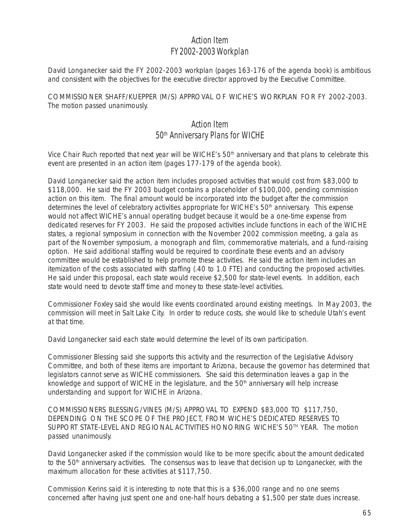## Action Item FY 2002-2003 Workplan

David Longanecker said the FY 2002-2003 workplan (pages 163-176 of the agenda book) is ambitious and consistent with the objectives for the executive director approved by the Executive Committee.

COMMISSIONER SHAFF/KUEPPER (M/S) APPROVAL OF WICHE'S WORKPLAN FOR FY 2002-2003. The motion passed unanimously.

## Action Item 50<sup>th</sup> Anniversary Plans for WICHE

Vice Chair Ruch reported that next year will be WICHE's 50<sup>th</sup> anniversary and that plans to celebrate this event are presented in an action item (pages 177-179 of the agenda book).

David Longanecker said the action item includes proposed activities that would cost from \$83,000 to \$118,000. He said the FY 2003 budget contains a placeholder of \$100,000, pending commission action on this item. The final amount would be incorporated into the budget after the commission determines the level of celebratory activities appropriate for WICHE's 50<sup>th</sup> anniversary. This expense would not affect WICHE's annual operating budget because it would be a one-time expense from dedicated reserves for FY 2003. He said the proposed activities include functions in each of the WICHE states, a regional symposium in connection with the November 2002 commission meeting, a gala as part of the November symposium, a monograph and film, commemorative materials, and a fund-raising option. He said additional staffing would be required to coordinate these events and an advisory committee would be established to help promote these activities. He said the action item includes an itemization of the costs associated with staffing (.40 to 1.0 FTE) and conducting the proposed activities. He said under this proposal, each state would receive \$2,500 for state-level events. In addition, each state would need to devote staff time and money to these state-level activities.

Commissioner Foxley said she would like events coordinated around existing meetings. In May 2003, the commission will meet in Salt Lake City. In order to reduce costs, she would like to schedule Utah's event at that time.

David Longanecker said each state would determine the level of its own participation.

Commissioner Blessing said she supports this activity and the resurrection of the Legislative Advisory Committee, and both of these items are important to Arizona, because the governor has determined that legislators cannot serve as WICHE commissioners. She said this determination leaves a gap in the knowledge and support of WICHE in the legislature, and the  $50<sup>th</sup>$  anniversary will help increase understanding and support for WICHE in Arizona.

COMMISSIONERS BLESSING/VINES (M/S) APPROVAL TO EXPEND \$83,000 TO \$117,750, DEPENDING ON THE SCOPE OF THE PROJECT, FROM WICHE'S DEDICATED RESERVES TO SUPPORT STATE-LEVEL AND REGIONAL ACTIVITIES HONORING WICHE'S 50<sup>TH</sup> YEAR. The motion passed unanimously.

David Longanecker asked if the commission would like to be more specific about the amount dedicated to the 50<sup>th</sup> anniversary activities. The consensus was to leave that decision up to Longanecker, with the maximum allocation for these activities at \$117,750.

Commission Kerins said it is interesting to note that this is a \$36,000 range and no one seems concerned after having just spent one and one-half hours debating a \$1,500 per state dues increase.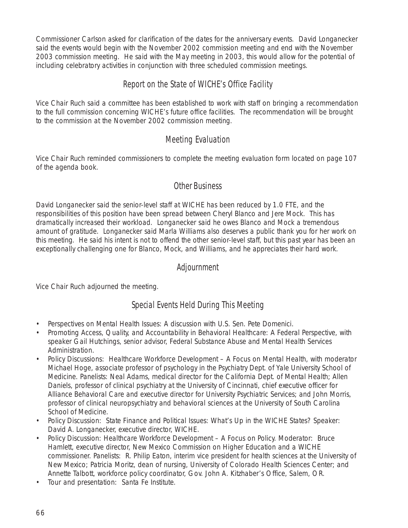Commissioner Carlson asked for clarification of the dates for the anniversary events. David Longanecker said the events would begin with the November 2002 commission meeting and end with the November 2003 commission meeting. He said with the May meeting in 2003, this would allow for the potential of including celebratory activities in conjunction with three scheduled commission meetings.

## Report on the State of WICHE's Office Facility

Vice Chair Ruch said a committee has been established to work with staff on bringing a recommendation to the full commission concerning WICHE's future office facilities. The recommendation will be brought to the commission at the November 2002 commission meeting.

## Meeting Evaluation

Vice Chair Ruch reminded commissioners to complete the meeting evaluation form located on page 107 of the agenda book.

### Other Business

David Longanecker said the senior-level staff at WICHE has been reduced by 1.0 FTE, and the responsibilities of this position have been spread between Cheryl Blanco and Jere Mock. This has dramatically increased their workload. Longanecker said he owes Blanco and Mock a tremendous amount of gratitude. Longanecker said Marla Williams also deserves a public thank you for her work on this meeting. He said his intent is not to offend the other senior-level staff, but this past year has been an exceptionally challenging one for Blanco, Mock, and Williams, and he appreciates their hard work.

### Adjournment

Vice Chair Ruch adjourned the meeting.

## Special Events Held During This Meeting

- Perspectives on Mental Health Issues: A discussion with U.S. Sen. Pete Domenici.
- Promoting Access, Quality, and Accountability in Behavioral Healthcare: A Federal Perspective, with speaker Gail Hutchings, senior advisor, Federal Substance Abuse and Mental Health Services Administration.
- Policy Discussions: Healthcare Workforce Development A Focus on Mental Health, with moderator Michael Hoge, associate professor of psychology in the Psychiatry Dept. of Yale University School of Medicine. Panelists: Neal Adams, medical director for the California Dept. of Mental Health; Allen Daniels, professor of clinical psychiatry at the University of Cincinnati, chief executive officer for Alliance Behavioral Care and executive director for University Psychiatric Services; and John Morris, professor of clinical neuropsychiatry and behavioral sciences at the University of South Carolina School of Medicine.
- Policy Discussion: State Finance and Political Issues: What's Up in the WICHE States? Speaker: David A. Longanecker, executive director, WICHE.
- Policy Discussion: Healthcare Workforce Development A Focus on Policy. Moderator: Bruce Hamlett, executive director, New Mexico Commission on Higher Education and a WICHE commissioner. Panelists: R. Philip Eaton, interim vice president for health sciences at the University of New Mexico; Patricia Moritz, dean of nursing, University of Colorado Health Sciences Center; and Annette Talbott, workforce policy coordinator, Gov. John A. Kitzhaber's Office, Salem, OR.
- Tour and presentation: Santa Fe Institute.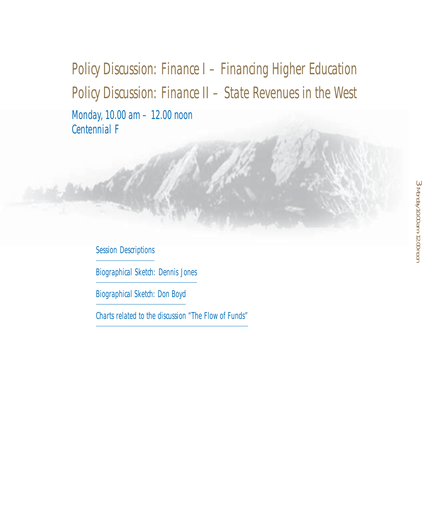# Policy Discussion: Finance I – Financing Higher Education Policy Discussion: Finance II – State Revenues in the West

Monday, 10.00 am – 12.00 noon Centennial F

Session Descriptions

Biographical Sketch: Dennis Jones

Biographical Sketch: Don Boyd

Charts related to the discussion "The Flow of Funds"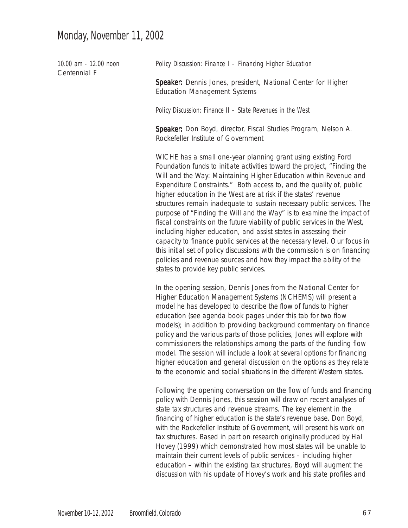## Monday, November 11, 2002

| 10.00 am - 12.00 noon<br>Centennial F | Policy Discussion: Finance I - Financing Higher Education                                                                                                                                                                                                                                                                                                                                                                                                                                                                                                                                                                                                                                                                                                                                                                                                                                                                                 |
|---------------------------------------|-------------------------------------------------------------------------------------------------------------------------------------------------------------------------------------------------------------------------------------------------------------------------------------------------------------------------------------------------------------------------------------------------------------------------------------------------------------------------------------------------------------------------------------------------------------------------------------------------------------------------------------------------------------------------------------------------------------------------------------------------------------------------------------------------------------------------------------------------------------------------------------------------------------------------------------------|
|                                       | Speaker: Dennis Jones, president, National Center for Higher<br><b>Education Management Systems</b>                                                                                                                                                                                                                                                                                                                                                                                                                                                                                                                                                                                                                                                                                                                                                                                                                                       |
|                                       | Policy Discussion: Finance II - State Revenues in the West                                                                                                                                                                                                                                                                                                                                                                                                                                                                                                                                                                                                                                                                                                                                                                                                                                                                                |
|                                       | Speaker: Don Boyd, director, Fiscal Studies Program, Nelson A.<br>Rockefeller Institute of Government                                                                                                                                                                                                                                                                                                                                                                                                                                                                                                                                                                                                                                                                                                                                                                                                                                     |
|                                       | WICHE has a small one-year planning grant using existing Ford<br>Foundation funds to initiate activities toward the project, "Finding the<br>Will and the Way: Maintaining Higher Education within Revenue and<br>Expenditure Constraints." Both access to, and the quality of, public<br>higher education in the West are at risk if the states' revenue<br>structures remain inadequate to sustain necessary public services. The<br>purpose of "Finding the Will and the Way" is to examine the impact of<br>fiscal constraints on the future viability of public services in the West,<br>including higher education, and assist states in assessing their<br>capacity to finance public services at the necessary level. Our focus in<br>this initial set of policy discussions with the commission is on financing<br>policies and revenue sources and how they impact the ability of the<br>states to provide key public services. |
|                                       | In the opening session, Dennis Jones from the National Center for<br>Higher Education Management Systems (NCHEMS) will present a<br>model he has developed to describe the flow of funds to higher<br>education (see agenda book pages under this tab for two flow<br>models); in addition to providing background commentary on finance<br>policy and the various parts of those policies, Jones will explore with<br>commissioners the relationships among the parts of the funding flow<br>model. The session will include a look at several options for financing<br>higher education and general discussion on the options as they relate<br>to the economic and social situations in the different Western states.                                                                                                                                                                                                                  |
|                                       | Following the opening conversation on the flow of funds and financing<br>policy with Dennis Jones, this session will draw on recent analyses of<br>state tax structures and revenue streams. The key element in the<br>financing of higher education is the state's revenue base. Don Boyd,<br>with the Rockefeller Institute of Government, will present his work on<br>tax structures. Based in part on research originally produced by Hal<br>Hovey (1999) which demonstrated how most states will be unable to<br>maintain their current levels of public services - including higher<br>education - within the existing tax structures, Boyd will augment the                                                                                                                                                                                                                                                                        |

discussion with his update of Hovey's work and his state profiles and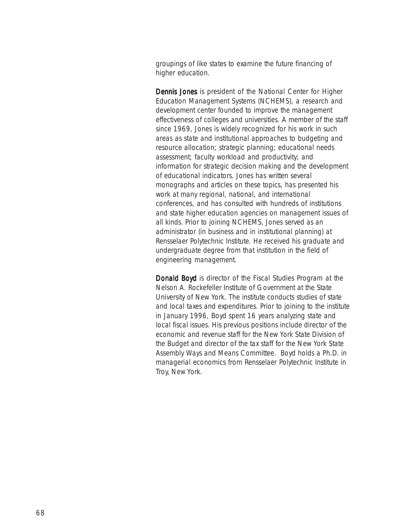groupings of like states to examine the future financing of higher education.

Dennis Jones is president of the National Center for Higher Education Management Systems (NCHEMS), a research and development center founded to improve the management effectiveness of colleges and universities. A member of the staff since 1969, Jones is widely recognized for his work in such areas as state and institutional approaches to budgeting and resource allocation; strategic planning; educational needs assessment; faculty workload and productivity; and information for strategic decision making and the development of educational indicators. Jones has written several monographs and articles on these topics, has presented his work at many regional, national, and international conferences, and has consulted with hundreds of institutions and state higher education agencies on management issues of all kinds. Prior to joining NCHEMS, Jones served as an administrator (in business and in institutional planning) at Rensselaer Polytechnic Institute. He received his graduate and undergraduate degree from that institution in the field of engineering management.

Donald Boyd is director of the Fiscal Studies Program at the Nelson A. Rockefeller Institute of Government at the State University of New York. The institute conducts studies of state and local taxes and expenditures. Prior to joining to the institute in January 1996, Boyd spent 16 years analyzing state and local fiscal issues. His previous positions include director of the economic and revenue staff for the New York State Division of the Budget and director of the tax staff for the New York State Assembly Ways and Means Committee. Boyd holds a Ph.D. in managerial economics from Rensselaer Polytechnic Institute in Troy, New York.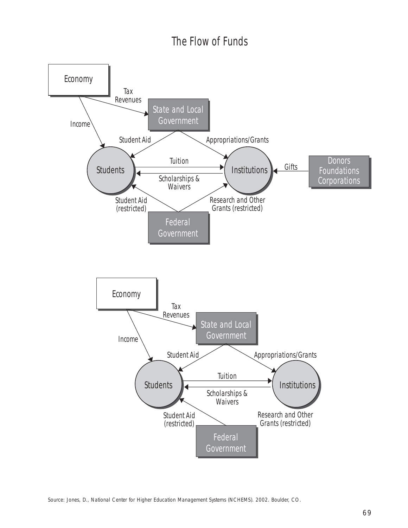## The Flow of Funds

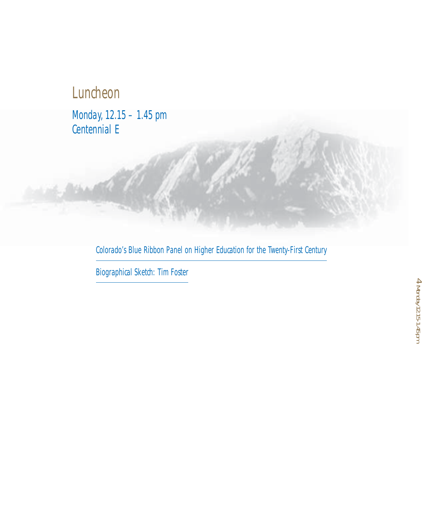# Luncheon

**Shake** 

Monday, 12.15 – 1.45 pm Centennial E

Colorado's Blue Ribbon Panel on Higher Education for the Twenty-First Century

Biographical Sketch: Tim Foster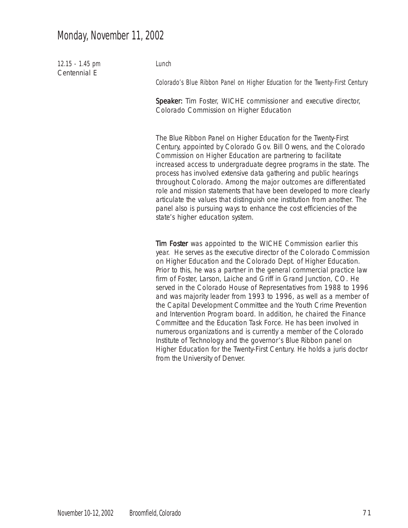## Monday, November 11, 2002

12.15 - 1.45 pm Centennial E

Lunch

Colorado's Blue Ribbon Panel on Higher Education for the Twenty-First Century

Speaker: Tim Foster, WICHE commissioner and executive director, Colorado Commission on Higher Education

The Blue Ribbon Panel on Higher Education for the Twenty-First Century, appointed by Colorado Gov. Bill Owens, and the Colorado Commission on Higher Education are partnering to facilitate increased access to undergraduate degree programs in the state. The process has involved extensive data gathering and public hearings throughout Colorado. Among the major outcomes are differentiated role and mission statements that have been developed to more clearly articulate the values that distinguish one institution from another. The panel also is pursuing ways to enhance the cost efficiencies of the state's higher education system.

Tim Foster was appointed to the WICHE Commission earlier this year. He serves as the executive director of the Colorado Commission on Higher Education and the Colorado Dept. of Higher Education. Prior to this, he was a partner in the general commercial practice law firm of Foster, Larson, Laiche and Griff in Grand Junction, CO. He served in the Colorado House of Representatives from 1988 to 1996 and was majority leader from 1993 to 1996, as well as a member of the Capital Development Committee and the Youth Crime Prevention and Intervention Program board. In addition, he chaired the Finance Committee and the Education Task Force. He has been involved in numerous organizations and is currently a member of the Colorado Institute of Technology and the governor's Blue Ribbon panel on Higher Education for the Twenty-First Century. He holds a juris doctor from the University of Denver.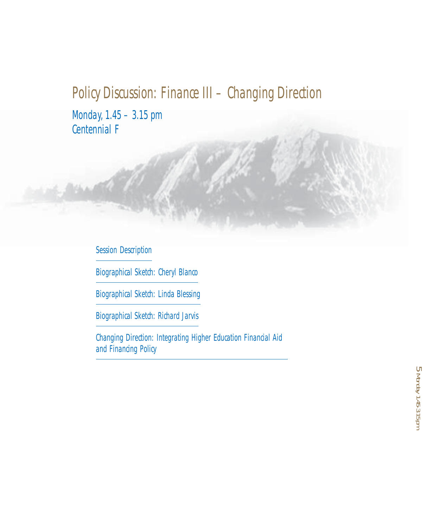# Policy Discussion: Finance III – Changing Direction

Monday, 1.45 – 3.15 pm Centennial F

16 a Miller

Session Description

Biographical Sketch: Cheryl Blanco

Biographical Sketch: Linda Blessing

Biographical Sketch: Richard Jarvis

Changing Direction: Integrating Higher Education Financial Aid and Financing Policy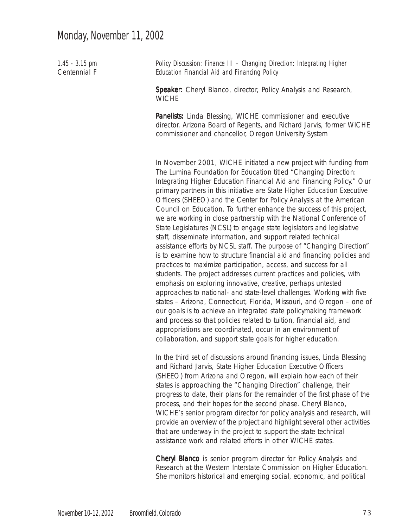## Monday, November 11, 2002

| $1.45 - 3.15$ pm<br>Centennial F | Policy Discussion: Finance III - Changing Direction: Integrating Higher<br>Education Financial Aid and Financing Policy                                                                                                                                                                                                                                                                                                                                                                                                                                                                                                                                                                                                                                                                                                                                                                                                                                                                                                                                                                                                                                                                                                                                                                                                                                                                                                                                 |
|----------------------------------|---------------------------------------------------------------------------------------------------------------------------------------------------------------------------------------------------------------------------------------------------------------------------------------------------------------------------------------------------------------------------------------------------------------------------------------------------------------------------------------------------------------------------------------------------------------------------------------------------------------------------------------------------------------------------------------------------------------------------------------------------------------------------------------------------------------------------------------------------------------------------------------------------------------------------------------------------------------------------------------------------------------------------------------------------------------------------------------------------------------------------------------------------------------------------------------------------------------------------------------------------------------------------------------------------------------------------------------------------------------------------------------------------------------------------------------------------------|
|                                  | Speaker: Cheryl Blanco, director, Policy Analysis and Research,<br><b>WICHE</b>                                                                                                                                                                                                                                                                                                                                                                                                                                                                                                                                                                                                                                                                                                                                                                                                                                                                                                                                                                                                                                                                                                                                                                                                                                                                                                                                                                         |
|                                  | Panelists: Linda Blessing, WICHE commissioner and executive<br>director, Arizona Board of Regents, and Richard Jarvis, former WICHE<br>commissioner and chancellor, Oregon University System                                                                                                                                                                                                                                                                                                                                                                                                                                                                                                                                                                                                                                                                                                                                                                                                                                                                                                                                                                                                                                                                                                                                                                                                                                                            |
|                                  | In November 2001, WICHE initiated a new project with funding from<br>The Lumina Foundation for Education titled "Changing Direction:<br>Integrating Higher Education Financial Aid and Financing Policy." Our<br>primary partners in this initiative are State Higher Education Executive<br>Officers (SHEEO) and the Center for Policy Analysis at the American<br>Council on Education. To further enhance the success of this project,<br>we are working in close partnership with the National Conference of<br>State Legislatures (NCSL) to engage state legislators and legislative<br>staff, disseminate information, and support related technical<br>assistance efforts by NCSL staff. The purpose of "Changing Direction"<br>is to examine how to structure financial aid and financing policies and<br>practices to maximize participation, access, and success for all<br>students. The project addresses current practices and policies, with<br>emphasis on exploring innovative, creative, perhaps untested<br>approaches to national- and state-level challenges. Working with five<br>states - Arizona, Connecticut, Florida, Missouri, and Oregon - one of<br>our goals is to achieve an integrated state policymaking framework<br>and process so that policies related to tuition, financial aid, and<br>appropriations are coordinated, occur in an environment of<br>collaboration, and support state goals for higher education. |
|                                  | In the third set of discussions around financing issues, Linda Blessing<br>and Richard Jarvis, State Higher Education Executive Officers<br>(SHEEO) from Arizona and Oregon, will explain how each of their<br>states is approaching the "Changing Direction" challenge, their<br>progress to date, their plans for the remainder of the first phase of the<br>process, and their hopes for the second phase. Cheryl Blanco,                                                                                                                                                                                                                                                                                                                                                                                                                                                                                                                                                                                                                                                                                                                                                                                                                                                                                                                                                                                                                            |

process, and their hopes for the second phase. Cheryl Blanco, WICHE's senior program director for policy analysis and research, will provide an overview of the project and highlight several other activities that are underway in the project to support the state technical assistance work and related efforts in other WICHE states.

Cheryl Blanco is senior program director for Policy Analysis and Research at the Western Interstate Commission on Higher Education. She monitors historical and emerging social, economic, and political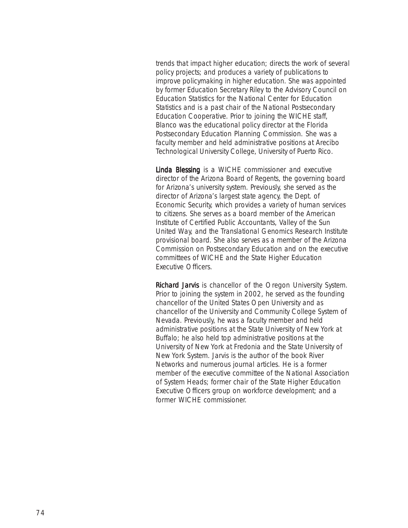trends that impact higher education; directs the work of several policy projects; and produces a variety of publications to improve policymaking in higher education. She was appointed by former Education Secretary Riley to the Advisory Council on Education Statistics for the National Center for Education Statistics and is a past chair of the National Postsecondary Education Cooperative. Prior to joining the WICHE staff, Blanco was the educational policy director at the Florida Postsecondary Education Planning Commission. She was a faculty member and held administrative positions at Arecibo Technological University College, University of Puerto Rico.

Linda Blessing is a WICHE commissioner and executive director of the Arizona Board of Regents, the governing board for Arizona's university system. Previously, she served as the director of Arizona's largest state agency, the Dept. of Economic Security, which provides a variety of human services to citizens. She serves as a board member of the American Institute of Certified Public Accountants, Valley of the Sun United Way, and the Translational Genomics Research Institute provisional board. She also serves as a member of the Arizona Commission on Postsecondary Education and on the executive committees of WICHE and the State Higher Education Executive Officers.

Richard Jarvis is chancellor of the Oregon University System. Prior to joining the system in 2002, he served as the founding chancellor of the United States Open University and as chancellor of the University and Community College System of Nevada. Previously, he was a faculty member and held administrative positions at the State University of New York at Buffalo; he also held top administrative positions at the University of New York at Fredonia and the State University of New York System. Jarvis is the author of the book *River Networks* and numerous journal articles. He is a former member of the executive committee of the National Association of System Heads; former chair of the State Higher Education Executive Officers group on workforce development; and a former WICHE commissioner.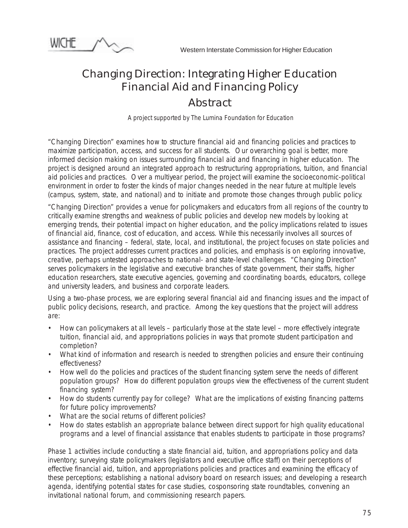

## Changing Direction: Integrating Higher Education Financial Aid and Financing Policy

## *Abstract*

 *A project supported by The Lumina Foundation for Education*

"Changing Direction" examines how to structure financial aid and financing policies and practices to maximize participation, access, and success for all students. Our overarching goal is better, more informed decision making on issues surrounding financial aid and financing in higher education. The project is designed around an integrated approach to restructuring appropriations, tuition, and financial aid policies and practices. Over a multiyear period, the project will examine the socioeconomic-political environment in order to foster the kinds of major changes needed in the near future at multiple levels (campus, system, state, and national) and to initiate and promote those changes through public policy.

"Changing Direction" provides a venue for policymakers and educators from all regions of the country to critically examine strengths and weakness of public policies and develop new models by looking at emerging trends, their potential impact on higher education, and the policy implications related to issues of financial aid, finance, cost of education, and access. While this necessarily involves all sources of assistance and financing – federal, state, local, and institutional, the project focuses on state policies and practices. The project addresses current practices and policies, and emphasis is on exploring innovative, creative, perhaps untested approaches to national- and state-level challenges. "Changing Direction" serves policymakers in the legislative and executive branches of state government, their staffs, higher education researchers, state executive agencies, governing and coordinating boards, educators, college and university leaders, and business and corporate leaders.

Using a two-phase process, we are exploring several financial aid and financing issues and the impact of public policy decisions, research, and practice. Among the key questions that the project will address are:

- How can policymakers at all levels particularly those at the state level more effectively integrate tuition, financial aid, and appropriations policies in ways that promote student participation and completion?
- What kind of information and research is needed to strengthen policies and ensure their continuing effectiveness?
- How well do the policies and practices of the student financing system serve the needs of different population groups? How do different population groups view the effectiveness of the current student financing system?
- How do students currently pay for college? What are the implications of existing financing patterns for future policy improvements?
- What are the social returns of different policies?
- How do states establish an appropriate balance between direct support for high quality educational programs and a level of financial assistance that enables students to participate in those programs?

Phase 1 activities include conducting a state financial aid, tuition, and appropriations policy and data inventory; surveying state policymakers (legislators and executive office staff) on their perceptions of effective financial aid, tuition, and appropriations policies and practices and examining the efficacy of these perceptions; establishing a national advisory board on research issues; and developing a research agenda, identifying potential states for case studies, cosponsoring state roundtables, convening an invitational national forum, and commissioning research papers.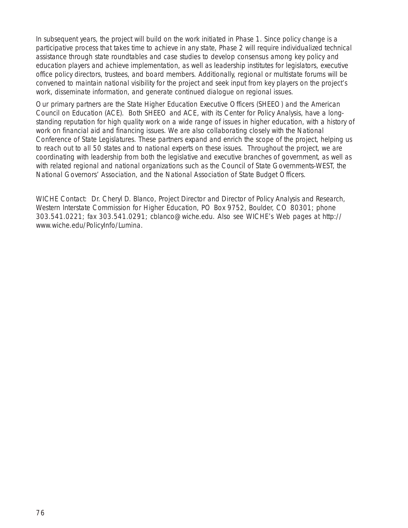In subsequent years, the project will build on the work initiated in Phase 1. Since policy change is a participative process that takes time to achieve in any state, Phase 2 will require individualized technical assistance through state roundtables and case studies to develop consensus among key policy and education players and achieve implementation, as well as leadership institutes for legislators, executive office policy directors, trustees, and board members. Additionally, regional or multistate forums will be convened to maintain national visibility for the project and seek input from key players on the project's work, disseminate information, and generate continued dialogue on regional issues.

Our primary partners are the State Higher Education Executive Officers (SHEEO) and the American Council on Education (ACE). Both SHEEO and ACE, with its Center for Policy Analysis, have a longstanding reputation for high quality work on a wide range of issues in higher education, with a history of work on financial aid and financing issues. We are also collaborating closely with the National Conference of State Legislatures. These partners expand and enrich the scope of the project, helping us to reach out to all 50 states and to national experts on these issues. Throughout the project, we are coordinating with leadership from both the legislative and executive branches of government, as well as with related regional and national organizations such as the Council of State Governments-WEST, the National Governors' Association, and the National Association of State Budget Officers.

WICHE Contact: Dr. Cheryl D. Blanco, Project Director and Director of Policy Analysis and Research, Western Interstate Commission for Higher Education, PO Box 9752, Boulder, CO 80301; phone 303.541.0221; fax 303.541.0291; cblanco@wiche.edu. Also see WICHE's Web pages at http:// www.wiche.edu/PolicyInfo/Lumina.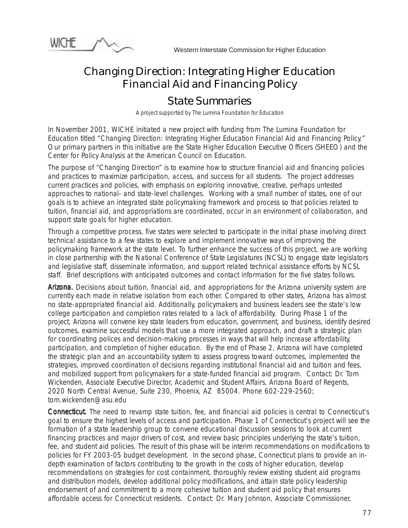

## Changing Direction: Integrating Higher Education Financial Aid and Financing Policy

## *State Summaries*

*A project supported by The Lumina Foundation for Education*

In November 2001, WICHE initiated a new project with funding from The Lumina Foundation for Education titled "Changing Direction: Integrating Higher Education Financial Aid and Financing Policy." Our primary partners in this initiative are the State Higher Education Executive Officers (SHEEO) and the Center for Policy Analysis at the American Council on Education.

The purpose of "Changing Direction" is to examine how to structure financial aid and financing policies and practices to maximize participation, access, and success for all students. The project addresses current practices and policies, with emphasis on exploring innovative, creative, perhaps untested approaches to national- and state-level challenges. Working with a small number of states, one of our goals is to achieve an integrated state policymaking framework and process so that policies related to tuition, financial aid, and appropriations are coordinated, occur in an environment of collaboration, and support state goals for higher education.

Through a competitive process, five states were selected to participate in the initial phase involving direct technical assistance to a few states to explore and implement innovative ways of improving the policymaking framework at the state level. To further enhance the success of this project, we are working in close partnership with the National Conference of State Legislatures (NCSL) to engage state legislators and legislative staff, disseminate information, and support related technical assistance efforts by NCSL staff. Brief descriptions with anticipated outcomes and contact information for the five states follows.

Arizona. Decisions about tuition, financial aid, and appropriations for the Arizona university system are currently each made in relative isolation from each other. Compared to other states, Arizona has almost no state-appropriated financial aid. Additionally, policymakers and business leaders see the state's low college participation and completion rates related to a lack of affordability. During Phase 1 of the project, Arizona will convene key state leaders from education, government, and business, identify desired outcomes, examine successful models that use a more integrated approach, and draft a strategic plan for coordinating polices and decision-making processes in ways that will help increase affordability, participation, and completion of higher education. By the end of Phase 2, Arizona will have completed the strategic plan and an accountability system to assess progress toward outcomes, implemented the strategies, improved coordination of decisions regarding institutional financial aid and tuition and fees, and mobilized support from policymakers for a state-funded financial aid program. Contact: Dr. Tom Wickenden, Associate Executive Director, Academic and Student Affairs, Arizona Board of Regents, 2020 North Central Avenue, Suite 230, Phoenix, AZ 85004. Phone 602-229-2560; tom.wickenden@asu.edu

Connecticut. The need to revamp state tuition, fee, and financial aid policies is central to Connecticut's goal to ensure the highest levels of access and participation. Phase 1 of Connecticut's project will see the formation of a state leadership group to convene educational discussion sessions to look at current financing practices and major drivers of cost, and review basic principles underlying the state's tuition, fee, and student aid policies. The result of this phase will be interim recommendations on modifications to policies for FY 2003-05 budget development. In the second phase, Connecticut plans to provide an indepth examination of factors contributing to the growth in the costs of higher education, develop recommendations on strategies for cost containment, thoroughly review existing student aid programs and distribution models, develop additional policy modifications, and attain state policy leadership endorsement of and commitment to a more cohesive tuition and student aid policy that ensures affordable access for Connecticut residents. Contact: Dr. Mary Johnson, Associate Commissioner,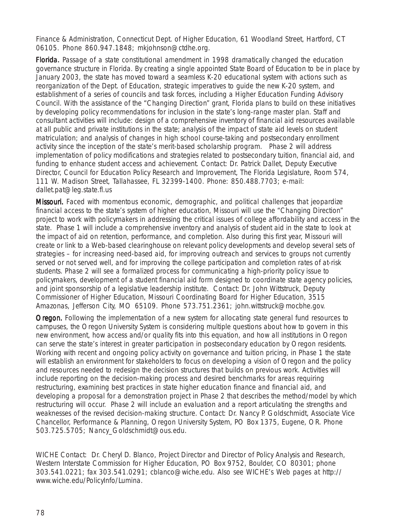Finance & Administration, Connecticut Dept. of Higher Education, 61 Woodland Street, Hartford, CT 06105. Phone 860.947.1848; mkjohnson@ctdhe.org.

Florida. Passage of a state constitutional amendment in 1998 dramatically changed the education governance structure in Florida. By creating a single appointed State Board of Education to be in place by January 2003, the state has moved toward a seamless K-20 educational system with actions such as reorganization of the Dept. of Education, strategic imperatives to guide the new K-20 system, and establishment of a series of councils and task forces, including a Higher Education Funding Advisory Council. With the assistance of the "Changing Direction" grant, Florida plans to build on these initiatives by developing policy recommendations for inclusion in the state's long-range master plan. Staff and consultant activities will include: design of a comprehensive inventory of financial aid resources available at all public and private institutions in the state; analysis of the impact of state aid levels on student matriculation; and analysis of changes in high school course-taking and postsecondary enrollment activity since the inception of the state's merit-based scholarship program. Phase 2 will address implementation of policy modifications and strategies related to postsecondary tuition, financial aid, and funding to enhance student access and achievement. Contact: Dr. Patrick Dallet, Deputy Executive Director, Council for Education Policy Research and Improvement, The Florida Legislature, Room 574, 111 W. Madison Street, Tallahassee, FL 32399-1400. Phone: 850.488.7703; e-mail: dallet.pat@leg.state.fl.us

**Missouri.** Faced with momentous economic, demographic, and political challenges that jeopardize financial access to the state's system of higher education, Missouri will use the "Changing Direction" project to work with policymakers in addressing the critical issues of college affordability and access in the state. Phase 1 will include a comprehensive inventory and analysis of student aid in the state to look at the impact of aid on retention, performance, and completion. Also during this first year, Missouri will create or link to a Web-based clearinghouse on relevant policy developments and develop several sets of strategies – for increasing need-based aid, for improving outreach and services to groups not currently served or not served well, and for improving the college participation and completion rates of at-risk students. Phase 2 will see a formalized process for communicating a high-priority policy issue to policymakers, development of a student financial aid form designed to coordinate state agency policies, and joint sponsorship of a legislative leadership institute. Contact: Dr. John Wittstruck, Deputy Commissioner of Higher Education, Missouri Coordinating Board for Higher Education, 3515 Amazonas, Jefferson City, MO 65109. Phone 573.751.2361; john.wittstruck@mocbhe.gov.

**Oregon.** Following the implementation of a new system for allocating state general fund resources to campuses, the Oregon University System is considering multiple questions about how to govern in this new environment, how access and/or quality fits into this equation, and how all institutions in Oregon can serve the state's interest in greater participation in postsecondary education by Oregon residents. Working with recent and ongoing policy activity on governance and tuition pricing, in Phase 1 the state will establish an environment for stakeholders to focus on developing a vision of Oregon and the policy and resources needed to redesign the decision structures that builds on previous work. Activities will include reporting on the decision-making process and desired benchmarks for areas requiring restructuring, examining best practices in state higher education finance and financial aid, and developing a proposal for a demonstration project in Phase 2 that describes the method/model by which restructuring will occur. Phase 2 will include an evaluation and a report articulating the strengths and weaknesses of the revised decision-making structure. Contact: Dr. Nancy P. Goldschmidt, Associate Vice Chancellor, Performance & Planning, Oregon University System, PO Box 1375, Eugene, OR. Phone 503.725.5705; Nancy\_Goldschmidt@ous.edu.

WICHE Contact: Dr. Cheryl D. Blanco, Project Director and Director of Policy Analysis and Research, Western Interstate Commission for Higher Education, PO Box 9752, Boulder, CO 80301; phone 303.541.0221; fax 303.541.0291; cblanco@wiche.edu. Also see WICHE's Web pages at http:// www.wiche.edu/PolicyInfo/Lumina.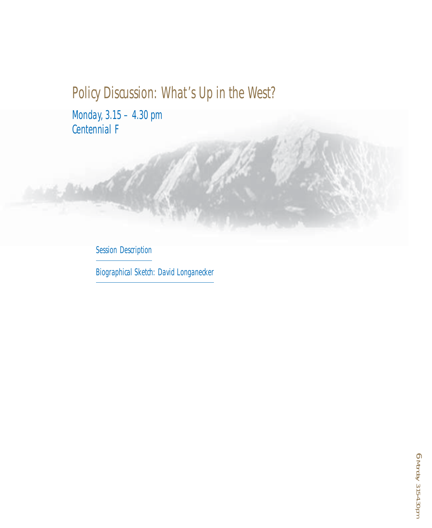# Policy Discussion: What's Up in the West?

Monday, 3.15 – 4.30 pm Centennial F

Session Description

Biographical Sketch: David Longanecker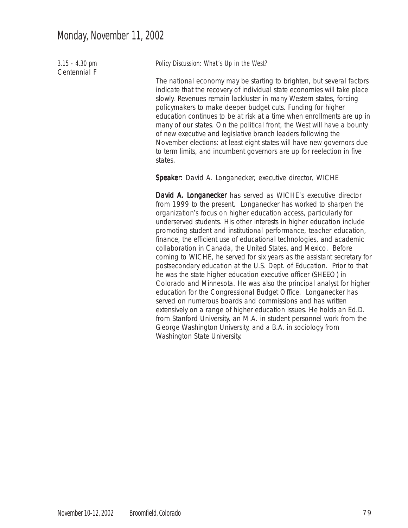3.15 - 4.30 pm Centennial F

Policy Discussion: What's Up in the West?

The national economy may be starting to brighten, but several factors indicate that the recovery of individual state economies will take place slowly. Revenues remain lackluster in many Western states, forcing policymakers to make deeper budget cuts. Funding for higher education continues to be at risk at a time when enrollments are up in many of our states. On the political front, the West will have a bounty of new executive and legislative branch leaders following the November elections: at least eight states will have new governors due to term limits, and incumbent governors are up for reelection in five states.

Speaker: David A. Longanecker, executive director, WICHE

David A. Longanecker has served as WICHE's executive director from 1999 to the present. Longanecker has worked to sharpen the organization's focus on higher education access, particularly for underserved students. His other interests in higher education include promoting student and institutional performance, teacher education, finance, the efficient use of educational technologies, and academic collaboration in Canada, the United States, and Mexico. Before coming to WICHE, he served for six years as the assistant secretary for postsecondary education at the U.S. Dept. of Education. Prior to that he was the state higher education executive officer (SHEEO) in Colorado and Minnesota. He was also the principal analyst for higher education for the Congressional Budget Office. Longanecker has served on numerous boards and commissions and has written extensively on a range of higher education issues. He holds an Ed.D. from Stanford University, an M.A. in student personnel work from the George Washington University, and a B.A. in sociology from Washington State University.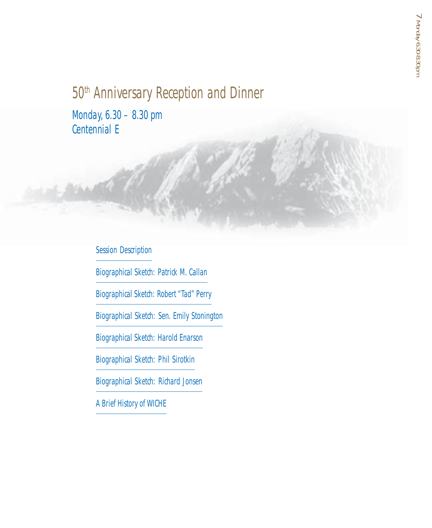# 50<sup>th</sup> Anniversary Reception and Dinner

Monday, 6.30 – 8.30 pm Centennial E

## Session Description

Biographical Sketch: Patrick M. Callan

Biographical Sketch: Robert "Tad" Perry

Biographical Sketch: Sen. Emily Stonington

Biographical Sketch: Harold Enarson

Biographical Sketch: Phil Sirotkin

Biographical Sketch: Richard Jonsen

A Brief History of WICHE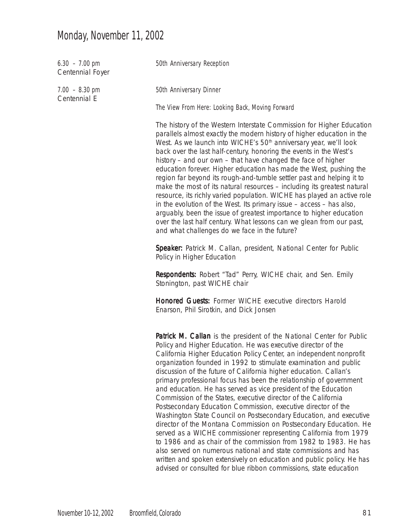# Monday, November 11, 2002

| $6.30 - 7.00$ pm<br>Centennial Foyer | 50th Anniversary Reception                                                                                                                                                                                                                                                                                                                                                                                                                                                                                                                                                                                                                                                                                                                                                                                                                                                                                                                                                                                                                                      |  |  |  |  |  |
|--------------------------------------|-----------------------------------------------------------------------------------------------------------------------------------------------------------------------------------------------------------------------------------------------------------------------------------------------------------------------------------------------------------------------------------------------------------------------------------------------------------------------------------------------------------------------------------------------------------------------------------------------------------------------------------------------------------------------------------------------------------------------------------------------------------------------------------------------------------------------------------------------------------------------------------------------------------------------------------------------------------------------------------------------------------------------------------------------------------------|--|--|--|--|--|
| $7.00 - 8.30$ pm                     | 50th Anniversary Dinner                                                                                                                                                                                                                                                                                                                                                                                                                                                                                                                                                                                                                                                                                                                                                                                                                                                                                                                                                                                                                                         |  |  |  |  |  |
| Centennial E                         | The View From Here: Looking Back, Moving Forward                                                                                                                                                                                                                                                                                                                                                                                                                                                                                                                                                                                                                                                                                                                                                                                                                                                                                                                                                                                                                |  |  |  |  |  |
|                                      | The history of the Western Interstate Commission for Higher Education<br>parallels almost exactly the modern history of higher education in the<br>West. As we launch into WICHE's 50 <sup>th</sup> anniversary year, we'll look<br>back over the last half-century, honoring the events in the West's<br>history – and our own – that have changed the face of higher<br>education forever. Higher education has made the West, pushing the<br>region far beyond its rough-and-tumble settler past and helping it to<br>make the most of its natural resources - including its greatest natural<br>resource, its richly varied population. WICHE has played an active role<br>in the evolution of the West. Its primary issue $-$ access $-$ has also,<br>arguably, been the issue of greatest importance to higher education<br>over the last half century. What lessons can we glean from our past,<br>and what challenges do we face in the future?                                                                                                         |  |  |  |  |  |
|                                      | Speaker: Patrick M. Callan, president, National Center for Public<br>Policy in Higher Education                                                                                                                                                                                                                                                                                                                                                                                                                                                                                                                                                                                                                                                                                                                                                                                                                                                                                                                                                                 |  |  |  |  |  |
|                                      | <b>Respondents:</b> Robert "Tad" Perry, WICHE chair, and Sen. Emily<br>Stonington, past WICHE chair                                                                                                                                                                                                                                                                                                                                                                                                                                                                                                                                                                                                                                                                                                                                                                                                                                                                                                                                                             |  |  |  |  |  |
|                                      | <b>Honored Guests: Former WICHE executive directors Harold</b><br>Enarson, Phil Sirotkin, and Dick Jonsen                                                                                                                                                                                                                                                                                                                                                                                                                                                                                                                                                                                                                                                                                                                                                                                                                                                                                                                                                       |  |  |  |  |  |
|                                      | Patrick M. Callan is the president of the National Center for Public<br>Policy and Higher Education. He was executive director of the<br>California Higher Education Policy Center, an independent nonprofit<br>organization founded in 1992 to stimulate examination and public<br>discussion of the future of California higher education. Callan's<br>primary professional focus has been the relationship of government<br>and education. He has served as vice president of the Education<br>Commission of the States, executive director of the California<br>Postsecondary Education Commission, executive director of the<br>Washington State Council on Postsecondary Education, and executive<br>director of the Montana Commission on Postsecondary Education. He<br>served as a WICHE commissioner representing California from 1979<br>to 1986 and as chair of the commission from 1982 to 1983. He has<br>also served on numerous national and state commissions and has<br>written and spoken extensively on education and public policy. He has |  |  |  |  |  |

advised or consulted for blue ribbon commissions, state education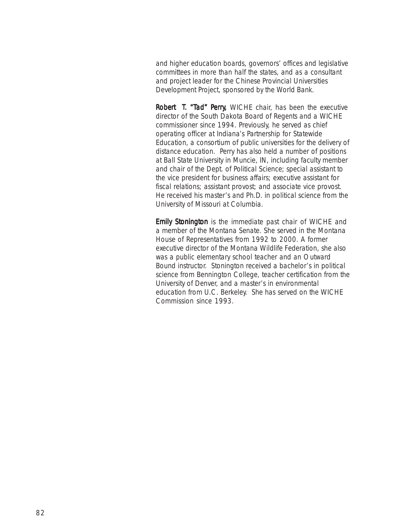and higher education boards, governors' offices and legislative committees in more than half the states, and as a consultant and project leader for the Chinese Provincial Universities Development Project, sponsored by the World Bank.

Robert T. "Tad" Perry, WICHE chair, has been the executive director of the South Dakota Board of Regents and a WICHE commissioner since 1994. Previously, he served as chief operating officer at Indiana's Partnership for Statewide Education, a consortium of public universities for the delivery of distance education. Perry has also held a number of positions at Ball State University in Muncie, IN, including faculty member and chair of the Dept. of Political Science; special assistant to the vice president for business affairs; executive assistant for fiscal relations; assistant provost; and associate vice provost. He received his master's and Ph.D. in political science from the University of Missouri at Columbia.

Emily Stonington is the immediate past chair of WICHE and a member of the Montana Senate. She served in the Montana House of Representatives from 1992 to 2000. A former executive director of the Montana Wildlife Federation, she also was a public elementary school teacher and an Outward Bound instructor. Stonington received a bachelor's in political science from Bennington College, teacher certification from the University of Denver, and a master's in environmental education from U.C. Berkeley. She has served on the WICHE Commission since 1993.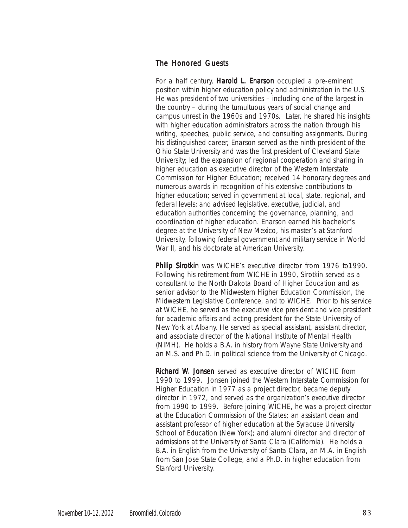### The Honored Guests

For a half century, Harold L. Enarson occupied a pre-eminent position within higher education policy and administration in the U.S. He was president of two universities – including one of the largest in the country – during the tumultuous years of social change and campus unrest in the 1960s and 1970s. Later, he shared his insights with higher education administrators across the nation through his writing, speeches, public service, and consulting assignments. During his distinguished career, Enarson served as the ninth president of the Ohio State University and was the first president of Cleveland State University; led the expansion of regional cooperation and sharing in higher education as executive director of the Western Interstate Commission for Higher Education; received 14 honorary degrees and numerous awards in recognition of his extensive contributions to higher education; served in government at local, state, regional, and federal levels; and advised legislative, executive, judicial, and education authorities concerning the governance, planning, and coordination of higher education. Enarson earned his bachelor's degree at the University of New Mexico, his master's at Stanford University, following federal government and military service in World War II, and his doctorate at American University.

Philip Sirotkin was WICHE's executive director from 1976 to1990. Following his retirement from WICHE in 1990, Sirotkin served as a consultant to the North Dakota Board of Higher Education and as senior advisor to the Midwestern Higher Education Commission, the Midwestern Legislative Conference, and to WICHE. Prior to his service at WICHE, he served as the executive vice president and vice president for academic affairs and acting president for the State University of New York at Albany. He served as special assistant, assistant director, and associate director of the National Institute of Mental Health (NIMH). He holds a B.A. in history from Wayne State University and an M.S. and Ph.D. in political science from the University of Chicago.

**Richard W. Jonsen** served as executive director of WICHE from 1990 to 1999. Jonsen joined the Western Interstate Commission for Higher Education in 1977 as a project director, became deputy director in 1972, and served as the organization's executive director from 1990 to 1999. Before joining WICHE, he was a project director at the Education Commission of the States; an assistant dean and assistant professor of higher education at the Syracuse University School of Education (New York); and alumni director and director of admissions at the University of Santa Clara (California). He holds a B.A. in English from the University of Santa Clara, an M.A. in English from San Jose State College, and a Ph.D. in higher education from Stanford University.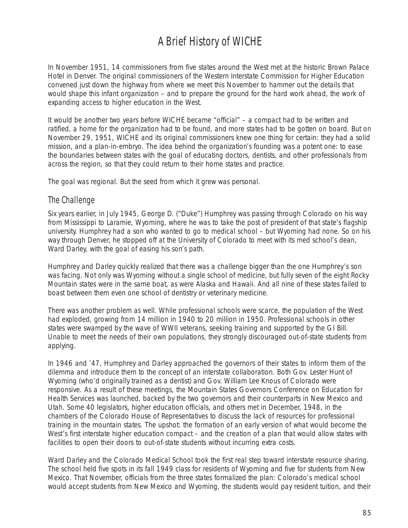# A Brief History of WICHE

In November 1951, 14 commissioners from five states around the West met at the historic Brown Palace Hotel in Denver. The original commissioners of the Western Interstate Commission for Higher Education convened just down the highway from where we meet this November to hammer out the details that would shape this infant organization – and to prepare the ground for the hard work ahead, the work of expanding access to higher education in the West.

It would be another two years before WICHE became "official" – a compact had to be written and ratified, a home for the organization had to be found, and more states had to be gotten on board. But on November 29, 1951, WICHE and its original commissioners knew one thing for certain: they had a solid mission, and a plan-in-embryo. The idea behind the organization's founding was a potent one: to ease the boundaries between states with the goal of educating doctors, dentists, and other professionals from across the region, so that they could return to their home states and practice.

The goal was regional. But the seed from which it grew was personal.

### The Challenge

Six years earlier, in July 1945, George D. ("Duke") Humphrey was passing through Colorado on his way from Mississippi to Laramie, Wyoming, where he was to take the post of president of that state's flagship university. Humphrey had a son who wanted to go to medical school – but Wyoming had none. So on his way through Denver, he stopped off at the University of Colorado to meet with its med school's dean, Ward Darley, with the goal of easing his son's path.

Humphrey and Darley quickly realized that there was a challenge bigger than the one Humphrey's son was facing. Not only was Wyoming without a single school of medicine, but fully seven of the eight Rocky Mountain states were in the same boat, as were Alaska and Hawaii. And all nine of these states failed to boast between them even one school of dentistry or veterinary medicine.

There was another problem as well. While professional schools were scarce, the population of the West had exploded, growing from 14 million in 1940 to 20 million in 1950. Professional schools in other states were swamped by the wave of WWII veterans, seeking training and supported by the GI Bill. Unable to meet the needs of their own populations, they strongly discouraged out-of-state students from applying.

In 1946 and '47, Humphrey and Darley approached the governors of their states to inform them of the dilemma and introduce them to the concept of an interstate collaboration. Both Gov. Lester Hunt of Wyoming (who'd originally trained as a dentist) and Gov. William Lee Knous of Colorado were responsive. As a result of these meetings, the Mountain States Governors Conference on Education for Health Services was launched, backed by the two governors and their counterparts in New Mexico and Utah. Some 40 legislators, higher education officials, and others met in December, 1948, in the chambers of the Colorado House of Representatives to discuss the lack of resources for professional training in the mountain states. The upshot: the formation of an early version of what would become the West's first interstate higher education compact – and the creation of a plan that would allow states with facilities to open their doors to out-of-state students without incurring extra costs.

Ward Darley and the Colorado Medical School took the first real step toward interstate resource sharing. The school held five spots in its fall 1949 class for residents of Wyoming and five for students from New Mexico. That November, officials from the three states formalized the plan: Colorado's medical school would accept students from New Mexico and Wyoming, the students would pay resident tuition, and their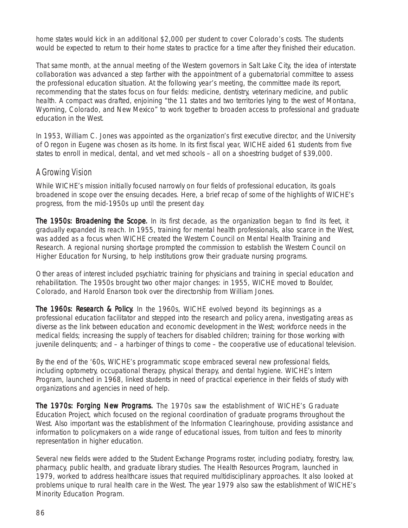home states would kick in an additional \$2,000 per student to cover Colorado's costs. The students would be expected to return to their home states to practice for a time after they finished their education.

That same month, at the annual meeting of the Western governors in Salt Lake City, the idea of interstate collaboration was advanced a step farther with the appointment of a gubernatorial committee to assess the professional education situation. At the following year's meeting, the committee made its report, recommending that the states focus on four fields: medicine, dentistry, veterinary medicine, and public health. A compact was drafted, enjoining "the 11 states and two territories lying to the west of Montana, Wyoming, Colorado, and New Mexico" to work together to broaden access to professional and graduate education in the West.

In 1953, William C. Jones was appointed as the organization's first executive director, and the University of Oregon in Eugene was chosen as its home. In its first fiscal year, WICHE aided 61 students from five states to enroll in medical, dental, and vet med schools – all on a shoestring budget of \$39,000.

## A Growing Vision

While WICHE's mission initially focused narrowly on four fields of professional education, its goals broadened in scope over the ensuing decades. Here, a brief recap of some of the highlights of WICHE's progress, from the mid-1950s up until the present day.

The 1950s: Broadening the Scope. In its first decade, as the organization began to find its feet, it gradually expanded its reach. In 1955, training for mental health professionals, also scarce in the West, was added as a focus when WICHE created the Western Council on Mental Health Training and Research. A regional nursing shortage prompted the commission to establish the Western Council on Higher Education for Nursing, to help institutions grow their graduate nursing programs.

Other areas of interest included psychiatric training for physicians and training in special education and rehabilitation. The 1950s brought two other major changes: in 1955, WICHE moved to Boulder, Colorado, and Harold Enarson took over the directorship from William Jones.

The 1960s: Research & Policy. In the 1960s, WICHE evolved beyond its beginnings as a professional education facilitator and stepped into the research and policy arena, investigating areas as diverse as the link between education and economic development in the West; workforce needs in the medical fields; increasing the supply of teachers for disabled children; training for those working with juvenile delinquents; and – a harbinger of things to come – the cooperative use of educational television.

By the end of the '60s, WICHE's programmatic scope embraced several new professional fields, including optometry, occupational therapy, physical therapy, and dental hygiene. WICHE's Intern Program, launched in 1968, linked students in need of practical experience in their fields of study with organizations and agencies in need of help.

The 1970s: Forging New Programs. The 1970s saw the establishment of WICHE's Graduate Education Project, which focused on the regional coordination of graduate programs throughout the West. Also important was the establishment of the Information Clearinghouse, providing assistance and information to policymakers on a wide range of educational issues, from tuition and fees to minority representation in higher education.

Several new fields were added to the Student Exchange Programs roster, including podiatry, forestry, law, pharmacy, public health, and graduate library studies. The Health Resources Program, launched in 1979, worked to address healthcare issues that required multidisciplinary approaches. It also looked at problems unique to rural health care in the West. The year 1979 also saw the establishment of WICHE's Minority Education Program.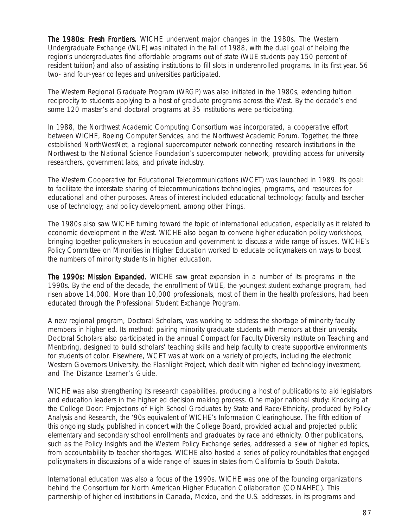The 1980s: Fresh Frontiers. WICHE underwent major changes in the 1980s. The Western Undergraduate Exchange (WUE) was initiated in the fall of 1988, with the dual goal of helping the region's undergraduates find affordable programs out of state (WUE students pay 150 percent of resident tuition) and also of assisting institutions to fill slots in underenrolled programs. In its first year, 56 two- and four-year colleges and universities participated.

The Western Regional Graduate Program (WRGP) was also initiated in the 1980s, extending tuition reciprocity to students applying to a host of graduate programs across the West. By the decade's end some 120 master's and doctoral programs at 35 institutions were participating.

In 1988, the Northwest Academic Computing Consortium was incorporated, a cooperative effort between WICHE, Boeing Computer Services, and the Northwest Academic Forum. Together, the three established NorthWestNet, a regional supercomputer network connecting research institutions in the Northwest to the National Science Foundation's supercomputer network, providing access for university researchers, government labs, and private industry.

The Western Cooperative for Educational Telecommunications (WCET) was launched in 1989. Its goal: to facilitate the interstate sharing of telecommunications technologies, programs, and resources for educational and other purposes. Areas of interest included educational technology; faculty and teacher use of technology; and policy development, among other things.

The 1980s also saw WICHE turning toward the topic of international education, especially as it related to economic development in the West. WICHE also began to convene higher education policy workshops, bringing together policymakers in education and government to discuss a wide range of issues. WICHE's Policy Committee on Minorities in Higher Education worked to educate policymakers on ways to boost the numbers of minority students in higher education.

The 1990s: Mission Expanded. WICHE saw great expansion in a number of its programs in the 1990s. By the end of the decade, the enrollment of WUE, the youngest student exchange program, had risen above 14,000. More than 10,000 professionals, most of them in the health professions, had been educated through the Professional Student Exchange Program.

A new regional program, Doctoral Scholars, was working to address the shortage of minority faculty members in higher ed. Its method: pairing minority graduate students with mentors at their university. Doctoral Scholars also participated in the annual Compact for Faculty Diversity Institute on Teaching and Mentoring, designed to build scholars' teaching skills and help faculty to create supportive environments for students of color. Elsewhere, WCET was at work on a variety of projects, including the electronic Western Governors University, the Flashlight Project, which dealt with higher ed technology investment, and *The Distance Learner's Guide*.

WICHE was also strengthening its research capabilities, producing a host of publications to aid legislators and education leaders in the higher ed decision making process. One major national study: *Knocking at the College Door: Projections of High School Graduates by State and Race/Ethnicity*, produced by Policy Analysis and Research, the '90s equivalent of WICHE's Information Clearinghouse. The fifth edition of this ongoing study, published in concert with the College Board, provided actual and projected public elementary and secondary school enrollments and graduates by race and ethnicity. Other publications, such as the *Policy Insights* and the *Western Policy Exchange* series, addressed a slew of higher ed topics, from accountability to teacher shortages. WICHE also hosted a series of policy roundtables that engaged policymakers in discussions of a wide range of issues in states from California to South Dakota.

International education was also a focus of the 1990s. WICHE was one of the founding organizations behind the Consortium for North American Higher Education Collaboration (CONAHEC). This partnership of higher ed institutions in Canada, Mexico, and the U.S. addresses, in its programs and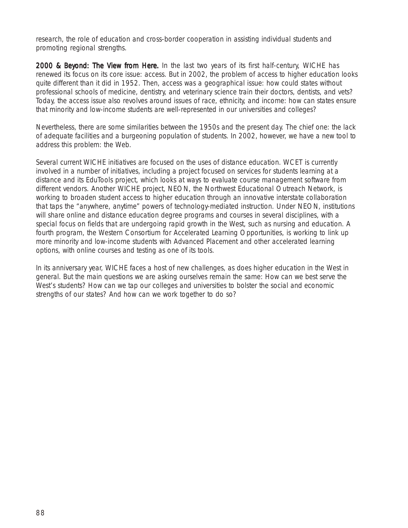research, the role of education and cross-border cooperation in assisting individual students and promoting regional strengths.

2000 & Beyond: The View from Here. In the last two years of its first half-century, WICHE has renewed its focus on its core issue: access. But in 2002, the problem of access to higher education looks quite different than it did in 1952. Then, access was a geographical issue: how could states without professional schools of medicine, dentistry, and veterinary science train their doctors, dentists, and vets? Today, the access issue also revolves around issues of race, ethnicity, and income: how can states ensure that minority and low-income students are well-represented in our universities and colleges?

Nevertheless, there are some similarities between the 1950s and the present day. The chief one: the lack of adequate facilities and a burgeoning population of students. In 2002, however, we have a new tool to address this problem: the Web.

Several current WICHE initiatives are focused on the uses of distance education. WCET is currently involved in a number of initiatives, including a project focused on services for students learning at a distance and its EduTools project, which looks at ways to evaluate course management software from different vendors. Another WICHE project, NEON, the Northwest Educational Outreach Network, is working to broaden student access to higher education through an innovative interstate collaboration that taps the "anywhere, anytime" powers of technology-mediated instruction. Under NEON, institutions will share online and distance education degree programs and courses in several disciplines, with a special focus on fields that are undergoing rapid growth in the West, such as nursing and education. A fourth program, the Western Consortium for Accelerated Learning Opportunities, is working to link up more minority and low-income students with Advanced Placement and other accelerated learning options, with online courses and testing as one of its tools.

In its anniversary year, WICHE faces a host of new challenges, as does higher education in the West in general. But the main questions we are asking ourselves remain the same: How can we best serve the West's students? How can we tap our colleges and universities to bolster the social and economic strengths of our states? And how can we work together to do so?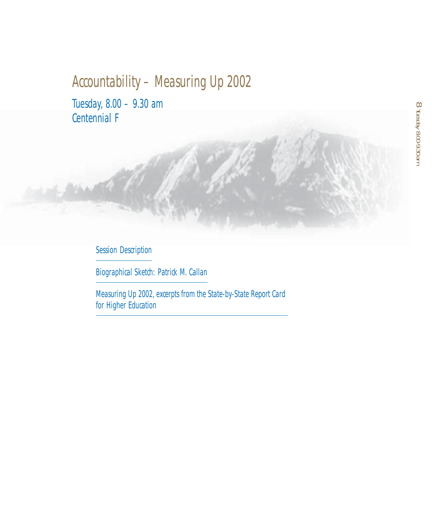# Accountability – Measuring Up 2002

Tuesday, 8.00 – 9.30 am Centennial F

## Session Description

Biographical Sketch: Patrick M. Callan

Measuring Up 2002, excerpts from the State-by-State Report Card for Higher Education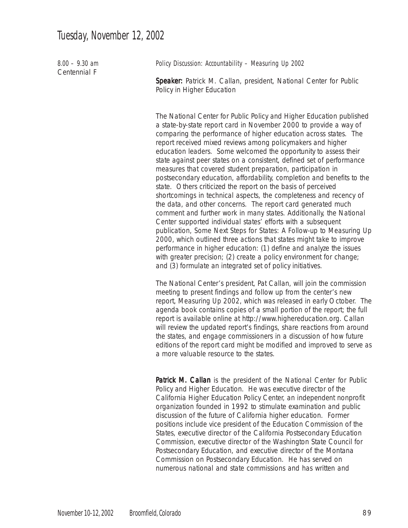| $8.00 - 9.30$ am<br>Centennial F | Policy Discussion: Accountability - Measuring Up 2002                                                                                                                                                                                                                                                                                                                                                                                                                                                                                                                                                                                                                                                                                                                                                                                                                                                                                                                                                                                                                                                                                                                                                                                                                        |  |  |  |  |
|----------------------------------|------------------------------------------------------------------------------------------------------------------------------------------------------------------------------------------------------------------------------------------------------------------------------------------------------------------------------------------------------------------------------------------------------------------------------------------------------------------------------------------------------------------------------------------------------------------------------------------------------------------------------------------------------------------------------------------------------------------------------------------------------------------------------------------------------------------------------------------------------------------------------------------------------------------------------------------------------------------------------------------------------------------------------------------------------------------------------------------------------------------------------------------------------------------------------------------------------------------------------------------------------------------------------|--|--|--|--|
|                                  | Speaker: Patrick M. Callan, president, National Center for Public<br>Policy in Higher Education                                                                                                                                                                                                                                                                                                                                                                                                                                                                                                                                                                                                                                                                                                                                                                                                                                                                                                                                                                                                                                                                                                                                                                              |  |  |  |  |
|                                  | The National Center for Public Policy and Higher Education published<br>a state-by-state report card in November 2000 to provide a way of<br>comparing the performance of higher education across states. The<br>report received mixed reviews among policymakers and higher<br>education leaders. Some welcomed the opportunity to assess their<br>state against peer states on a consistent, defined set of performance<br>measures that covered student preparation, participation in<br>postsecondary education, affordability, completion and benefits to the<br>state. Others criticized the report on the basis of perceived<br>shortcomings in technical aspects, the completeness and recency of<br>the data, and other concerns. The report card generated much<br>comment and further work in many states. Additionally, the National<br>Center supported individual states' efforts with a subsequent<br>publication, Some Next Steps for States: A Follow-up to Measuring Up<br>2000, which outlined three actions that states might take to improve<br>performance in higher education: (1) define and analyze the issues<br>with greater precision; (2) create a policy environment for change;<br>and (3) formulate an integrated set of policy initiatives. |  |  |  |  |
|                                  | The National Center's president, Pat Callan, will join the commission<br>meeting to present findings and follow up from the center's new<br>$\overline{1}$ $\overline{1}$ $\overline{1}$ $\overline{1}$ $\overline{1}$ $\overline{1}$ $\overline{1}$ $\overline{1}$ $\overline{1}$ $\overline{1}$ $\overline{1}$ $\overline{1}$ $\overline{1}$ $\overline{1}$ $\overline{1}$ $\overline{1}$ $\overline{1}$ $\overline{1}$ $\overline{1}$ $\overline{1}$ $\overline{1}$ $\overline{1}$ $\overline{1}$ $\overline{1}$ $\overline{$                                                                                                                                                                                                                                                                                                                                                                                                                                                                                                                                                                                                                                                                                                                                             |  |  |  |  |

report, *Measuring Up 2002*, which was released in early October. The agenda book contains copies of a small portion of the report; the full report is available online at http://www.highereducation.org. Callan will review the updated report's findings, share reactions from around the states, and engage commissioners in a discussion of how future editions of the report card might be modified and improved to serve as a more valuable resource to the states.

Patrick M. Callan is the president of the National Center for Public Policy and Higher Education. He was executive director of the California Higher Education Policy Center, an independent nonprofit organization founded in 1992 to stimulate examination and public discussion of the future of California higher education. Former positions include vice president of the Education Commission of the States, executive director of the California Postsecondary Education Commission, executive director of the Washington State Council for Postsecondary Education, and executive director of the Montana Commission on Postsecondary Education. He has served on numerous national and state commissions and has written and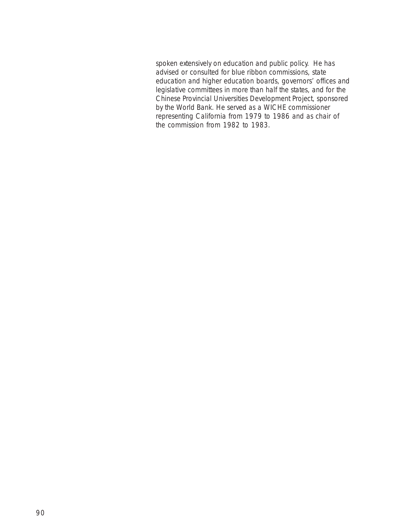spoken extensively on education and public policy. He has advised or consulted for blue ribbon commissions, state education and higher education boards, governors' offices and legislative committees in more than half the states, and for the Chinese Provincial Universities Development Project, sponsored by the World Bank. He served as a WICHE commissioner representing California from 1979 to 1986 and as chair of the commission from 1982 to 1983.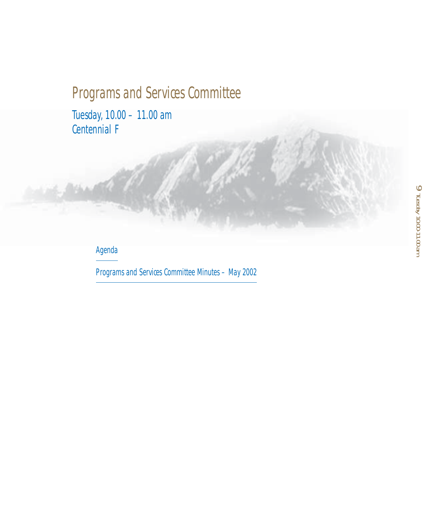# Programs and Services Committee

Tuesday, 10.00 – 11.00 am Centennial F

## Agenda

Programs and Services Committee Minutes – May 2002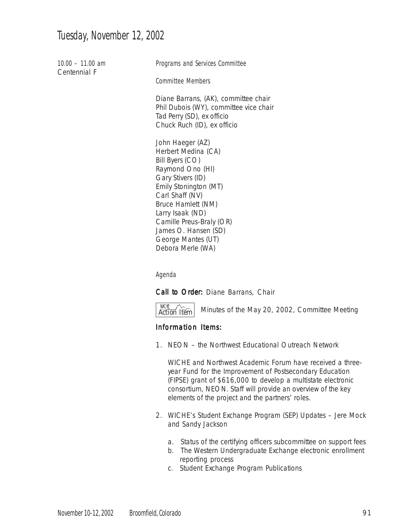## Tuesday, November 12, 2002

10.00 – 11.00 am Centennial F

Programs and Services Committee

Committee Members

Diane Barrans, (AK), committee chair Phil Dubois (WY), committee vice chair Tad Perry (SD), ex officio Chuck Ruch (ID), ex officio

John Haeger (AZ) Herbert Medina (CA) Bill Byers (CO) Raymond Ono (HI) Gary Stivers (ID) Emily Stonington (MT) Carl Shaff (NV) Bruce Hamlett (NM) Larry Isaak (ND) Camille Preus-Braly (OR) James O. Hansen (SD) George Mantes (UT) Debora Merle (WA)

Agenda

Call to Order: Diane Barrans, Chair

WICHE Action Item WICHE

Minutes of the May 20, 2002, Committee Meeting

### Information Items:

1. NEON – the Northwest Educational Outreach Network

WICHE and Northwest Academic Forum have received a threeyear Fund for the Improvement of Postsecondary Education (FIPSE) grant of \$616,000 to develop a multistate electronic consortium, NEON. Staff will provide an overview of the key elements of the project and the partners' roles.

- 2. WICHE's Student Exchange Program (SEP) Updates Jere Mock and Sandy Jackson
	- a. Status of the certifying officers subcommittee on support fees
	- b. The Western Undergraduate Exchange electronic enrollment reporting process
	- c. Student Exchange Program Publications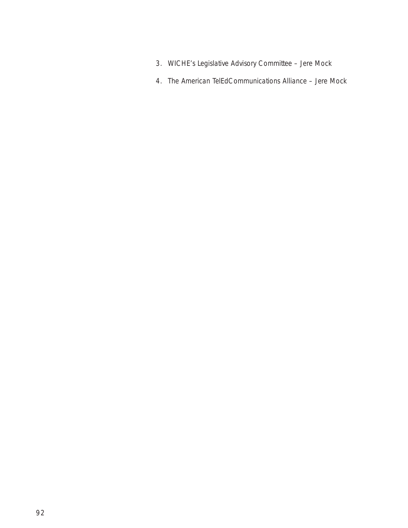- 3. WICHE's Legislative Advisory Committee Jere Mock
- 4. The American TelEdCommunications Alliance Jere Mock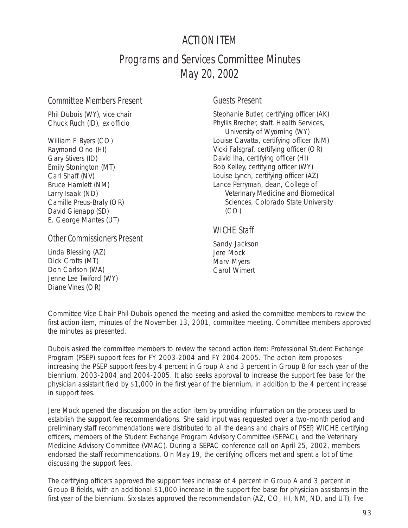## ACTION ITEM

# Programs and Services Committee Minutes May 20, 2002

### Committee Members Present

Phil Dubois (WY), vice chair Chuck Ruch (ID), ex officio

William F. Byers (CO) Raymond Ono (HI) Gary Stivers (ID) Emily Stonington (MT) Carl Shaff (NV) Bruce Hamlett (NM) Larry Isaak (ND) Camille Preus-Braly (OR) David Gienapp (SD) E. George Mantes (UT)

## Other Commissioners Present

Linda Blessing (AZ) Dick Crofts (MT) Don Carlson (WA) Jenne Lee Twiford (WY) Diane Vines (OR)

## Guests Present

Stephanie Butler, certifying officer (AK) Phyllis Brecher, staff, Health Services, University of Wyoming (WY) Louise Cavatta, certifying officer (NM) Vicki Falsgraf, certifying officer (OR) David Iha, certifying officer (HI) Bob Kelley, certifying officer (WY) Louise Lynch, certifying officer (AZ) Lance Perryman, dean, College of Veterinary Medicine and Biomedical Sciences, Colorado State University  $(CO)$ 

## WICHE Staff

Sandy Jackson Jere Mock Marv Myers Carol Wimert

Committee Vice Chair Phil Dubois opened the meeting and asked the committee members to review the first action item, minutes of the November 13, 2001, committee meeting. Committee members approved the minutes as presented.

Dubois asked the committee members to review the second action item: Professional Student Exchange Program (PSEP) support fees for FY 2003-2004 and FY 2004-2005. The action item proposes increasing the PSEP support fees by 4 percent in Group A and 3 percent in Group B for each year of the biennium, 2003-2004 and 2004-2005. It also seeks approval to increase the support fee base for the physician assistant field by \$1,000 in the first year of the biennium, in addition to the 4 percent increase in support fees.

Jere Mock opened the discussion on the action item by providing information on the process used to establish the support fee recommendations. She said input was requested over a two-month period and preliminary staff recommendations were distributed to all the deans and chairs of PSEP, WICHE certifying officers, members of the Student Exchange Program Advisory Committee (SEPAC), and the Veterinary Medicine Advisory Committee (VMAC). During a SEPAC conference call on April 25, 2002, members endorsed the staff recommendations. On May 19, the certifying officers met and spent a lot of time discussing the support fees.

The certifying officers approved the support fees increase of 4 percent in Group A and 3 percent in Group B fields, with an additional \$1,000 increase in the support fee base for physician assistants in the first year of the biennium. Six states approved the recommendation (AZ, CO, HI, NM, ND, and UT), five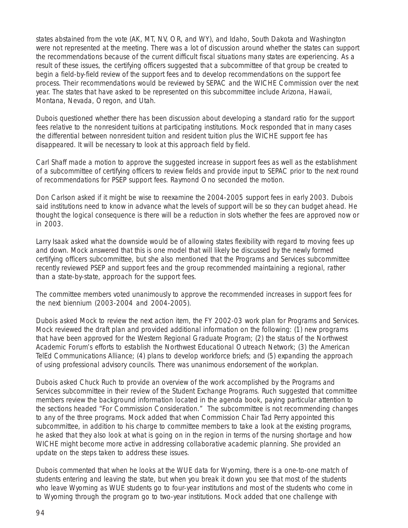states abstained from the vote (AK, MT, NV, OR, and WY), and Idaho, South Dakota and Washington were not represented at the meeting. There was a lot of discussion around whether the states can support the recommendations because of the current difficult fiscal situations many states are experiencing. As a result of these issues, the certifying officers suggested that a subcommittee of that group be created to begin a field-by-field review of the support fees and to develop recommendations on the support fee process. Their recommendations would be reviewed by SEPAC and the WICHE Commission over the next year. The states that have asked to be represented on this subcommittee include Arizona, Hawaii, Montana, Nevada, Oregon, and Utah.

Dubois questioned whether there has been discussion about developing a standard ratio for the support fees relative to the nonresident tuitions at participating institutions. Mock responded that in many cases the differential between nonresident tuition and resident tuition plus the WICHE support fee has disappeared. It will be necessary to look at this approach field by field.

Carl Shaff made a motion to approve the suggested increase in support fees as well as the establishment of a subcommittee of certifying officers to review fields and provide input to SEPAC prior to the next round of recommendations for PSEP support fees. Raymond Ono seconded the motion.

Don Carlson asked if it might be wise to reexamine the 2004-2005 support fees in early 2003. Dubois said institutions need to know in advance what the levels of support will be so they can budget ahead. He thought the logical consequence is there will be a reduction in slots whether the fees are approved now or in 2003.

Larry Isaak asked what the downside would be of allowing states flexibility with regard to moving fees up and down. Mock answered that this is one model that will likely be discussed by the newly formed certifying officers subcommittee, but she also mentioned that the Programs and Services subcommittee recently reviewed PSEP and support fees and the group recommended maintaining a regional, rather than a state-by-state, approach for the support fees.

The committee members voted unanimously to approve the recommended increases in support fees for the next biennium (2003-2004 and 2004-2005).

Dubois asked Mock to review the next action item, the FY 2002-03 work plan for Programs and Services. Mock reviewed the draft plan and provided additional information on the following: (1) new programs that have been approved for the Western Regional Graduate Program; (2) the status of the Northwest Academic Forum's efforts to establish the Northwest Educational Outreach Network; (3) the American TelEd Communications Alliance; (4) plans to develop workforce briefs; and (5) expanding the approach of using professional advisory councils. There was unanimous endorsement of the workplan.

Dubois asked Chuck Ruch to provide an overview of the work accomplished by the Programs and Services subcommittee in their review of the Student Exchange Programs. Ruch suggested that committee members review the background information located in the agenda book, paying particular attention to the sections headed "For Commission Consideration." The subcommittee is not recommending changes to any of the three programs. Mock added that when Commission Chair Tad Perry appointed this subcommittee, in addition to his charge to committee members to take a look at the existing programs, he asked that they also look at what is going on in the region in terms of the nursing shortage and how WICHE might become more active in addressing collaborative academic planning. She provided an update on the steps taken to address these issues.

Dubois commented that when he looks at the WUE data for Wyoming, there is a one-to-one match of students entering and leaving the state, but when you break it down you see that most of the students who leave Wyoming as WUE students go to four-year institutions and most of the students who come in to Wyoming through the program go to two-year institutions. Mock added that one challenge with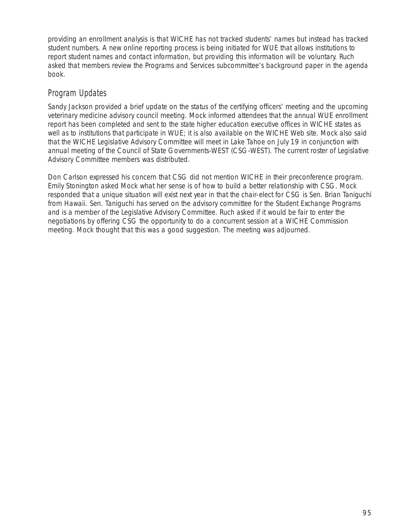providing an enrollment analysis is that WICHE has not tracked students' names but instead has tracked student numbers. A new online reporting process is being initiated for WUE that allows institutions to report student names and contact information, but providing this information will be voluntary. Ruch asked that members review the Programs and Services subcommittee's background paper in the agenda book.

## Program Updates

Sandy Jackson provided a brief update on the status of the certifying officers' meeting and the upcoming veterinary medicine advisory council meeting. Mock informed attendees that the annual WUE enrollment report has been completed and sent to the state higher education executive offices in WICHE states as well as to institutions that participate in WUE; it is also available on the WICHE Web site. Mock also said that the WICHE Legislative Advisory Committee will meet in Lake Tahoe on July 19 in conjunction with annual meeting of the Council of State Governments-WEST (CSG-WEST). The current roster of Legislative Advisory Committee members was distributed.

Don Carlson expressed his concern that CSG did not mention WICHE in their preconference program. Emily Stonington asked Mock what her sense is of how to build a better relationship with CSG. Mock responded that a unique situation will exist next year in that the chair-elect for CSG is Sen. Brian Taniguchi from Hawaii. Sen. Taniguchi has served on the advisory committee for the Student Exchange Programs and is a member of the Legislative Advisory Committee. Ruch asked if it would be fair to enter the negotiations by offering CSG the opportunity to do a concurrent session at a WICHE Commission meeting. Mock thought that this was a good suggestion. The meeting was adjourned.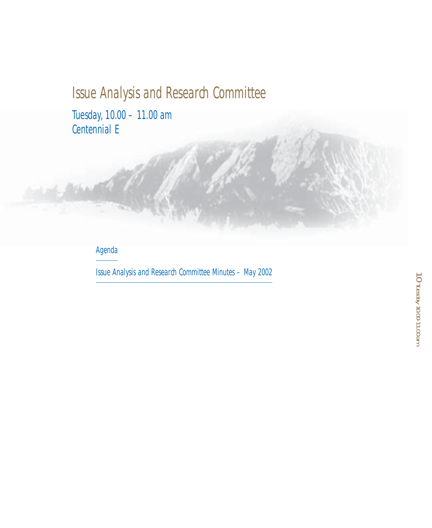# Issue Analysis and Research Committee

Tuesday, 10.00 – 11.00 am Centennial E

## Agenda

Issue Analysis and Research Committee Minutes – May 2002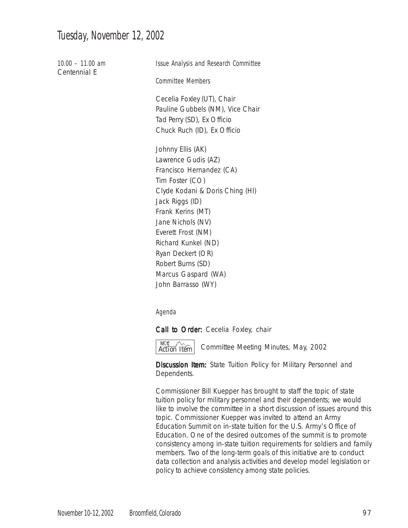## Tuesday, November 12, 2002

10.00 – 11.00 am Centennial E Issue Analysis and Research Committee Committee Members Cecelia Foxley (UT), Chair Pauline Gubbels (NM), Vice Chair Tad Perry (SD), Ex Officio Chuck Ruch (ID), Ex Officio Johnny Ellis (AK) Lawrence Gudis (AZ) Francisco Hernandez (CA) Tim Foster (CO) Clyde Kodani & Doris Ching (HI) Jack Riggs (ID) Frank Kerins (MT) Jane Nichols (NV) Everett Frost (NM) Richard Kunkel (ND) Ryan Deckert (OR) Robert Burns (SD) Marcus Gaspard (WA) John Barrasso (WY)

Agenda

Call to Order: Cecelia Foxley, chair

 $\overline{\text{After } }$  Action Item

Committee Meeting Minutes, May, 2002

Discussion Item: State Tuition Policy for Military Personnel and Dependents.

Commissioner Bill Kuepper has brought to staff the topic of state tuition policy for military personnel and their dependents; we would like to involve the committee in a short discussion of issues around this topic. Commissioner Kuepper was invited to attend an Army Education Summit on in-state tuition for the U.S. Army's Office of Education. One of the desired outcomes of the summit is to promote consistency among in-state tuition requirements for soldiers and family members. Two of the long-term goals of this initiative are to conduct data collection and analysis activities and develop model legislation or policy to achieve consistency among state policies.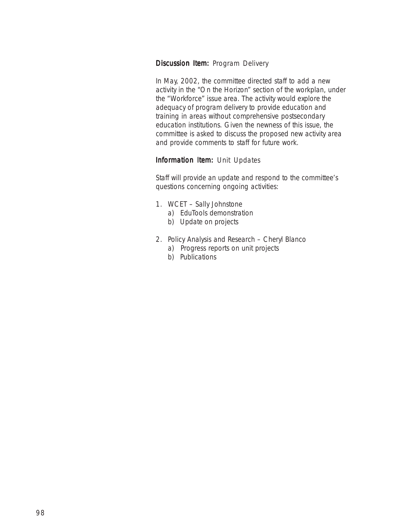### Discussion Item: Program Delivery

In May, 2002, the committee directed staff to add a new activity in the "On the Horizon" section of the workplan, under the "Workforce" issue area. The activity would explore the adequacy of program delivery to provide education and training in areas without comprehensive postsecondary education institutions. Given the newness of this issue, the committee is asked to discuss the proposed new activity area and provide comments to staff for future work.

#### Information Item: Unit Updates

Staff will provide an update and respond to the committee's questions concerning ongoing activities:

- 1. WCET Sally Johnstone
	- a) EduTools demonstration
	- b) Update on projects
- 2. Policy Analysis and Research Cheryl Blanco
	- a) Progress reports on unit projects
	- b) Publications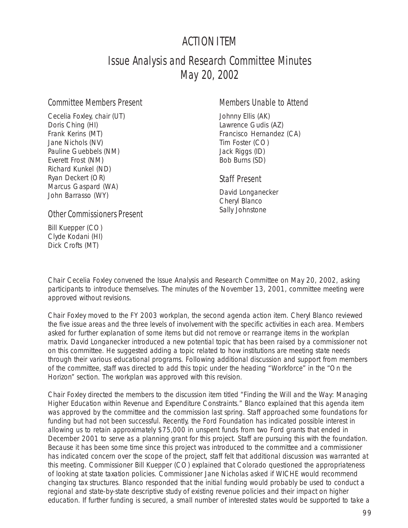## ACTION ITEM

## Issue Analysis and Research Committee Minutes May 20, 2002

### Committee Members Present

Cecelia Foxley, chair (UT) Doris Ching (HI) Frank Kerins (MT) Jane Nichols (NV) Pauline Guebbels (NM) Everett Frost (NM) Richard Kunkel (ND) Ryan Deckert (OR) Marcus Gaspard (WA) John Barrasso (WY)

### Members Unable to Attend

Johnny Ellis (AK) Lawrence Gudis (AZ) Francisco Hernandez (CA) Tim Foster (CO) Jack Riggs (ID) Bob Burns (SD)

### Staff Present

David Longanecker Cheryl Blanco Sally Johnstone

### Other Commissioners Present

Bill Kuepper (CO) Clyde Kodani (HI) Dick Crofts (MT)

Chair Cecelia Foxley convened the Issue Analysis and Research Committee on May 20, 2002, asking participants to introduce themselves. The minutes of the November 13, 2001, committee meeting were approved without revisions.

Chair Foxley moved to the FY 2003 workplan, the second agenda action item. Cheryl Blanco reviewed the five issue areas and the three levels of involvement with the specific activities in each area. Members asked for further explanation of some items but did not remove or rearrange items in the workplan matrix. David Longanecker introduced a new potential topic that has been raised by a commissioner not on this committee. He suggested adding a topic related to how institutions are meeting state needs through their various educational programs. Following additional discussion and support from members of the committee, staff was directed to add this topic under the heading "Workforce" in the "On the Horizon" section. The workplan was approved with this revision.

Chair Foxley directed the members to the discussion item titled "Finding the Will and the Way: Managing Higher Education within Revenue and Expenditure Constraints." Blanco explained that this agenda item was approved by the committee and the commission last spring. Staff approached some foundations for funding but had not been successful. Recently, the Ford Foundation has indicated possible interest in allowing us to retain approximately \$75,000 in unspent funds from two Ford grants that ended in December 2001 to serve as a planning grant for this project. Staff are pursuing this with the foundation. Because it has been some time since this project was introduced to the committee and a commissioner has indicated concern over the scope of the project, staff felt that additional discussion was warranted at this meeting. Commissioner Bill Kuepper (CO) explained that Colorado questioned the appropriateness of looking at state taxation policies. Commissioner Jane Nicholas asked if WICHE would recommend changing tax structures. Blanco responded that the initial funding would probably be used to conduct a regional and state-by-state descriptive study of existing revenue policies and their impact on higher education. If further funding is secured, a small number of interested states would be supported to take a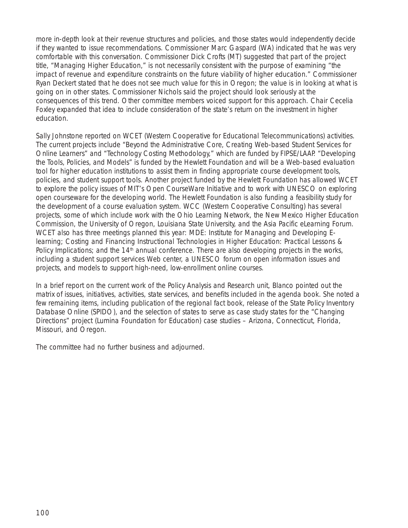more in-depth look at their revenue structures and policies, and those states would independently decide if they wanted to issue recommendations. Commissioner Marc Gaspard (WA) indicated that he was very comfortable with this conversation. Commissioner Dick Crofts (MT) suggested that part of the project title, "Managing Higher Education," is not necessarily consistent with the purpose of examining "the impact of revenue and expenditure constraints on the future viability of higher education." Commissioner Ryan Deckert stated that he does not see much value for this in Oregon; the value is in looking at what is going on in other states. Commissioner Nichols said the project should look seriously at the consequences of this trend. Other committee members voiced support for this approach. Chair Cecelia Foxley expanded that idea to include consideration of the state's return on the investment in higher education.

Sally Johnstone reported on WCET (Western Cooperative for Educational Telecommunications) activities. The current projects include "Beyond the Administrative Core, Creating Web-based Student Services for Online Learners" and "Technology Costing Methodology," which are funded by FIPSE/LAAP. "Developing the Tools, Policies, and Models" is funded by the Hewlett Foundation and will be a Web-based evaluation tool for higher education institutions to assist them in finding appropriate course development tools, policies, and student support tools. Another project funded by the Hewlett Foundation has allowed WCET to explore the policy issues of MIT's Open CourseWare Initiative and to work with UNESCO on exploring open courseware for the developing world. The Hewlett Foundation is also funding a feasibility study for the development of a course evaluation system. WCC (Western Cooperative Consulting) has several projects, some of which include work with the Ohio Learning Network, the New Mexico Higher Education Commission, the University of Oregon, Louisiana State University, and the Asia Pacific eLearning Forum. WCET also has three meetings planned this year: MDE: Institute for Managing and Developing Elearning; Costing and Financing Instructional Technologies in Higher Education: Practical Lessons & Policy Implications; and the 14<sup>th</sup> annual conference. There are also developing projects in the works, including a student support services Web center, a UNESCO forum on open information issues and projects, and models to support high-need, low-enrollment online courses.

In a brief report on the current work of the Policy Analysis and Research unit, Blanco pointed out the matrix of issues, initiatives, activities, state services, and benefits included in the agenda book. She noted a few remaining items, including publication of the regional fact book, release of the State Policy Inventory Database Online (SPIDO), and the selection of states to serve as case study states for the "Changing Directions" project (Lumina Foundation for Education) case studies – Arizona, Connecticut, Florida, Missouri, and Oregon.

The committee had no further business and adjourned.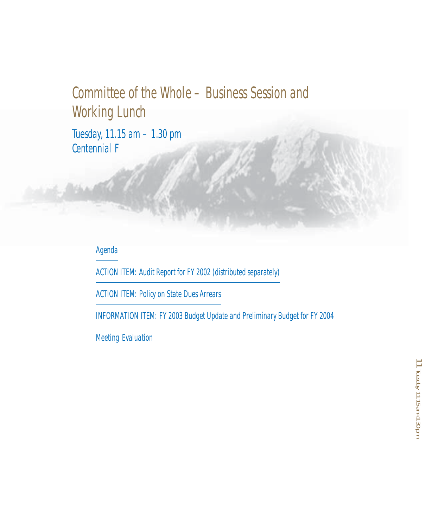# Committee of the Whole – Business Session and Working Lunch

Tuesday, 11.15 am – 1.30 pm Centennial F

## Agenda

ACTION ITEM: Audit Report for FY 2002 (distributed separately)

ACTION ITEM: Policy on State Dues Arrears

INFORMATION ITEM: FY 2003 Budget Update and Preliminary Budget for FY 2004

Meeting Evaluation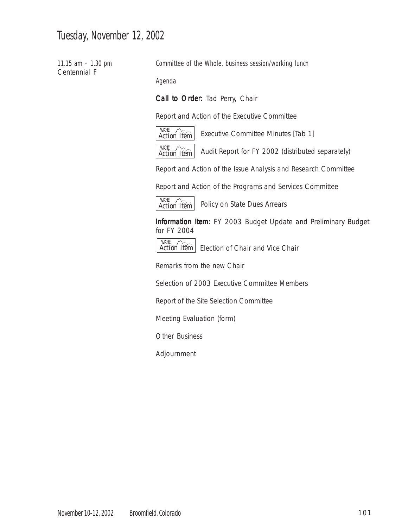## Tuesday, November 12, 2002

11.15 am – 1.30 pm Centennial F

Committee of the Whole, business session/working lunch

Agenda

Call to Order: Tad Perry, Chair

Report and Action of the Executive Committee



Executive Committee Minutes [Tab 1]

Audit Report for FY 2002 (distributed separately)

Report and Action of the Issue Analysis and Research Committee

Report and Action of the Programs and Services Committee



Policy on State Dues Arrears

Information Item: FY 2003 Budget Update and Preliminary Budget for FY 2004



Action Item | Election of Chair and Vice Chair

Remarks from the new Chair

Selection of 2003 Executive Committee Members

Report of the Site Selection Committee

Meeting Evaluation (form)

Other Business

Adjournment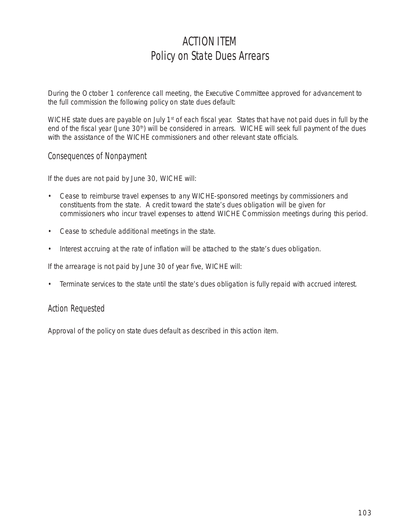# ACTION ITEM Policy on State Dues Arrears

During the October 1 conference call meeting, the Executive Committee approved for advancement to the full commission the following policy on state dues default:

WICHE state dues are payable on July 1<sup>st</sup> of each fiscal year. States that have not paid dues in full by the end of the fiscal year (June 30<sup>th</sup>) will be considered in arrears. WICHE will seek full payment of the dues with the assistance of the WICHE commissioners and other relevant state officials.

## Consequences of Nonpayment

If the dues are not paid by June 30, WICHE will:

- Cease to reimburse travel expenses to any WICHE-sponsored meetings by commissioners and constituents from the state. A credit toward the state's dues obligation will be given for commissioners who incur travel expenses to attend WICHE Commission meetings during this period.
- Cease to schedule additional meetings in the state.
- Interest accruing at the rate of inflation will be attached to the state's dues obligation.

If the arrearage is not paid by June 30 of year five, WICHE will:

• Terminate services to the state until the state's dues obligation is fully repaid with accrued interest.

## Action Requested

Approval of the policy on state dues default as described in this action item.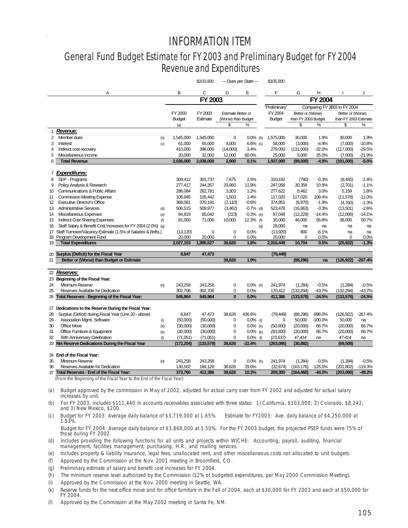## **INFORMATION ITEM** INFORMATION ITEM

## **General Fund Budget Estimate for FY 2003 and Preliminary Budget for FY 2004 04** General Fund Budget Estimate for FY 2003 and Preliminary Budget for FY 2004 **Revenue & Expenditures**  Revenue and Expenditures

|    |                                                                                               |                                                                                  | \$103,000             |                     | --- Dues per State --- | \$105,000          |                     |               |                              |            |
|----|-----------------------------------------------------------------------------------------------|----------------------------------------------------------------------------------|-----------------------|---------------------|------------------------|--------------------|---------------------|---------------|------------------------------|------------|
|    | Α                                                                                             | В                                                                                | C                     | D                   | Ε                      | F                  | G                   | н             |                              | J          |
|    |                                                                                               |                                                                                  | FY 2003               |                     |                        | FY 2004            |                     |               |                              |            |
|    |                                                                                               |                                                                                  |                       |                     |                        | "Preliminary"      |                     |               | Comparing FY 2003 to FY 2004 |            |
|    |                                                                                               | FY 2003                                                                          | FY 2003               | Estimate Better or  |                        | FY 2004            | Better or (Worse)   |               | Better or (Worse)            |            |
|    |                                                                                               | <b>Budget</b>                                                                    | Estimate              | (Worse) than Budget |                        | <b>Budget</b>      | than FY 2003 Budget |               | than FY 2003 Estimate        |            |
|    |                                                                                               | (a)                                                                              |                       | \$                  | ℅                      |                    | \$                  | %             | \$                           | %          |
| 1  | Revenue:                                                                                      |                                                                                  |                       |                     |                        |                    |                     |               |                              |            |
| 2  | Member dues<br>(b)                                                                            | 1,545,000                                                                        | 1,545,000             | $\mathbf 0$         | $0.0\%$ (b)            | 1,575,000          | 30.000              | 1.9%          | 30.000                       | 1.9%       |
| 3  | Interest<br>(c)                                                                               | 61,000                                                                           | 65,000                | 4,000               | $6.6%$ (c)             | 58,000             | (3,000)             | $-4.9%$       | (7,000)                      | $-10.8%$   |
| 4  | Indirect cost recovery                                                                        | 410,000                                                                          | 396,000               | (14,000)            | $-3.4%$                | 279,000            | (131,000)           | $-32.0%$      | (117,000)                    | $-29.5%$   |
| 5  | Miscellaneous income                                                                          | 20,000                                                                           | 32,000                | 12,000              | 60.0%                  | 25,000             | 5,000               | 25.0%         | (7,000)                      | $-21.9%$   |
| 6  | <b>Total Revenue</b>                                                                          | 2,036,000                                                                        | 2,038,000             | 2,000               | 0.1%                   | 1,937,000          | (99,000)            | $-4.9%$       | (101,000)                    | $-5.0%$    |
|    |                                                                                               |                                                                                  |                       |                     |                        |                    |                     |               |                              |            |
|    | 7 Expenditures:                                                                               |                                                                                  |                       |                     |                        |                    |                     |               |                              |            |
| 8  | SEP - Programs                                                                                | 309,412                                                                          | 301,737               | 7,675               | 2.5%                   | 310,192            | (780)               | $-0.3%$       | (8, 455)                     | $-2.8%$    |
| 9  | Policy Analysis & Research                                                                    | 277,417                                                                          | 244,357               | 33,060              | 11.9%                  | 247,058            | 30,359              | 10.9%         | (2,701)                      | $-1.1%$    |
| 10 | <b>Communications &amp; Public Affairs</b>                                                    | 286,084                                                                          | 282,781               | 3,303               | 1.2%                   | 277,622            | 8,462               | 3.0%          | 5,159                        | 1.8%       |
| 11 | <b>Commission Meeting Expense</b>                                                             | 106,945                                                                          | 105,442               | 1,503               | 1.4%                   | 117,020            | 117,020             | 109.4%        | (11, 578)                    | $-11.0%$   |
| 12 | <b>Executive Director's Office</b>                                                            | 368,081                                                                          | 370,191               | (2, 110)            | $-0.6%$                | 374,951            | (6, 870)            | $-1.9%$       | (4,760)                      | $-1.3%$    |
| 13 | <b>Administrative Services</b><br>(d)                                                         | 506,515                                                                          | 509,977               | (3,462)             | $-0.7%$ (d)            | 523,478            | (16,963)            | $-3.3%$       | (13,501)                     | $-2.6%$    |
| 14 | Miscellaneous Expenses<br>(e)                                                                 | 84,819                                                                           | 85,042                | (223)               | $-0.3%$ (e)            | 97,048             | (12, 229)           | $-14.4%$      | (12,006)                     | $-14.1%$   |
| 15 | <b>Indirect Cost Sharing Expenses</b><br>(f)                                                  | 81,000                                                                           | 71,000                | 10,000              | 12.3% (f)              | 35,000             | 46,000              | 56.8%         | 36,000                       | 50.7%      |
| 16 | Staff Salary & Benefit Cost Increases for FY 2004 (2.0%) (g)                                  |                                                                                  |                       |                     | (g)<br>0.0%            | 28,000             | na<br>800           | na<br>$-6.1%$ | na                           | na         |
|    | 17 Staff Turnover/Vacancy Estimate (1.5% of Salaries & Bnfts.)<br>18 Program Development Fund | (13, 120)<br>20,000                                                              | $\mathbf 0$<br>20,000 | $\mathbf 0$<br>0    | 0.0%                   | (13,920)<br>20,000 | 0                   | 0.0%          | na<br>$\Omega$               | na<br>0.0% |
| 19 | <b>Total Expenditures</b>                                                                     | 2,027,153                                                                        | 1,990,527             | 36,626              | 1.8%                   | 2,016,449          | 10,704              | 0.5%          | (25, 922)                    | $-1.3%$    |
|    |                                                                                               |                                                                                  |                       |                     |                        |                    |                     |               |                              |            |
| 20 | Surplus (Deficit) for the Fiscal Year                                                         | 8,847                                                                            | 47,473                |                     |                        | (79, 449)          |                     |               |                              |            |
| 21 | Better or (Worse) than Budget or Estimate                                                     |                                                                                  |                       | 38.626              | 1.9%                   |                    | (88, 296)           | na            | (126, 922)                   | $-267.4%$  |
|    |                                                                                               |                                                                                  |                       |                     |                        |                    |                     |               |                              |            |
|    | 22 Reserves:                                                                                  |                                                                                  |                       |                     |                        |                    |                     |               |                              |            |
|    | 23 Beginning of the Fiscal Year:                                                              |                                                                                  |                       |                     |                        |                    |                     |               |                              |            |
| 24 | Minimum Reserve<br>(h)                                                                        | 243,258                                                                          | 243,258               | $\mathbf 0$         | $0.0\%$ (h)            | 241,974            | (1,284)             | $-0.5%$       | (1,284)                      | $-0.5%$    |
| 25 | Reserves Available for Dedication                                                             | 302,706                                                                          | 302,706               | 0                   | 0.0%                   | 170,412            | (132, 294)          | $-43.7%$      | (132, 294)                   | $-43.7%$   |
|    | 26 Total Reserves - Beginning of the Fiscal Year:                                             | 545,964                                                                          | 545,964               | $\bf{0}$            | 0.0%                   | 412,386            | (133, 578)          | $-24.5%$      | (133, 578)                   | $-24.5%$   |
|    | 27 Dedications to the Reserve During the Fiscal Year:                                         |                                                                                  |                       |                     |                        |                    |                     |               |                              |            |
| 28 | Surplus (Deficit) during Fiscal Year (Line 20 - above)                                        | 8,847                                                                            | 47,473                | 38,626              | 436.6%                 | (79, 449)          | (88, 296)           | $-998.0%$     | (126, 922)                   | $-267.4%$  |
| 29 | Association Mgmt. Software<br>(i)                                                             | (50,000)                                                                         | (50,000)              | $\mathbf 0$         | $0.0\%$ (i)            | $\mathbf 0$        | 50,000              | $-100.0%$     | 50,000                       | na         |
| 30 | Office Move<br>(k)                                                                            | (30,000)                                                                         | (30,000)              | $\mathbf 0$         | $0.0\%$ (k)            | (50,000)           | (20,000)            | 66.7%         | (20,000)                     | 66.7%      |
| 31 | Office Furniture & Equipment<br>(k)                                                           | (30,000)                                                                         | (30,000)              | $\mathbf 0$         | $0.0\%$ (k)            | (50,000)           | (20,000)            | 66.7%         | (20,000)                     | 66.7%      |
| 32 | 50th Anniversary Celebration<br>(1)                                                           | (71,051)                                                                         | (71, 051)             | 0                   | $0.0\%$ (I)            | (23, 637)          | 47,414              | na            | 47,414                       | na         |
|    | 33 Net Reserve Dedications During the Fiscal Year                                             | (172, 204)                                                                       | (133,578)             | 38,626              | $-22.4%$               | (203,086)          | (30, 882)           |               | (69, 508)                    |            |
|    |                                                                                               |                                                                                  |                       |                     |                        |                    |                     |               |                              |            |
|    | 34 End of the Fiscal Year:                                                                    |                                                                                  |                       |                     |                        |                    |                     |               |                              |            |
| 35 | Minimum Reserve<br>(h)                                                                        | 243,258                                                                          | 243,258               | $\mathbf 0$         | $0.0\%$ (h)            | 241,974            | (1,284)             | $-0.5%$       | (1,284)                      | $-0.5%$    |
| 36 | Reserves Available for Dedication                                                             | 130,502                                                                          | 169,128               | 38,626              | 29.6%                  | (32, 674)          | (163, 176)          | $-125.0%$     | (201, 802)                   | $-119.3%$  |
| 37 | Total Reserves - End of the Fiscal Year:                                                      | 373,760<br>(From the Reginning of the Fiscal Vear to the End of the Fiscal Vear) | 412,386               | 38,626              | 10.3%                  | 209,300            | (164, 460)          | $-44.0%$      | (203, 086)                   | $-49.2%$   |

(From the Beginning of the Fiscal Year to the End of the Fiscal Year)

(a) Budget approved by the commission in May of 2002, adjusted for actual carry over from FY 2002 and adjusted for actual salary increases by unit.

(b) For FY 2003, includes \$111,440 in accounts receivables associated with three states: 1) California, \$103,000; 2) Colorado, \$8,242; and 3) New Mexico, \$200.

(c) Budget for FY 2003: Average daily balance of \$3,719,000 at 1.65%. Estimate for FY2003: Ave. daily balance of \$4,250,000 at 1.53%.

 Budget for FY 2004: Average daily balance of \$3,868,000 at 1.50%. For the FY 2003 budget, the projected PSEP funds were 75% of those during FY 2002.

(d) Includes providing the following functions for all units and projects within WICHE: Accounting, payroll, auditing, financial management, facilities management, purchasing, H.R., and mailing services.

(e) Includes property & liability insurance, legal fees, unallocated rent, and other miscellaneous costs not allocated to unit budgets.

(f) Approved by the Commission at the Nov. 2001 meeting in Broomfield, CO.

(g) Preliminary estimate of salary and benefit cost increases for FY 2004.

(h) The minimum reserve level authorized by the Commission (12% of budgeted expenditures, per May 2000 Commission Meeting).

(i) Approved by the Commission at the Nov. 2000 meeting in Seattle, WA.

(k) Reserve funds for the next office move and for office furniture in the Fall of 2004, each at \$30,000 for FY 2003 and each at \$50,000 for FY 2004.

(l) Approved by the Commission at the May 2002 meeting in Santa Fe, NM.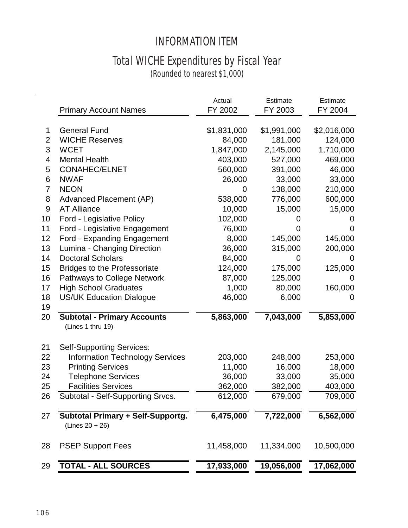## INFORMATION ITEM

# Total WICHE Expenditures by Fiscal Year

(Rounded to nearest \$1,000)

|                | <b>Primary Account Names</b>                                  | Actual<br>FY 2002 | Estimate<br>FY 2003 | Estimate<br>FY 2004 |
|----------------|---------------------------------------------------------------|-------------------|---------------------|---------------------|
|                |                                                               |                   |                     |                     |
| 1              | <b>General Fund</b>                                           | \$1,831,000       | \$1,991,000         | \$2,016,000         |
| $\overline{2}$ | <b>WICHE Reserves</b>                                         | 84,000            | 181,000             | 124,000             |
| 3              | <b>WCET</b>                                                   | 1,847,000         | 2,145,000           | 1,710,000           |
| 4              | <b>Mental Health</b>                                          | 403,000           | 527,000             | 469,000             |
| 5              | <b>CONAHEC/ELNET</b>                                          | 560,000           | 391,000             | 46,000              |
| 6              | <b>NWAF</b>                                                   | 26,000            | 33,000              | 33,000              |
| 7              | <b>NEON</b>                                                   | 0                 | 138,000             | 210,000             |
| 8              | Advanced Placement (AP)                                       | 538,000           | 776,000             | 600,000             |
| 9              | <b>AT Alliance</b>                                            | 10,000            | 15,000              | 15,000              |
| 10             | Ford - Legislative Policy                                     | 102,000           | O                   | O                   |
| 11             | Ford - Legislative Engagement                                 | 76,000            | O)                  | $\Omega$            |
| 12             | Ford - Expanding Engagement                                   | 8,000             | 145,000             | 145,000             |
| 13             | Lumina - Changing Direction                                   | 36,000            | 315,000             | 200,000             |
| 14             | <b>Doctoral Scholars</b>                                      | 84,000            | 0                   | 0                   |
| 15             | <b>Bridges to the Professoriate</b>                           | 124,000           | 175,000             | 125,000             |
| 16             | Pathways to College Network                                   | 87,000            | 125,000             | O                   |
| 17             | <b>High School Graduates</b>                                  | 1,000             | 80,000              | 160,000             |
| 18             | <b>US/UK Education Dialogue</b>                               | 46,000            | 6,000               | 0                   |
| 19             |                                                               |                   |                     |                     |
| 20             | <b>Subtotal - Primary Accounts</b><br>(Lines 1 thru 19)       | 5,863,000         | 7,043,000           | 5,853,000           |
| 21             | <b>Self-Supporting Services:</b>                              |                   |                     |                     |
| 22             | <b>Information Technology Services</b>                        | 203,000           | 248,000             | 253,000             |
| 23             | <b>Printing Services</b>                                      | 11,000            | 16,000              | 18,000              |
| 24             | <b>Telephone Services</b>                                     | 36,000            | 33,000              | 35,000              |
| 25             | <b>Facilities Services</b>                                    | 362,000           | 382,000             | 403,000             |
| 26             | Subtotal - Self-Supporting Srvcs.                             | 612,000           | 679,000             | 709,000             |
| 27             | <b>Subtotal Primary + Self-Supportg.</b><br>$(Lines 20 + 26)$ | 6,475,000         | 7,722,000           | 6,562,000           |
| 28             | <b>PSEP Support Fees</b>                                      | 11,458,000        | 11,334,000          | 10,500,000          |
| 29             | <b>TOTAL - ALL SOURCES</b>                                    | 17,933,000        | 19,056,000          | 17,062,000          |

 $\hat{\vec{r}}$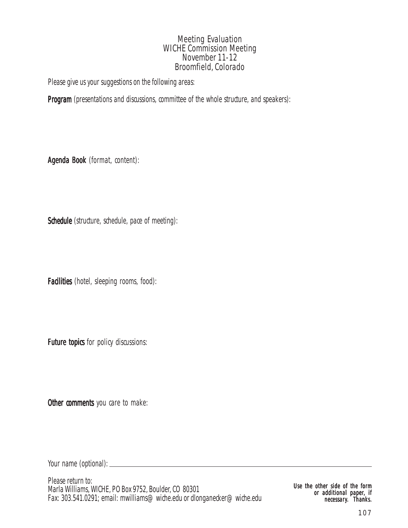## Meeting Evaluation WICHE Commission Meeting November 11-12 Broomfield, Colorado

Please give us your suggestions on the following areas:

Program (presentations and discussions, committee of the whole structure, and speakers):

Agenda Book (format, content):

Schedule (structure, schedule, pace of meeting):

Facilities (hotel, sleeping rooms, food):

Future topics for policy discussions:

Other comments you care to make:

Your name (optional):

Please return to: Marla Williams, WICHE, PO Box 9752, Boulder, CO 80301 Fax: 303.541.0291; email: mwilliams@wiche.edu or dlonganecker@wiche.edu

Use the other side of the form or additional paper, if necessary. Thanks.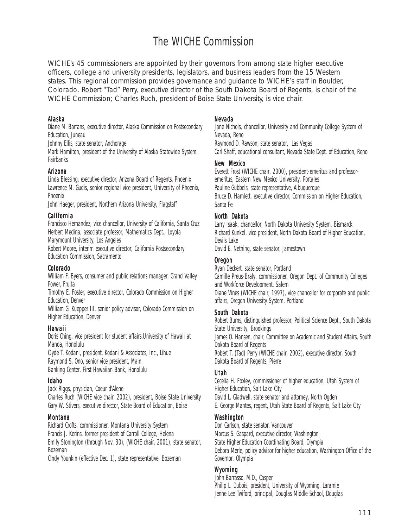# The WICHE Commission

WICHE's 45 commissioners are appointed by their governors from among state higher executive officers, college and university presidents, legislators, and business leaders from the 15 Western states. This regional commission provides governance and guidance to WICHE's staff in Boulder, Colorado. Robert "Tad" Perry, executive director of the South Dakota Board of Regents, is chair of the WICHE Commission; Charles Ruch, president of Boise State University, is vice chair.

### Alaska

Diane M. Barrans, executive director, Alaska Commission on Postsecondary Education, Juneau

Johnny Ellis, state senator, Anchorage

Mark Hamilton, president of the University of Alaska Statewide System, Fairbanks

### Arizona

Linda Blessing, executive director, Arizona Board of Regents, Phoenix Lawrence M. Gudis, senior regional vice president, University of Phoenix, Phoenix

John Haeger, president, Northern Arizona University, Flagstaff

### **California**

Francisco Hernandez, vice chancellor, University of California, Santa Cruz Herbert Medina, associate professor, Mathematics Dept., Loyola Marymount University, Los Angeles

Robert Moore, interim executive director, California Postsecondary Education Commission, Sacramento

### Colorado

William F. Byers, consumer and public relations manager, Grand Valley Power, Fruita

Timothy E. Foster, executive director, Colorado Commission on Higher Education, Denver

William G. Kuepper III, senior policy advisor, Colorado Commission on Higher Education, Denver

### Hawaii

Doris Ching, vice president for student affairs,University of Hawaii at Manoa, Honolulu

Clyde T. Kodani, president, Kodani & Associates, Inc., Lihue Raymond S. Ono, senior vice president, Main Banking Center, First Hawaiian Bank, Honolulu

#### Idaho

Jack Riggs, physician, Coeur d'Alene Charles Ruch (WICHE vice chair, 2002), president, Boise State University Gary W. Stivers, executive director, State Board of Education, Boise

#### Montana

Richard Crofts, commissioner, Montana University System Francis J. Kerins, former president of Carroll College, Helena Emily Stonington (through Nov. 30), (WICHE chair, 2001), state senator, Bozeman

Cindy Younkin (effective Dec. 1), state representative, Bozeman

### Nevada

Jane Nichols, chancellor, University and Community College System of Nevada, Reno Raymond D. Rawson, state senator, Las Vegas Carl Shaff, educational consultant, Nevada State Dept. of Education, Reno

### New Mexico

Everett Frost (WICHE chair, 2000), president-emeritus and professoremeritus, Eastern New Mexico University, Portales Pauline Gubbels, state representative, Albuquerque Bruce D. Hamlett, executive director, Commission on Higher Education, Santa Fe

### North Dakota

Larry Isaak, chancellor, North Dakota University System, Bismarck Richard Kunkel, vice president, North Dakota Board of Higher Education, Devils Lake

David E. Nething, state senator, Jamestown

### Oregon

Ryan Deckert, state senator, Portland Camille Preus-Braly, commissioner, Oregon Dept. of Community Colleges and Workforce Development, Salem Diane Vines (WICHE chair, 1997), vice chancellor for corporate and public affairs, Oregon University System, Portland

### South Dakota

Robert Burns, distinguished professor, Political Science Dept., South Dakota State University, Brookings James O. Hansen, chair, Committee on Academic and Student Affairs, South Dakota Board of Regents Robert T. (Tad) Perry (WICHE chair, 2002), executive director, South Dakota Board of Regents, Pierre

#### Utah

Cecelia H. Foxley, commissioner of higher education, Utah System of Higher Education, Salt Lake City David L. Gladwell, state senator and attorney, North Ogden E. George Mantes, regent, Utah State Board of Regents, Salt Lake City

### Washington

Don Carlson, state senator, Vancouver Marcus S. Gaspard, executive director, Washington State Higher Education Coordinating Board, Olympia Debora Merle, policy advisor for higher education, Washington Office of the Governor, Olympia

### Wyoming

John Barrasso, M.D., Casper Philip L. Dubois, president, University of Wyoming, Laramie Jenne Lee Twiford, principal, Douglas Middle School, Douglas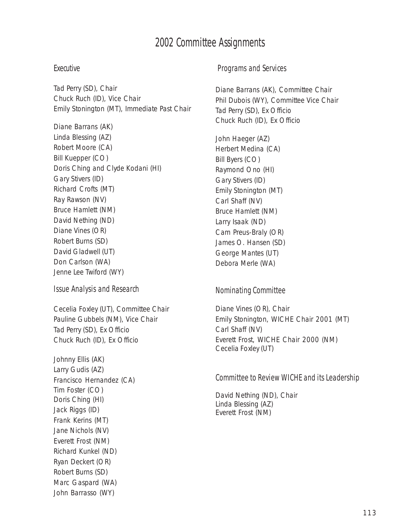## 2002 Committee Assignments

### Executive

Tad Perry (SD), Chair Chuck Ruch (ID), Vice Chair Emily Stonington (MT), Immediate Past Chair

Diane Barrans (AK) Linda Blessing (AZ) Robert Moore (CA) Bill Kuepper (CO) Doris Ching and Clyde Kodani (HI) Gary Stivers (ID) Richard Crofts (MT) Ray Rawson (NV) Bruce Hamlett (NM) David Nething (ND) Diane Vines (OR) Robert Burns (SD) David Gladwell (UT) Don Carlson (WA) Jenne Lee Twiford (WY)

Issue Analysis and Research

Cecelia Foxley (UT), Committee Chair Pauline Gubbels (NM), Vice Chair Tad Perry (SD), Ex Officio Chuck Ruch (ID), Ex Officio

Johnny Ellis (AK) Larry Gudis (AZ) Francisco Hernandez (CA) Tim Foster (CO) Doris Ching (HI) Jack Riggs (ID) Frank Kerins (MT) Jane Nichols (NV) Everett Frost (NM) Richard Kunkel (ND) Ryan Deckert (OR) Robert Burns (SD) Marc Gaspard (WA) John Barrasso (WY)

### Programs and Services

Diane Barrans (AK), Committee Chair Phil Dubois (WY), Committee Vice Chair Tad Perry (SD), Ex Officio Chuck Ruch (ID), Ex Officio

John Haeger (AZ) Herbert Medina (CA) Bill Byers (CO) Raymond Ono (HI) Gary Stivers (ID) Emily Stonington (MT) Carl Shaff (NV) Bruce Hamlett (NM) Larry Isaak (ND) Cam Preus-Braly (OR) James O. Hansen (SD) George Mantes (UT) Debora Merle (WA)

### Nominating Committee

Diane Vines (OR), Chair Emily Stonington, WICHE Chair 2001 (MT) Carl Shaff (NV) Everett Frost, WICHE Chair 2000 (NM) Cecelia Foxley (UT)

### Committee to Review WICHE and its Leadership

David Nething (ND), Chair Linda Blessing (AZ) Everett Frost (NM)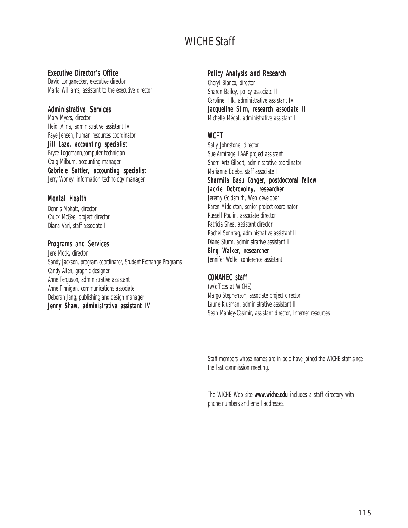## WICHE Staff

### Executive Director's Office

David Longanecker, executive director Marla Williams, assistant to the executive director

### **Administrative Services**

Marv Myers, director Heidi Alina, administrative assistant IV Faye Jensen, human resources coordinator Jill Lazo, accounting specialist Bryce Logemann,computer technician Craig Milburn, accounting manager Gabriele Sattler, accounting specialist Jerry Worley, information technology manager

### **Mental Health**

Dennis Mohatt, director Chuck McGee, project director Diana Vari, staff associate I

### Programs and Services

Jere Mock, director Sandy Jackson, program coordinator, Student Exchange Programs Candy Allen, graphic designer Anne Ferguson, administrative assistant I Anne Finnigan, communications associate Deborah Jang, publishing and design manager Jenny Shaw, administrative assistant IV

### Policy Analysis and Research

Cheryl Blanco, director Sharon Bailey, policy associate II Caroline Hilk, administrative assistant IV Jacqueline Stirn, research associate II Michelle Médal, administrative assistant I

### **WCFT**

Sally Johnstone, director Sue Armitage, LAAP project assistant Sherri Artz Gilbert, administrative coordinator Marianne Boeke, staff associate II Sharmila Basu Conger, postdoctoral fellow Jackie Dobrovolny, researcher Jeremy Goldsmith, Web developer Karen Middleton, senior project coordinator Russell Poulin, associate director Patricia Shea, assistant director Rachel Sonntag, administrative assistant II Diane Sturm, administrative assistant II Bing Walker, researcher Jennifer Wolfe, conference assistant

## CONAHEC staff

(w/offices at WICHE) Margo Stephenson, associate project director Laurie Klusman, administrative assistant II Sean Manley-Casimir, assistant director, Internet resources

Staff members whose names are in bold have joined the WICHE staff since the last commission meeting.

The WICHE Web site www.wiche.edu includes a staff directory with phone numbers and email addresses.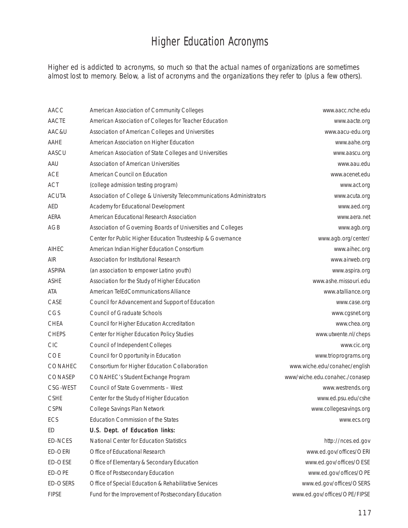# Higher Education Acronyms

Higher ed is addicted to acronyms, so much so that the actual names of organizations are sometimes almost lost to memory. Below, a list of acronyms and the organizations they refer to (plus a few others).

| AACC            | American Association of Community Colleges                            | www.aacc.nche.edu              |
|-----------------|-----------------------------------------------------------------------|--------------------------------|
| AACTE           | American Association of Colleges for Teacher Education                | www.aacte.org                  |
| AAC&U           | Association of American Colleges and Universities                     | www.aacu-edu.org               |
| AAHE            | American Association on Higher Education                              | www.aahe.org                   |
| AASCU           | American Association of State Colleges and Universities               | www.aascu.org                  |
| AAU             | <b>Association of American Universities</b>                           | www.aau.edu                    |
| <b>ACE</b>      | American Council on Education                                         | www.acenet.edu                 |
| ACT             | (college admission testing program)                                   | www.act.org                    |
| <b>ACUTA</b>    | Association of College & University Telecommunications Administrators | www.acuta.org                  |
| <b>AED</b>      | Academy for Educational Development                                   | www.aed.org                    |
| <b>AERA</b>     | American Educational Research Association                             | www.aera.net                   |
| AGB             | Association of Governing Boards of Universities and Colleges          | www.agb.org                    |
|                 | Center for Public Higher Education Trusteeship & Governance           | www.agb.org/center/            |
| <b>AIHEC</b>    | American Indian Higher Education Consortium                           | www.aihec.org                  |
| <b>AIR</b>      | Association for Institutional Research                                | www.airweb.org                 |
| <b>ASPIRA</b>   | (an association to empower Latino youth)                              | www.aspira.org                 |
| <b>ASHE</b>     | Association for the Study of Higher Education                         | www.ashe.missouri.edu          |
| ATA             | American TelEdCommunications Alliance                                 | www.atalliance.org             |
| CASE            | Council for Advancement and Support of Education                      | www.case.org                   |
| CGS             | <b>Council of Graduate Schools</b>                                    | www.cgsnet.org                 |
| <b>CHEA</b>     | Council for Higher Education Accreditation                            | www.chea.org                   |
| <b>CHEPS</b>    | Center for Higher Education Policy Studies                            | www.utwente.nl/cheps           |
| <b>CIC</b>      | Council of Independent Colleges                                       | www.cic.org                    |
| COE             | Council for Opportunity in Education                                  | www.trioprograms.org           |
| CONAHEC         | Consortium for Higher Education Collaboration                         | www.wiche.edu/conahec/english  |
| CONASEP         | CONAHEC's Student Exchange Program                                    | www/wiche.edu.conahec./conasep |
| CSG-WEST        | Council of State Governments - West                                   | www.westrends.org              |
| <b>CSHE</b>     | Center for the Study of Higher Education                              | www.ed.psu.edu/cshe            |
| <b>CSPN</b>     | College Savings Plan Network                                          | www.collegesavings.org         |
| ECS             | <b>Education Commission of the States</b>                             | www.ecs.org                    |
| ED              | U.S. Dept. of Education links:                                        |                                |
| <b>ED-NCES</b>  | National Center for Education Statistics                              | http://nces.ed.gov             |
| <b>ED-OERI</b>  | Office of Educational Research                                        | www.ed.gov/offices/OERI        |
| ED-OESE         | Office of Elementary & Secondary Education                            | www.ed.gov/offices/OESE        |
| ED-OPE          | Office of Postsecondary Education                                     | www.ed.gov/offices/OPE         |
| <b>ED-OSERS</b> | Office of Special Education & Rehabilitative Services                 | www.ed.gov/offices/OSERS       |
| <b>FIPSE</b>    | Fund for the Improvement of Postsecondary Education                   | www.ed.gov/offices/OPE/FIPSE   |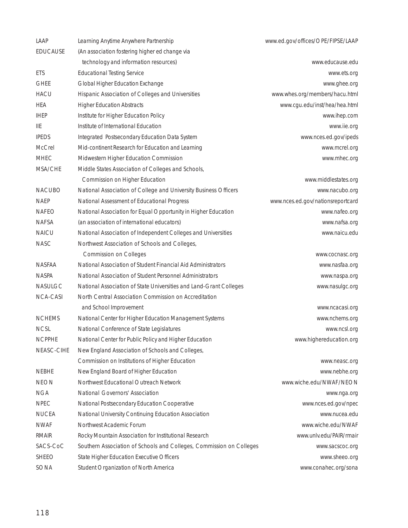| LAAP            | Learning Anytime Anywhere Partnership                                | www.ed.gov/offices/OPE/FIPSE/LAAP |
|-----------------|----------------------------------------------------------------------|-----------------------------------|
| <b>EDUCAUSE</b> | (An association fostering higher ed change via                       |                                   |
|                 | technology and information resources)                                | www.educause.edu                  |
| <b>ETS</b>      | <b>Educational Testing Service</b>                                   | www.ets.org                       |
| <b>GHEE</b>     | Global Higher Education Exchange                                     | www.ghee.org                      |
| <b>HACU</b>     | Hispanic Association of Colleges and Universities                    | www.whes.org/members/hacu.html    |
| HEA             | <b>Higher Education Abstracts</b>                                    | www.cgu.edu/inst/hea/hea.html     |
| <b>IHEP</b>     | Institute for Higher Education Policy                                | www.ihep.com                      |
| <b>IIE</b>      | Institute of International Education                                 | www.iie.org                       |
| <b>IPEDS</b>    | Integrated Postsecondary Education Data System                       | www.nces.ed.gov/ipeds             |
| McCrel          | Mid-continent Research for Education and Learning                    | www.mcrel.org                     |
| <b>MHEC</b>     | Midwestern Higher Education Commission                               | www.mhec.org                      |
| MSA/CHE         | Middle States Association of Colleges and Schools,                   |                                   |
|                 | Commission on Higher Education                                       | www.middlestates.org              |
| <b>NACUBO</b>   | National Association of College and University Business Officers     | www.nacubo.org                    |
| <b>NAEP</b>     | National Assessment of Educational Progress                          | www.nces.ed.gov/nationsreportcard |
| <b>NAFEO</b>    | National Association for Equal Opportunity in Higher Education       | www.nafeo.org                     |
| <b>NAFSA</b>    | (an association of international educators)                          | www.nafsa.org                     |
| NAICU           | National Association of Independent Colleges and Universities        | www.naicu.edu                     |
| <b>NASC</b>     | Northwest Association of Schools and Colleges,                       |                                   |
|                 | <b>Commission on Colleges</b>                                        | www.cocnasc.org                   |
| <b>NASFAA</b>   | National Association of Student Financial Aid Administrators         | www.nasfaa.org                    |
| <b>NASPA</b>    | National Association of Student Personnel Administrators             | www.naspa.org                     |
| <b>NASULGC</b>  | National Association of State Universities and Land-Grant Colleges   | www.nasulgc.org                   |
| <b>NCA-CASI</b> | North Central Association Commission on Accreditation                |                                   |
|                 | and School Improvement                                               | www.ncacasi.org                   |
| <b>NCHEMS</b>   | National Center for Higher Education Management Systems              | www.nchems.org                    |
| <b>NCSL</b>     | National Conference of State Legislatures                            | www.ncsl.org                      |
| <b>NCPPHE</b>   | National Center for Public Policy and Higher Education               | www.highereducation.org           |
| NEASC-CIHE      | New England Association of Schools and Colleges,                     |                                   |
|                 | Commission on Institutions of Higher Education                       | www.neasc.org                     |
| <b>NEBHE</b>    | New England Board of Higher Education                                | www.nebhe.org                     |
| <b>NEON</b>     | Northwest Educational Outreach Network                               | www.wiche.edu/NWAF/NEON           |
| <b>NGA</b>      | National Governors' Association                                      | www.nga.org                       |
| <b>NPEC</b>     | National Postsecondary Education Cooperative                         | www.nces.ed.gov/npec              |
| <b>NUCEA</b>    | National University Continuing Education Association                 | www.nucea.edu                     |
| <b>NWAF</b>     | Northwest Academic Forum                                             | www.wiche.edu/NWAF                |
| <b>RMAIR</b>    | Rocky Mountain Association for Institutional Research                | www.unlv.edu/PAIR/rmair           |
| SACS-CoC        | Southern Association of Schools and Colleges, Commission on Colleges | www.sacscoc.org                   |
| <b>SHEEO</b>    | <b>State Higher Education Executive Officers</b>                     | www.sheeo.org                     |
| SONA            | Student Organization of North America                                | www.conahec.org/sona              |